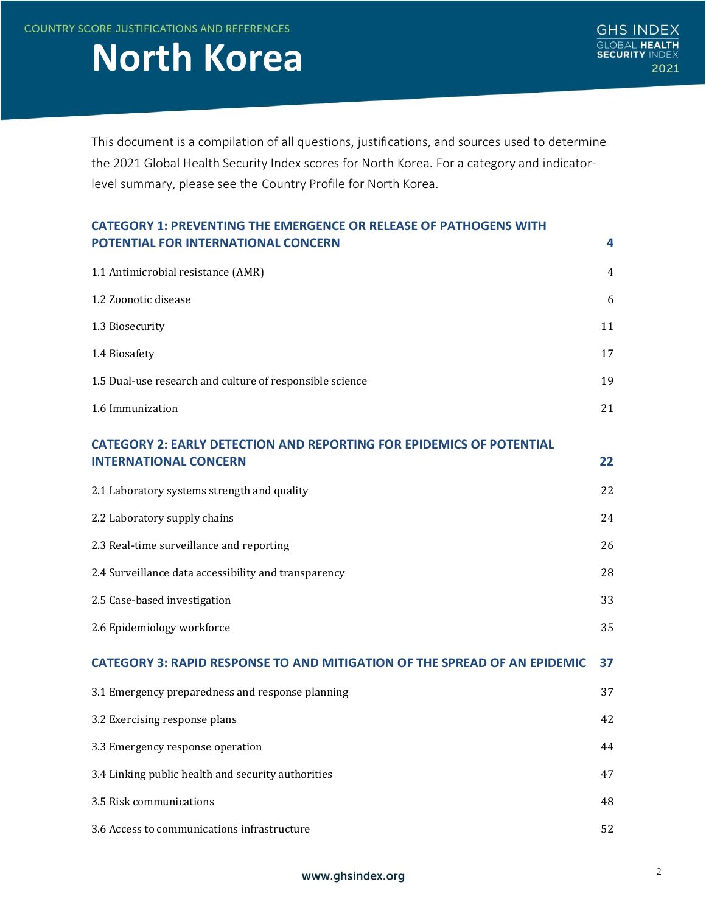**COUNTRY SCORE JUSTIFICATIONS AND REFERENCES** 

# **North Korea**

This document is a compilation of all questions, justifications, and sources used to determine the 2021 Global Health Security Index scores for North Korea. For a category and indicatorlevel summary, please see the Country Profile for North Korea.

| <b>CATEGORY 1: PREVENTING THE EMERGENCE OR RELEASE OF PATHOGENS WITH</b>         |    |
|----------------------------------------------------------------------------------|----|
| POTENTIAL FOR INTERNATIONAL CONCERN                                              | 4  |
| 1.1 Antimicrobial resistance (AMR)                                               | 4  |
| 1.2 Zoonotic disease                                                             | 6  |
| 1.3 Biosecurity                                                                  | 11 |
| 1.4 Biosafety                                                                    | 17 |
| 1.5 Dual-use research and culture of responsible science                         | 19 |
| 1.6 Immunization                                                                 | 21 |
| <b>CATEGORY 2: EARLY DETECTION AND REPORTING FOR EPIDEMICS OF POTENTIAL</b>      |    |
| <b>INTERNATIONAL CONCERN</b>                                                     | 22 |
| 2.1 Laboratory systems strength and quality                                      | 22 |
| 2.2 Laboratory supply chains                                                     | 24 |
| 2.3 Real-time surveillance and reporting                                         | 26 |
| 2.4 Surveillance data accessibility and transparency                             | 28 |
| 2.5 Case-based investigation                                                     | 33 |
| 2.6 Epidemiology workforce                                                       | 35 |
| <b>CATEGORY 3: RAPID RESPONSE TO AND MITIGATION OF THE SPREAD OF AN EPIDEMIC</b> | 37 |
| 3.1 Emergency preparedness and response planning                                 | 37 |
| 3.2 Exercising response plans                                                    | 42 |
| 3.3 Emergency response operation                                                 | 44 |
| 3.4 Linking public health and security authorities                               | 47 |
| 3.5 Risk communications                                                          | 48 |
| 3.6 Access to communications infrastructure                                      | 52 |

## www.ghsindex.org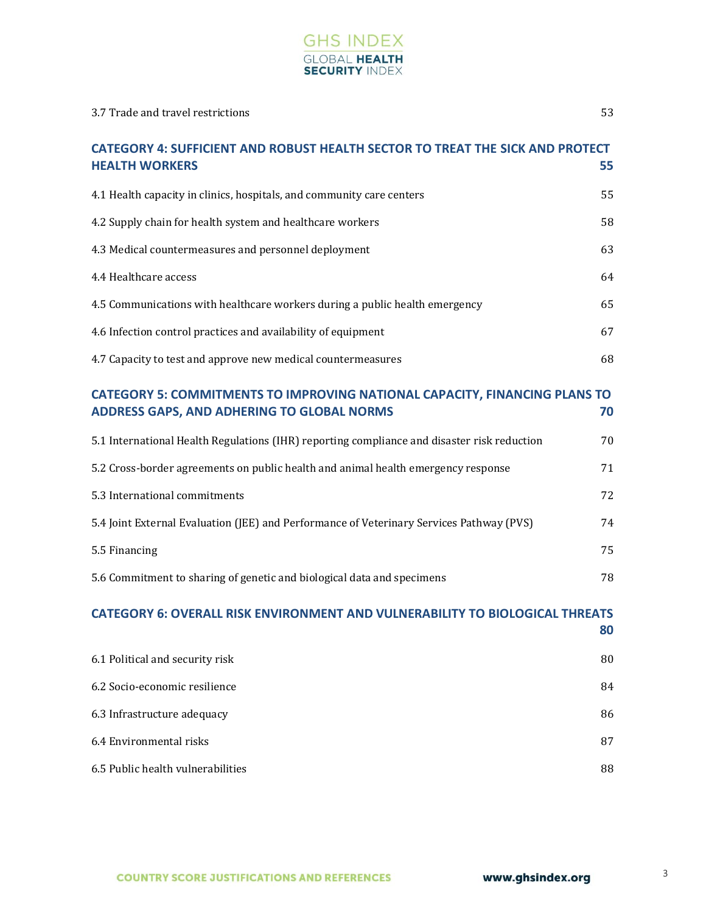

| <b>CATEGORY 4: SUFFICIENT AND ROBUST HEALTH SECTOR TO TREAT THE SICK AND PROTECT</b><br><b>HEALTH WORKERS</b>                   | 55 |
|---------------------------------------------------------------------------------------------------------------------------------|----|
| 4.1 Health capacity in clinics, hospitals, and community care centers                                                           | 55 |
| 4.2 Supply chain for health system and healthcare workers                                                                       | 58 |
| 4.3 Medical countermeasures and personnel deployment                                                                            | 63 |
| 4.4 Healthcare access                                                                                                           | 64 |
| 4.5 Communications with healthcare workers during a public health emergency                                                     | 65 |
| 4.6 Infection control practices and availability of equipment                                                                   | 67 |
| 4.7 Capacity to test and approve new medical countermeasures                                                                    | 68 |
| <b>CATEGORY 5: COMMITMENTS TO IMPROVING NATIONAL CAPACITY, FINANCING PLANS TO</b><br>ADDRESS GAPS, AND ADHERING TO GLOBAL NORMS | 70 |
| 5.1 International Health Regulations (IHR) reporting compliance and disaster risk reduction                                     | 70 |
| 5.2 Cross-border agreements on public health and animal health emergency response                                               | 71 |
| 5.3 International commitments                                                                                                   | 72 |
| 5.4 Joint External Evaluation (JEE) and Performance of Veterinary Services Pathway (PVS)                                        | 74 |
| 5.5 Financing                                                                                                                   | 75 |
| 5.6 Commitment to sharing of genetic and biological data and specimens                                                          | 78 |
| <b>CATEGORY 6: OVERALL RISK ENVIRONMENT AND VULNERABILITY TO BIOLOGICAL THREATS</b>                                             | 80 |
| 6.1 Political and security risk                                                                                                 | 80 |
| 6.2 Socio-economic resilience                                                                                                   | 84 |
| 6.3 Infrastructure adequacy                                                                                                     | 86 |
| 6.4 Environmental risks                                                                                                         | 87 |
| 6.5 Public health vulnerabilities                                                                                               | 88 |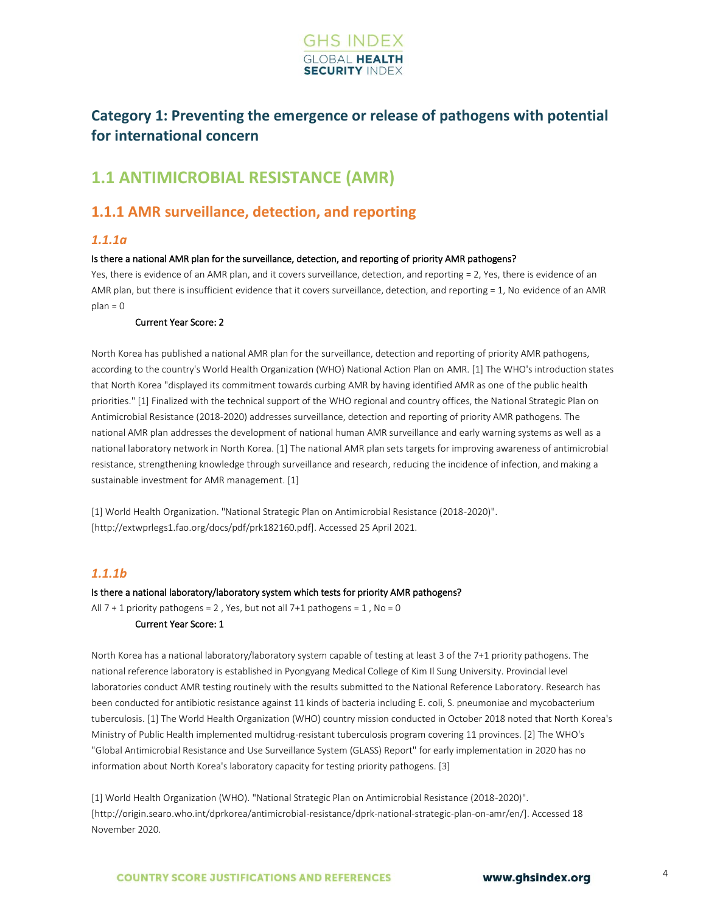

## <span id="page-2-0"></span>**Category 1: Preventing the emergence or release of pathogens with potential for international concern**

## <span id="page-2-1"></span>**1.1 ANTIMICROBIAL RESISTANCE (AMR)**

## **1.1.1 AMR surveillance, detection, and reporting**

## *1.1.1a*

### Is there a national AMR plan for the surveillance, detection, and reporting of priority AMR pathogens?

Yes, there is evidence of an AMR plan, and it covers surveillance, detection, and reporting = 2, Yes, there is evidence of an AMR plan, but there is insufficient evidence that it covers surveillance, detection, and reporting = 1, No evidence of an AMR  $plan = 0$ 

### Current Year Score: 2

North Korea has published a national AMR plan for the surveillance, detection and reporting of priority AMR pathogens, according to the country's World Health Organization (WHO) National Action Plan on AMR. [1] The WHO's introduction states that North Korea "displayed its commitment towards curbing AMR by having identified AMR as one of the public health priorities." [1] Finalized with the technical support of the WHO regional and country offices, the National Strategic Plan on Antimicrobial Resistance (2018-2020) addresses surveillance, detection and reporting of priority AMR pathogens. The national AMR plan addresses the development of national human AMR surveillance and early warning systems as well as a national laboratory network in North Korea. [1] The national AMR plan sets targets for improving awareness of antimicrobial resistance, strengthening knowledge through surveillance and research, reducing the incidence of infection, and making a sustainable investment for AMR management. [1]

[1] World Health Organization. "National Strategic Plan on Antimicrobial Resistance (2018-2020)". [http://extwprlegs1.fao.org/docs/pdf/prk182160.pdf]. Accessed 25 April 2021.

## *1.1.1b*

## Is there a national laboratory/laboratory system which tests for priority AMR pathogens? All  $7 + 1$  priority pathogens = 2, Yes, but not all  $7 + 1$  pathogens = 1, No = 0

### Current Year Score: 1

North Korea has a national laboratory/laboratory system capable of testing at least 3 of the 7+1 priority pathogens. The national reference laboratory is established in Pyongyang Medical College of Kim Il Sung University. Provincial level laboratories conduct AMR testing routinely with the results submitted to the National Reference Laboratory. Research has been conducted for antibiotic resistance against 11 kinds of bacteria including E. coli, S. pneumoniae and mycobacterium tuberculosis. [1] The World Health Organization (WHO) country mission conducted in October 2018 noted that North Korea's Ministry of Public Health implemented multidrug-resistant tuberculosis program covering 11 provinces. [2] The WHO's "Global Antimicrobial Resistance and Use Surveillance System (GLASS) Report" for early implementation in 2020 has no information about North Korea's laboratory capacity for testing priority pathogens. [3]

[1] World Health Organization (WHO). "National Strategic Plan on Antimicrobial Resistance (2018-2020)". [http://origin.searo.who.int/dprkorea/antimicrobial-resistance/dprk-national-strategic-plan-on-amr/en/]. Accessed 18 November 2020.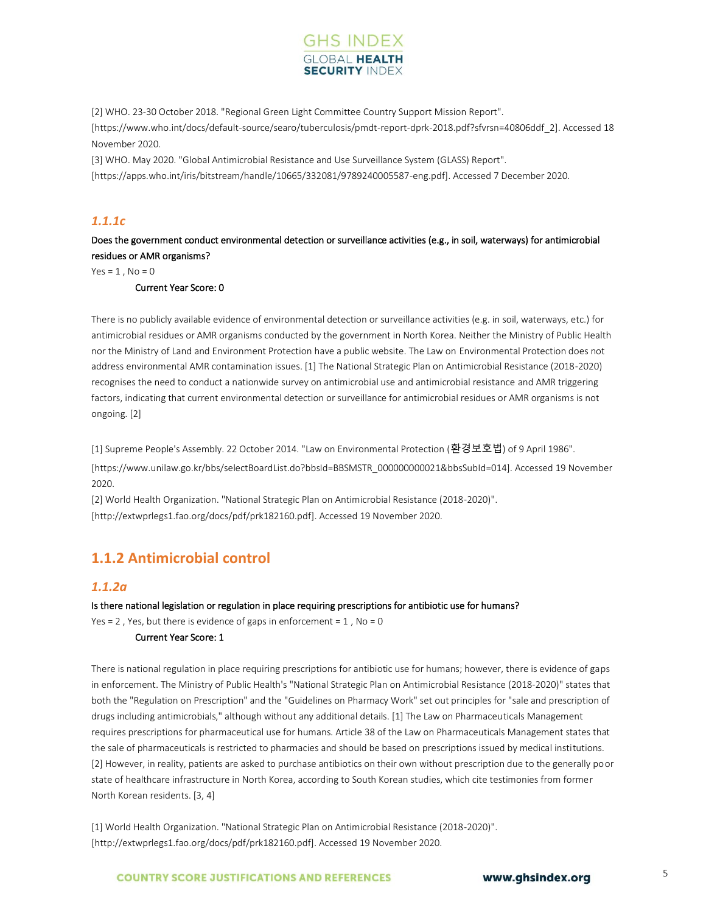

[2] WHO. 23-30 October 2018. "Regional Green Light Committee Country Support Mission Report". [https://www.who.int/docs/default-source/searo/tuberculosis/pmdt-report-dprk-2018.pdf?sfvrsn=40806ddf\_2]. Accessed 18 November 2020.

[3] WHO. May 2020. "Global Antimicrobial Resistance and Use Surveillance System (GLASS) Report". [https://apps.who.int/iris/bitstream/handle/10665/332081/9789240005587-eng.pdf]. Accessed 7 December 2020.

## *1.1.1c*

Does the government conduct environmental detection or surveillance activities (e.g., in soil, waterways) for antimicrobial residues or AMR organisms?

 $Yes = 1, No = 0$ 

#### Current Year Score: 0

There is no publicly available evidence of environmental detection or surveillance activities (e.g. in soil, waterways, etc.) for antimicrobial residues or AMR organisms conducted by the government in North Korea. Neither the Ministry of Public Health nor the Ministry of Land and Environment Protection have a public website. The Law on Environmental Protection does not address environmental AMR contamination issues. [1] The National Strategic Plan on Antimicrobial Resistance (2018-2020) recognises the need to conduct a nationwide survey on antimicrobial use and antimicrobial resistance and AMR triggering factors, indicating that current environmental detection or surveillance for antimicrobial residues or AMR organisms is not ongoing. [2]

[1] Supreme People's Assembly. 22 October 2014. "Law on Environmental Protection (환경보호법) of 9 April 1986".

[https://www.unilaw.go.kr/bbs/selectBoardList.do?bbsId=BBSMSTR\_000000000021&bbsSubId=014]. Accessed 19 November 2020.

[2] World Health Organization. "National Strategic Plan on Antimicrobial Resistance (2018-2020)". [http://extwprlegs1.fao.org/docs/pdf/prk182160.pdf]. Accessed 19 November 2020.

## **1.1.2 Antimicrobial control**

#### *1.1.2a*

Is there national legislation or regulation in place requiring prescriptions for antibiotic use for humans? Yes = 2, Yes, but there is evidence of gaps in enforcement =  $1$ , No = 0

#### Current Year Score: 1

There is national regulation in place requiring prescriptions for antibiotic use for humans; however, there is evidence of gaps in enforcement. The Ministry of Public Health's "National Strategic Plan on Antimicrobial Resistance (2018-2020)" states that both the "Regulation on Prescription" and the "Guidelines on Pharmacy Work" set out principles for "sale and prescription of drugs including antimicrobials," although without any additional details. [1] The Law on Pharmaceuticals Management requires prescriptions for pharmaceutical use for humans. Article 38 of the Law on Pharmaceuticals Management states that the sale of pharmaceuticals is restricted to pharmacies and should be based on prescriptions issued by medical institutions. [2] However, in reality, patients are asked to purchase antibiotics on their own without prescription due to the generally poor state of healthcare infrastructure in North Korea, according to South Korean studies, which cite testimonies from former North Korean residents. [3, 4]

[1] World Health Organization. "National Strategic Plan on Antimicrobial Resistance (2018-2020)". [http://extwprlegs1.fao.org/docs/pdf/prk182160.pdf]. Accessed 19 November 2020.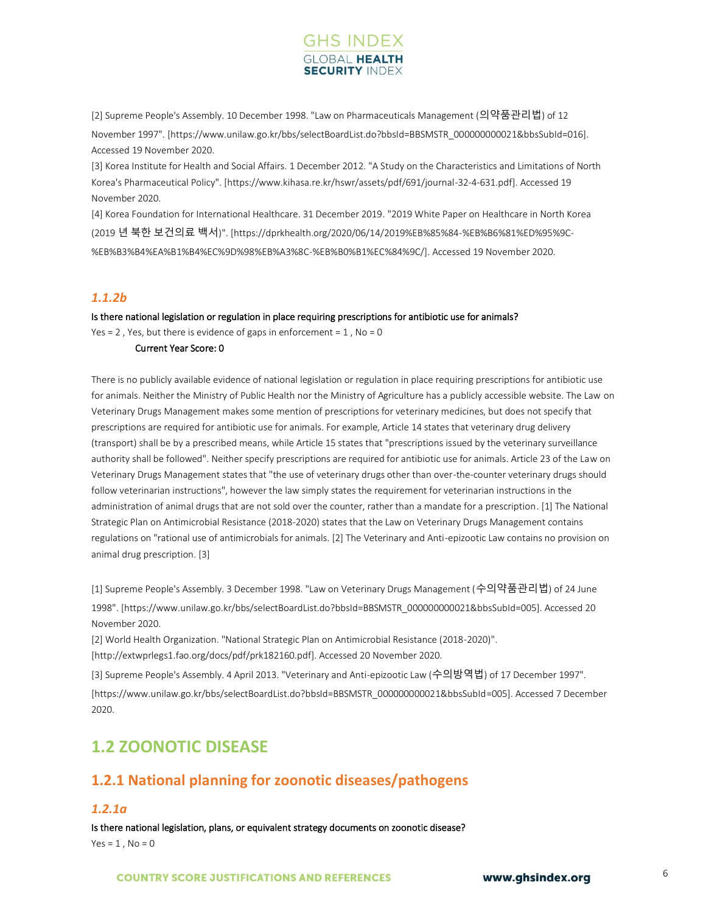

[2] Supreme People's Assembly. 10 December 1998. "Law on Pharmaceuticals Management (의약품관리법) of 12 November 1997". [https://www.unilaw.go.kr/bbs/selectBoardList.do?bbsId=BBSMSTR\_000000000021&bbsSubId=016]. Accessed 19 November 2020.

[3] Korea Institute for Health and Social Affairs. 1 December 2012. "A Study on the Characteristics and Limitations of North Korea's Pharmaceutical Policy". [https://www.kihasa.re.kr/hswr/assets/pdf/691/journal-32-4-631.pdf]. Accessed 19 November 2020.

[4] Korea Foundation for International Healthcare. 31 December 2019. "2019 White Paper on Healthcare in North Korea (2019 년 북한 보건의료 백서)". [https://dprkhealth.org/2020/06/14/2019%EB%85%84-%EB%B6%81%ED%95%9C- %EB%B3%B4%EA%B1%B4%EC%9D%98%EB%A3%8C-%EB%B0%B1%EC%84%9C/]. Accessed 19 November 2020.

## *1.1.2b*

#### Is there national legislation or regulation in place requiring prescriptions for antibiotic use for animals?

Yes = 2, Yes, but there is evidence of gaps in enforcement =  $1$ , No = 0

## Current Year Score: 0

There is no publicly available evidence of national legislation or regulation in place requiring prescriptions for antibiotic use for animals. Neither the Ministry of Public Health nor the Ministry of Agriculture has a publicly accessible website. The Law on Veterinary Drugs Management makes some mention of prescriptions for veterinary medicines, but does not specify that prescriptions are required for antibiotic use for animals. For example, Article 14 states that veterinary drug delivery (transport) shall be by a prescribed means, while Article 15 states that "prescriptions issued by the veterinary surveillance authority shall be followed". Neither specify prescriptions are required for antibiotic use for animals. Article 23 of the Law on Veterinary Drugs Management states that "the use of veterinary drugs other than over-the-counter veterinary drugs should follow veterinarian instructions", however the law simply states the requirement for veterinarian instructions in the administration of animal drugs that are not sold over the counter, rather than a mandate for a prescription. [1] The National Strategic Plan on Antimicrobial Resistance (2018-2020) states that the Law on Veterinary Drugs Management contains regulations on "rational use of antimicrobials for animals. [2] The Veterinary and Anti-epizootic Law contains no provision on animal drug prescription. [3]

[1] Supreme People's Assembly. 3 December 1998. "Law on Veterinary Drugs Management (수의약품관리법) of 24 June 1998". [https://www.unilaw.go.kr/bbs/selectBoardList.do?bbsId=BBSMSTR\_000000000021&bbsSubId=005]. Accessed 20 November 2020.

[2] World Health Organization. "National Strategic Plan on Antimicrobial Resistance (2018-2020)".

[http://extwprlegs1.fao.org/docs/pdf/prk182160.pdf]. Accessed 20 November 2020.

[3] Supreme People's Assembly. 4 April 2013. "Veterinary and Anti-epizootic Law (수의방역법) of 17 December 1997".

[https://www.unilaw.go.kr/bbs/selectBoardList.do?bbsId=BBSMSTR\_000000000021&bbsSubId=005]. Accessed 7 December 2020.

## <span id="page-4-0"></span>**1.2 ZOONOTIC DISEASE**

## **1.2.1 National planning for zoonotic diseases/pathogens**

## *1.2.1a*

Is there national legislation, plans, or equivalent strategy documents on zoonotic disease?  $Yes = 1$ ,  $No = 0$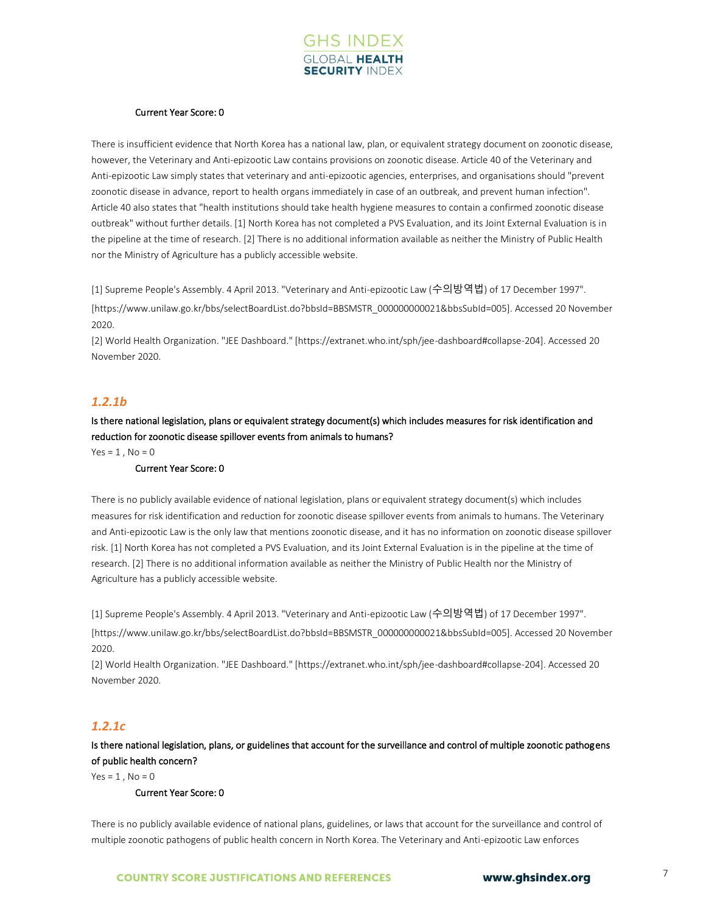

### Current Year Score: 0

There is insufficient evidence that North Korea has a national law, plan, or equivalent strategy document on zoonotic disease, however, the Veterinary and Anti-epizootic Law contains provisions on zoonotic disease. Article 40 of the Veterinary and Anti-epizootic Law simply states that veterinary and anti-epizootic agencies, enterprises, and organisations should "prevent zoonotic disease in advance, report to health organs immediately in case of an outbreak, and prevent human infection". Article 40 also states that "health institutions should take health hygiene measures to contain a confirmed zoonotic disease outbreak" without further details. [1] North Korea has not completed a PVS Evaluation, and its Joint External Evaluation is in the pipeline at the time of research. [2] There is no additional information available as neither the Ministry of Public Health nor the Ministry of Agriculture has a publicly accessible website.

[1] Supreme People's Assembly. 4 April 2013. "Veterinary and Anti-epizootic Law (수의방역법) of 17 December 1997".

[https://www.unilaw.go.kr/bbs/selectBoardList.do?bbsId=BBSMSTR\_000000000021&bbsSubId=005]. Accessed 20 November 2020.

[2] World Health Organization. "JEE Dashboard." [https://extranet.who.int/sph/jee-dashboard#collapse-204]. Accessed 20 November 2020.

## *1.2.1b*

Is there national legislation, plans or equivalent strategy document(s) which includes measures for risk identification and reduction for zoonotic disease spillover events from animals to humans?

 $Yes = 1, No = 0$ 

### Current Year Score: 0

There is no publicly available evidence of national legislation, plans or equivalent strategy document(s) which includes measures for risk identification and reduction for zoonotic disease spillover events from animals to humans. The Veterinary and Anti-epizootic Law is the only law that mentions zoonotic disease, and it has no information on zoonotic disease spillover risk. [1] North Korea has not completed a PVS Evaluation, and its Joint External Evaluation is in the pipeline at the time of research. [2] There is no additional information available as neither the Ministry of Public Health nor the Ministry of Agriculture has a publicly accessible website.

[1] Supreme People's Assembly. 4 April 2013. "Veterinary and Anti-epizootic Law (수의방역법) of 17 December 1997".

[https://www.unilaw.go.kr/bbs/selectBoardList.do?bbsId=BBSMSTR\_000000000021&bbsSubId=005]. Accessed 20 November 2020.

[2] World Health Organization. "JEE Dashboard." [https://extranet.who.int/sph/jee-dashboard#collapse-204]. Accessed 20 November 2020.

## *1.2.1c*

Is there national legislation, plans, or guidelines that account for the surveillance and control of multiple zoonotic pathogens of public health concern?

 $Yes = 1$ .  $No = 0$ 

Current Year Score: 0

There is no publicly available evidence of national plans, guidelines, or laws that account for the surveillance and control of multiple zoonotic pathogens of public health concern in North Korea. The Veterinary and Anti-epizootic Law enforces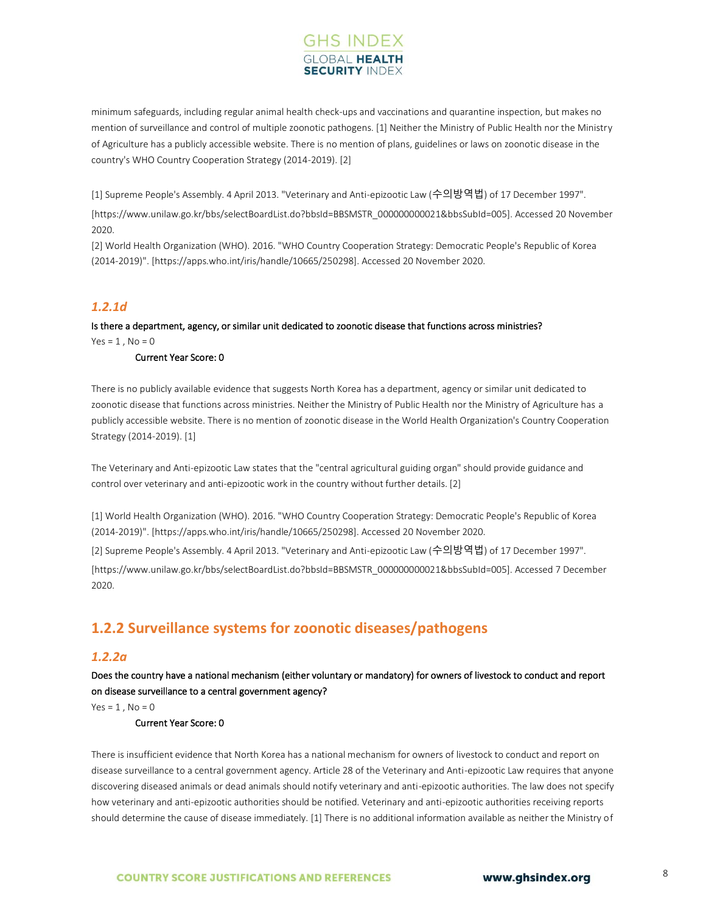## **GHS INDEX SECURITY INDI**

minimum safeguards, including regular animal health check-ups and vaccinations and quarantine inspection, but makes no mention of surveillance and control of multiple zoonotic pathogens. [1] Neither the Ministry of Public Health nor the Ministry of Agriculture has a publicly accessible website. There is no mention of plans, guidelines or laws on zoonotic disease in the country's WHO Country Cooperation Strategy (2014-2019). [2]

[1] Supreme People's Assembly. 4 April 2013. "Veterinary and Anti-epizootic Law (수의방역법) of 17 December 1997".

[https://www.unilaw.go.kr/bbs/selectBoardList.do?bbsId=BBSMSTR\_000000000021&bbsSubId=005]. Accessed 20 November 2020.

[2] World Health Organization (WHO). 2016. "WHO Country Cooperation Strategy: Democratic People's Republic of Korea (2014-2019)". [https://apps.who.int/iris/handle/10665/250298]. Accessed 20 November 2020.

## *1.2.1d*

## Is there a department, agency, or similar unit dedicated to zoonotic disease that functions across ministries?  $Yes = 1, No = 0$

### Current Year Score: 0

There is no publicly available evidence that suggests North Korea has a department, agency or similar unit dedicated to zoonotic disease that functions across ministries. Neither the Ministry of Public Health nor the Ministry of Agriculture has a publicly accessible website. There is no mention of zoonotic disease in the World Health Organization's Country Cooperation Strategy (2014-2019). [1]

The Veterinary and Anti-epizootic Law states that the "central agricultural guiding organ" should provide guidance and control over veterinary and anti-epizootic work in the country without further details. [2]

[1] World Health Organization (WHO). 2016. "WHO Country Cooperation Strategy: Democratic People's Republic of Korea (2014-2019)". [https://apps.who.int/iris/handle/10665/250298]. Accessed 20 November 2020.

[2] Supreme People's Assembly. 4 April 2013. "Veterinary and Anti-epizootic Law (수의방역법) of 17 December 1997".

[https://www.unilaw.go.kr/bbs/selectBoardList.do?bbsId=BBSMSTR\_000000000021&bbsSubId=005]. Accessed 7 December 2020.

## **1.2.2 Surveillance systems for zoonotic diseases/pathogens**

## *1.2.2a*

Does the country have a national mechanism (either voluntary or mandatory) for owners of livestock to conduct and report on disease surveillance to a central government agency?

 $Yes = 1, No = 0$ 

### Current Year Score: 0

There is insufficient evidence that North Korea has a national mechanism for owners of livestock to conduct and report on disease surveillance to a central government agency. Article 28 of the Veterinary and Anti-epizootic Law requires that anyone discovering diseased animals or dead animals should notify veterinary and anti-epizootic authorities. The law does not specify how veterinary and anti-epizootic authorities should be notified. Veterinary and anti-epizootic authorities receiving reports should determine the cause of disease immediately. [1] There is no additional information available as neither the Ministry of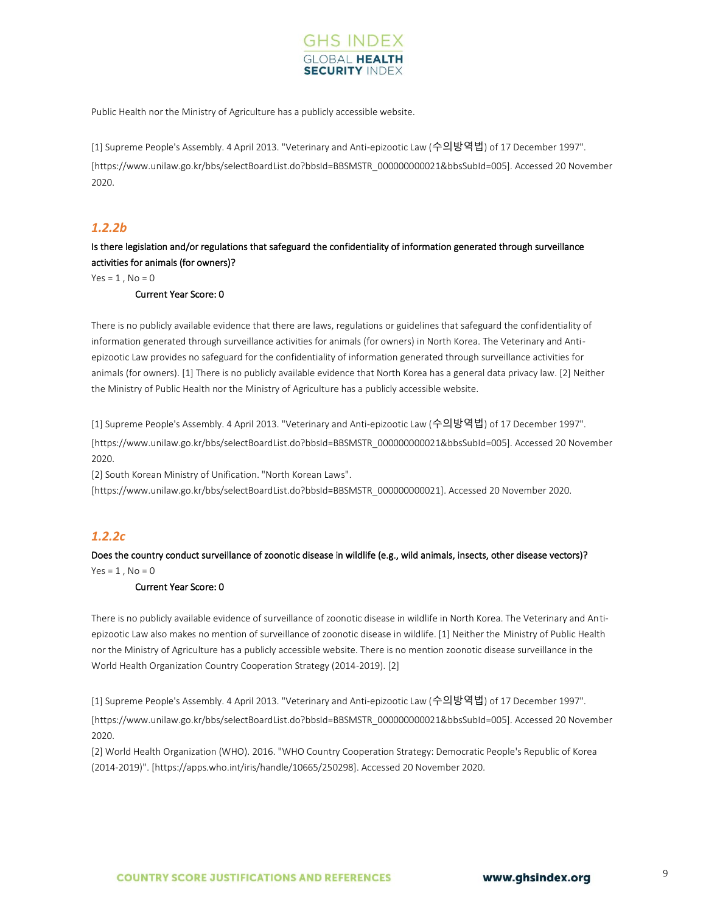

Public Health nor the Ministry of Agriculture has a publicly accessible website.

[1] Supreme People's Assembly. 4 April 2013. "Veterinary and Anti-epizootic Law (수의방역법) of 17 December 1997". [https://www.unilaw.go.kr/bbs/selectBoardList.do?bbsId=BBSMSTR\_000000000021&bbsSubId=005]. Accessed 20 November 2020.

## *1.2.2b*

Is there legislation and/or regulations that safeguard the confidentiality of information generated through surveillance activities for animals (for owners)?

 $Yes = 1, No = 0$ 

## Current Year Score: 0

There is no publicly available evidence that there are laws, regulations or guidelines that safeguard the confidentiality of information generated through surveillance activities for animals (for owners) in North Korea. The Veterinary and Antiepizootic Law provides no safeguard for the confidentiality of information generated through surveillance activities for animals (for owners). [1] There is no publicly available evidence that North Korea has a general data privacy law. [2] Neither the Ministry of Public Health nor the Ministry of Agriculture has a publicly accessible website.

[1] Supreme People's Assembly. 4 April 2013. "Veterinary and Anti-epizootic Law (수의방역법) of 17 December 1997". [https://www.unilaw.go.kr/bbs/selectBoardList.do?bbsId=BBSMSTR\_000000000021&bbsSubId=005]. Accessed 20 November 2020.

[2] South Korean Ministry of Unification. "North Korean Laws".

[https://www.unilaw.go.kr/bbs/selectBoardList.do?bbsId=BBSMSTR\_000000000021]. Accessed 20 November 2020.

## *1.2.2c*

Does the country conduct surveillance of zoonotic disease in wildlife (e.g., wild animals, insects, other disease vectors)?  $Yes = 1, No = 0$ 

### Current Year Score: 0

There is no publicly available evidence of surveillance of zoonotic disease in wildlife in North Korea. The Veterinary and Antiepizootic Law also makes no mention of surveillance of zoonotic disease in wildlife. [1] Neither the Ministry of Public Health nor the Ministry of Agriculture has a publicly accessible website. There is no mention zoonotic disease surveillance in the World Health Organization Country Cooperation Strategy (2014-2019). [2]

[1] Supreme People's Assembly. 4 April 2013. "Veterinary and Anti-epizootic Law (수의방역법) of 17 December 1997".

[https://www.unilaw.go.kr/bbs/selectBoardList.do?bbsId=BBSMSTR\_000000000021&bbsSubId=005]. Accessed 20 November 2020.

[2] World Health Organization (WHO). 2016. "WHO Country Cooperation Strategy: Democratic People's Republic of Korea (2014-2019)". [https://apps.who.int/iris/handle/10665/250298]. Accessed 20 November 2020.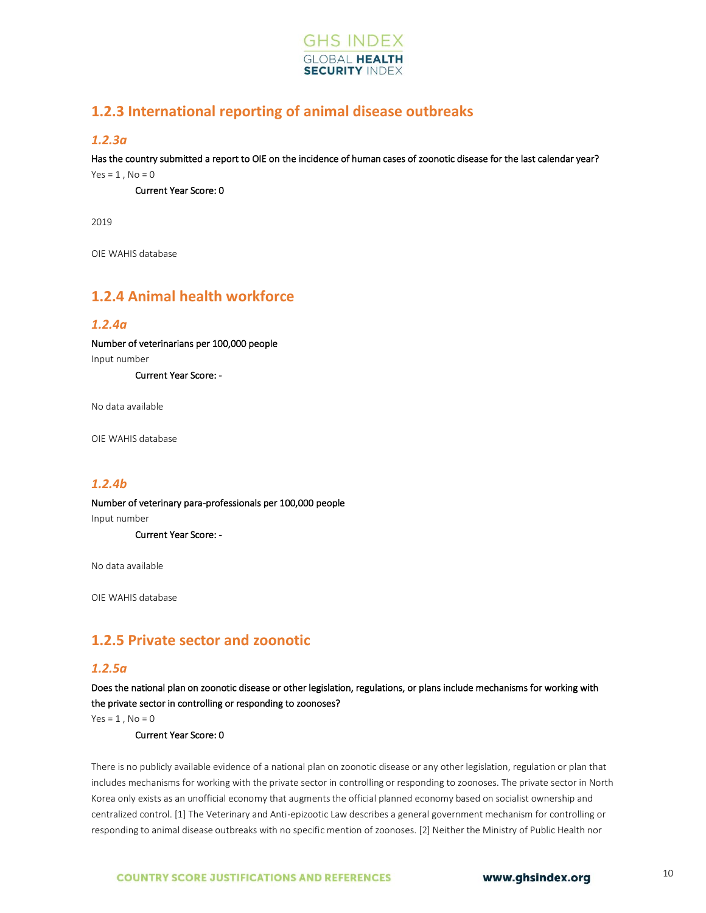

## **1.2.3 International reporting of animal disease outbreaks**

## *1.2.3a*

Has the country submitted a report to OIE on the incidence of human cases of zoonotic disease for the last calendar year?  $Yes = 1, No = 0$ 

Current Year Score: 0

2019

OIE WAHIS database

## **1.2.4 Animal health workforce**

## *1.2.4a*

Number of veterinarians per 100,000 people Input number

Current Year Score: -

No data available

OIE WAHIS database

## *1.2.4b*

Number of veterinary para-professionals per 100,000 people Input number

Current Year Score: -

No data available

OIE WAHIS database

## **1.2.5 Private sector and zoonotic**

## *1.2.5a*

Does the national plan on zoonotic disease or other legislation, regulations, or plans include mechanisms for working with the private sector in controlling or responding to zoonoses?

 $Yes = 1$ ,  $No = 0$ 

Current Year Score: 0

There is no publicly available evidence of a national plan on zoonotic disease or any other legislation, regulation or plan that includes mechanisms for working with the private sector in controlling or responding to zoonoses. The private sector in North Korea only exists as an unofficial economy that augments the official planned economy based on socialist ownership and centralized control. [1] The Veterinary and Anti-epizootic Law describes a general government mechanism for controlling or responding to animal disease outbreaks with no specific mention of zoonoses. [2] Neither the Ministry of Public Health nor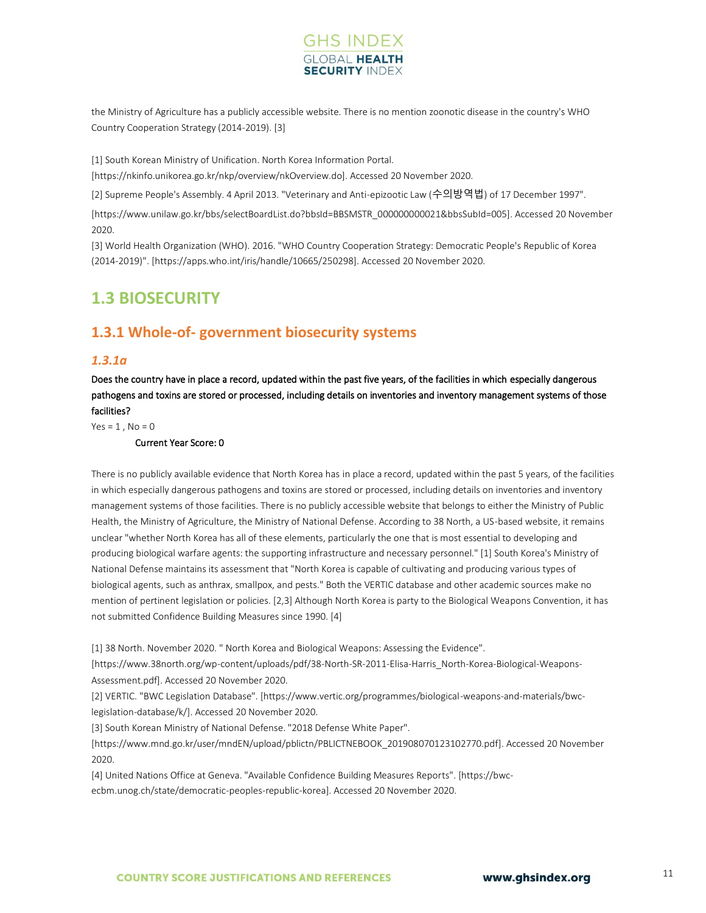

the Ministry of Agriculture has a publicly accessible website. There is no mention zoonotic disease in the country's WHO Country Cooperation Strategy (2014-2019). [3]

[1] South Korean Ministry of Unification. North Korea Information Portal.

[https://nkinfo.unikorea.go.kr/nkp/overview/nkOverview.do]. Accessed 20 November 2020.

[2] Supreme People's Assembly. 4 April 2013. "Veterinary and Anti-epizootic Law (수의방역법) of 17 December 1997".

[https://www.unilaw.go.kr/bbs/selectBoardList.do?bbsId=BBSMSTR\_000000000021&bbsSubId=005]. Accessed 20 November 2020.

[3] World Health Organization (WHO). 2016. "WHO Country Cooperation Strategy: Democratic People's Republic of Korea (2014-2019)". [https://apps.who.int/iris/handle/10665/250298]. Accessed 20 November 2020.

## <span id="page-9-0"></span>**1.3 BIOSECURITY**

## **1.3.1 Whole-of- government biosecurity systems**

## *1.3.1a*

Does the country have in place a record, updated within the past five years, of the facilities in which especially dangerous pathogens and toxins are stored or processed, including details on inventories and inventory management systems of those facilities?

 $Yes = 1$ ,  $No = 0$ 

Current Year Score: 0

There is no publicly available evidence that North Korea has in place a record, updated within the past 5 years, of the facilities in which especially dangerous pathogens and toxins are stored or processed, including details on inventories and inventory management systems of those facilities. There is no publicly accessible website that belongs to either the Ministry of Public Health, the Ministry of Agriculture, the Ministry of National Defense. According to 38 North, a US-based website, it remains unclear "whether North Korea has all of these elements, particularly the one that is most essential to developing and producing biological warfare agents: the supporting infrastructure and necessary personnel." [1] South Korea's Ministry of National Defense maintains its assessment that "North Korea is capable of cultivating and producing various types of biological agents, such as anthrax, smallpox, and pests." Both the VERTIC database and other academic sources make no mention of pertinent legislation or policies. [2,3] Although North Korea is party to the Biological Weapons Convention, it has not submitted Confidence Building Measures since 1990. [4]

[1] 38 North. November 2020. " North Korea and Biological Weapons: Assessing the Evidence".

[https://www.38north.org/wp-content/uploads/pdf/38-North-SR-2011-Elisa-Harris\_North-Korea-Biological-Weapons-Assessment.pdf]. Accessed 20 November 2020.

[2] VERTIC. "BWC Legislation Database". [https://www.vertic.org/programmes/biological-weapons-and-materials/bwclegislation-database/k/]. Accessed 20 November 2020.

[3] South Korean Ministry of National Defense. "2018 Defense White Paper".

[https://www.mnd.go.kr/user/mndEN/upload/pblictn/PBLICTNEBOOK\_201908070123102770.pdf]. Accessed 20 November 2020.

[4] United Nations Office at Geneva. "Available Confidence Building Measures Reports". [https://bwcecbm.unog.ch/state/democratic-peoples-republic-korea]. Accessed 20 November 2020.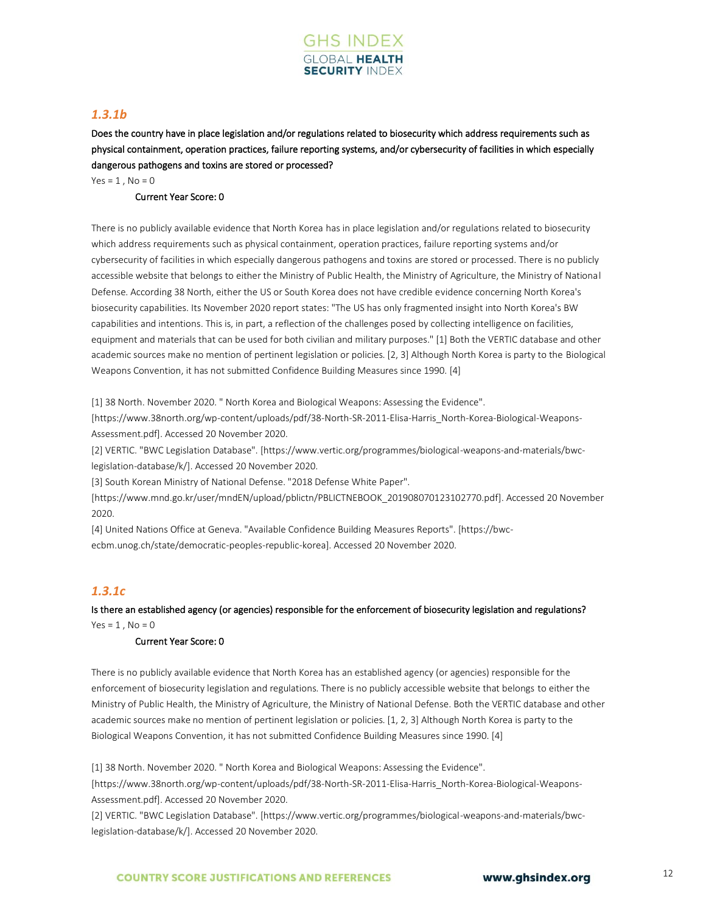

## *1.3.1b*

Does the country have in place legislation and/or regulations related to biosecurity which address requirements such as physical containment, operation practices, failure reporting systems, and/or cybersecurity of facilities in which especially dangerous pathogens and toxins are stored or processed?

 $Yes = 1, No = 0$ 

## Current Year Score: 0

There is no publicly available evidence that North Korea has in place legislation and/or regulations related to biosecurity which address requirements such as physical containment, operation practices, failure reporting systems and/or cybersecurity of facilities in which especially dangerous pathogens and toxins are stored or processed. There is no publicly accessible website that belongs to either the Ministry of Public Health, the Ministry of Agriculture, the Ministry of National Defense. According 38 North, either the US or South Korea does not have credible evidence concerning North Korea's biosecurity capabilities. Its November 2020 report states: "The US has only fragmented insight into North Korea's BW capabilities and intentions. This is, in part, a reflection of the challenges posed by collecting intelligence on facilities, equipment and materials that can be used for both civilian and military purposes." [1] Both the VERTIC database and other academic sources make no mention of pertinent legislation or policies. [2, 3] Although North Korea is party to the Biological Weapons Convention, it has not submitted Confidence Building Measures since 1990. [4]

[1] 38 North. November 2020. " North Korea and Biological Weapons: Assessing the Evidence".

[https://www.38north.org/wp-content/uploads/pdf/38-North-SR-2011-Elisa-Harris\_North-Korea-Biological-Weapons-Assessment.pdf]. Accessed 20 November 2020.

[2] VERTIC. "BWC Legislation Database". [https://www.vertic.org/programmes/biological-weapons-and-materials/bwclegislation-database/k/]. Accessed 20 November 2020.

[3] South Korean Ministry of National Defense. "2018 Defense White Paper".

[https://www.mnd.go.kr/user/mndEN/upload/pblictn/PBLICTNEBOOK\_201908070123102770.pdf]. Accessed 20 November 2020.

[4] United Nations Office at Geneva. "Available Confidence Building Measures Reports". [https://bwcecbm.unog.ch/state/democratic-peoples-republic-korea]. Accessed 20 November 2020.

## *1.3.1c*

Is there an established agency (or agencies) responsible for the enforcement of biosecurity legislation and regulations?  $Yes = 1$ .  $No = 0$ 

#### Current Year Score: 0

There is no publicly available evidence that North Korea has an established agency (or agencies) responsible for the enforcement of biosecurity legislation and regulations. There is no publicly accessible website that belongs to either the Ministry of Public Health, the Ministry of Agriculture, the Ministry of National Defense. Both the VERTIC database and other academic sources make no mention of pertinent legislation or policies. [1, 2, 3] Although North Korea is party to the Biological Weapons Convention, it has not submitted Confidence Building Measures since 1990. [4]

[1] 38 North. November 2020. " North Korea and Biological Weapons: Assessing the Evidence".

[https://www.38north.org/wp-content/uploads/pdf/38-North-SR-2011-Elisa-Harris\_North-Korea-Biological-Weapons-Assessment.pdf]. Accessed 20 November 2020.

[2] VERTIC. "BWC Legislation Database". [https://www.vertic.org/programmes/biological-weapons-and-materials/bwclegislation-database/k/]. Accessed 20 November 2020.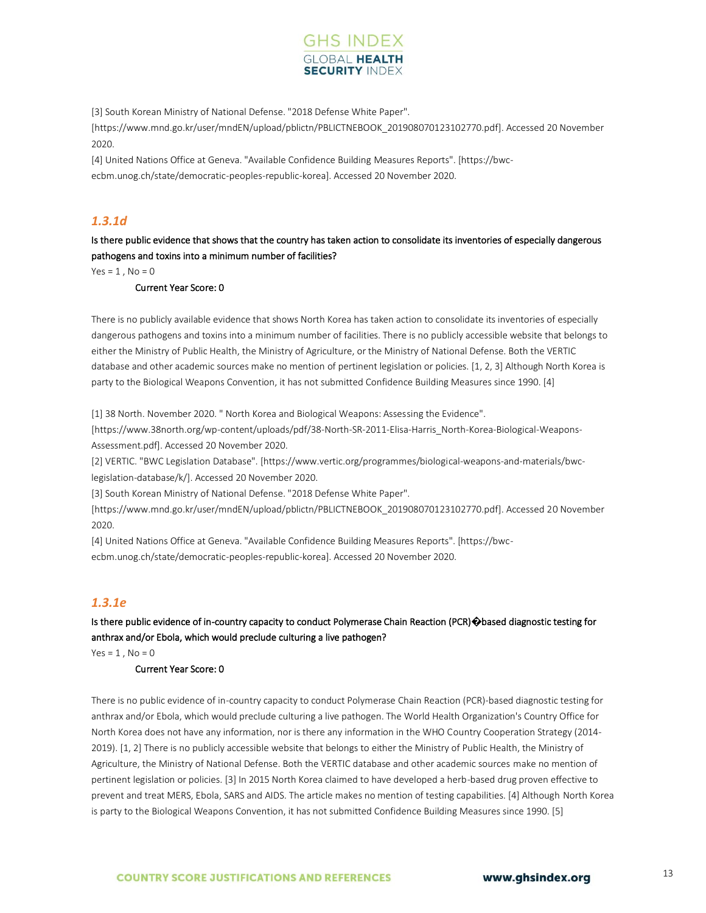

[3] South Korean Ministry of National Defense. "2018 Defense White Paper". [https://www.mnd.go.kr/user/mndEN/upload/pblictn/PBLICTNEBOOK\_201908070123102770.pdf]. Accessed 20 November 2020.

[4] United Nations Office at Geneva. "Available Confidence Building Measures Reports". [https://bwcecbm.unog.ch/state/democratic-peoples-republic-korea]. Accessed 20 November 2020.

## *1.3.1d*

Is there public evidence that shows that the country has taken action to consolidate its inventories of especially dangerous pathogens and toxins into a minimum number of facilities?

 $Yes = 1, No = 0$ 

#### Current Year Score: 0

There is no publicly available evidence that shows North Korea has taken action to consolidate its inventories of especially dangerous pathogens and toxins into a minimum number of facilities. There is no publicly accessible website that belongs to either the Ministry of Public Health, the Ministry of Agriculture, or the Ministry of National Defense. Both the VERTIC database and other academic sources make no mention of pertinent legislation or policies. [1, 2, 3] Although North Korea is party to the Biological Weapons Convention, it has not submitted Confidence Building Measures since 1990. [4]

[1] 38 North. November 2020. " North Korea and Biological Weapons: Assessing the Evidence".

[https://www.38north.org/wp-content/uploads/pdf/38-North-SR-2011-Elisa-Harris\_North-Korea-Biological-Weapons-Assessment.pdf]. Accessed 20 November 2020.

[2] VERTIC. "BWC Legislation Database". [https://www.vertic.org/programmes/biological-weapons-and-materials/bwclegislation-database/k/]. Accessed 20 November 2020.

[3] South Korean Ministry of National Defense. "2018 Defense White Paper".

[https://www.mnd.go.kr/user/mndEN/upload/pblictn/PBLICTNEBOOK\_201908070123102770.pdf]. Accessed 20 November 2020.

[4] United Nations Office at Geneva. "Available Confidence Building Measures Reports". [https://bwcecbm.unog.ch/state/democratic-peoples-republic-korea]. Accessed 20 November 2020.

## *1.3.1e*

Is there public evidence of in-country capacity to conduct Polymerase Chain Reaction (PCR)**�**based diagnostic testing for anthrax and/or Ebola, which would preclude culturing a live pathogen?

 $Yes = 1, No = 0$ 

#### Current Year Score: 0

There is no public evidence of in-country capacity to conduct Polymerase Chain Reaction (PCR)-based diagnostic testing for anthrax and/or Ebola, which would preclude culturing a live pathogen. The World Health Organization's Country Office for North Korea does not have any information, nor is there any information in the WHO Country Cooperation Strategy (2014- 2019). [1, 2] There is no publicly accessible website that belongs to either the Ministry of Public Health, the Ministry of Agriculture, the Ministry of National Defense. Both the VERTIC database and other academic sources make no mention of pertinent legislation or policies. [3] In 2015 North Korea claimed to have developed a herb-based drug proven effective to prevent and treat MERS, Ebola, SARS and AIDS. The article makes no mention of testing capabilities. [4] Although North Korea is party to the Biological Weapons Convention, it has not submitted Confidence Building Measures since 1990. [5]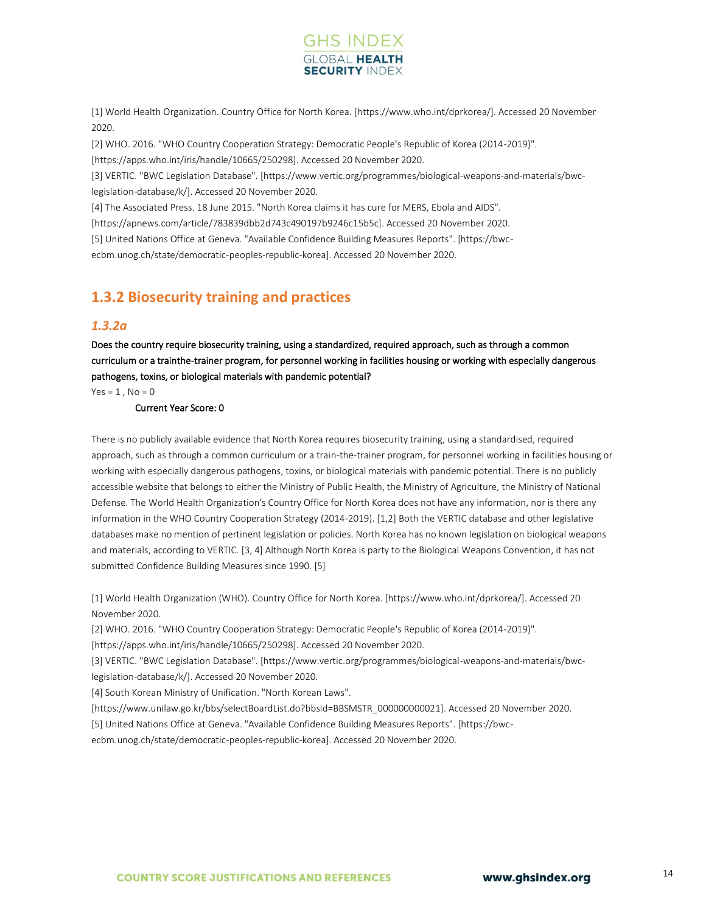

[1] World Health Organization. Country Office for North Korea. [https://www.who.int/dprkorea/]. Accessed 20 November 2020.

[2] WHO. 2016. "WHO Country Cooperation Strategy: Democratic People's Republic of Korea (2014-2019)".

[https://apps.who.int/iris/handle/10665/250298]. Accessed 20 November 2020.

[3] VERTIC. "BWC Legislation Database". [https://www.vertic.org/programmes/biological-weapons-and-materials/bwclegislation-database/k/]. Accessed 20 November 2020.

[4] The Associated Press. 18 June 2015. "North Korea claims it has cure for MERS, Ebola and AIDS".

[https://apnews.com/article/783839dbb2d743c490197b9246c15b5c]. Accessed 20 November 2020.

[5] United Nations Office at Geneva. "Available Confidence Building Measures Reports". [https://bwc-

ecbm.unog.ch/state/democratic-peoples-republic-korea]. Accessed 20 November 2020.

## **1.3.2 Biosecurity training and practices**

### *1.3.2a*

Does the country require biosecurity training, using a standardized, required approach, such as through a common curriculum or a trainthe-trainer program, for personnel working in facilities housing or working with especially dangerous pathogens, toxins, or biological materials with pandemic potential?

 $Yes = 1, No = 0$ 

#### Current Year Score: 0

There is no publicly available evidence that North Korea requires biosecurity training, using a standardised, required approach, such as through a common curriculum or a train-the-trainer program, for personnel working in facilities housing or working with especially dangerous pathogens, toxins, or biological materials with pandemic potential. There is no publicly accessible website that belongs to either the Ministry of Public Health, the Ministry of Agriculture, the Ministry of National Defense. The World Health Organization's Country Office for North Korea does not have any information, nor is there any information in the WHO Country Cooperation Strategy (2014-2019). [1,2] Both the VERTIC database and other legislative databases make no mention of pertinent legislation or policies. North Korea has no known legislation on biological weapons and materials, according to VERTIC. [3, 4] Although North Korea is party to the Biological Weapons Convention, it has not submitted Confidence Building Measures since 1990. [5]

[1] World Health Organization (WHO). Country Office for North Korea. [https://www.who.int/dprkorea/]. Accessed 20 November 2020.

[2] WHO. 2016. "WHO Country Cooperation Strategy: Democratic People's Republic of Korea (2014-2019)".

[https://apps.who.int/iris/handle/10665/250298]. Accessed 20 November 2020.

[3] VERTIC. "BWC Legislation Database". [https://www.vertic.org/programmes/biological-weapons-and-materials/bwclegislation-database/k/]. Accessed 20 November 2020.

[4] South Korean Ministry of Unification. "North Korean Laws".

[https://www.unilaw.go.kr/bbs/selectBoardList.do?bbsId=BBSMSTR\_000000000021]. Accessed 20 November 2020.

[5] United Nations Office at Geneva. "Available Confidence Building Measures Reports". [https://bwc-

ecbm.unog.ch/state/democratic-peoples-republic-korea]. Accessed 20 November 2020.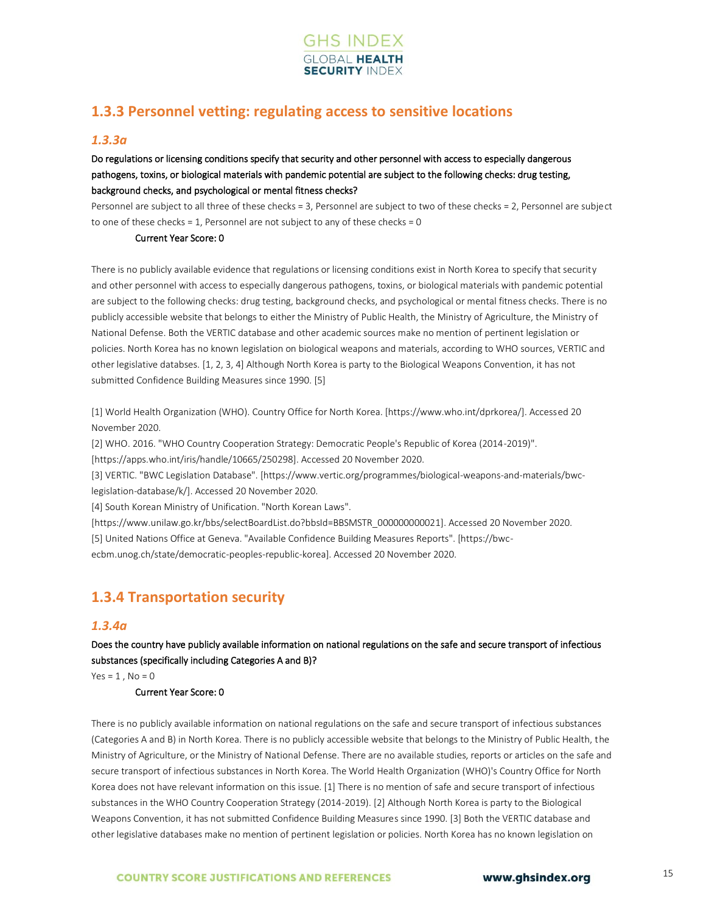

## **1.3.3 Personnel vetting: regulating access to sensitive locations**

### *1.3.3a*

## Do regulations or licensing conditions specify that security and other personnel with access to especially dangerous pathogens, toxins, or biological materials with pandemic potential are subject to the following checks: drug testing, background checks, and psychological or mental fitness checks?

Personnel are subject to all three of these checks = 3, Personnel are subject to two of these checks = 2, Personnel are subject to one of these checks = 1, Personnel are not subject to any of these checks =  $0$ 

#### Current Year Score: 0

There is no publicly available evidence that regulations or licensing conditions exist in North Korea to specify that security and other personnel with access to especially dangerous pathogens, toxins, or biological materials with pandemic potential are subject to the following checks: drug testing, background checks, and psychological or mental fitness checks. There is no publicly accessible website that belongs to either the Ministry of Public Health, the Ministry of Agriculture, the Ministry of National Defense. Both the VERTIC database and other academic sources make no mention of pertinent legislation or policies. North Korea has no known legislation on biological weapons and materials, according to WHO sources, VERTIC and other legislative databses. [1, 2, 3, 4] Although North Korea is party to the Biological Weapons Convention, it has not submitted Confidence Building Measures since 1990. [5]

[1] World Health Organization (WHO). Country Office for North Korea. [https://www.who.int/dprkorea/]. Accessed 20 November 2020.

[2] WHO. 2016. "WHO Country Cooperation Strategy: Democratic People's Republic of Korea (2014-2019)".

[https://apps.who.int/iris/handle/10665/250298]. Accessed 20 November 2020.

[3] VERTIC. "BWC Legislation Database". [https://www.vertic.org/programmes/biological-weapons-and-materials/bwclegislation-database/k/]. Accessed 20 November 2020.

[4] South Korean Ministry of Unification. "North Korean Laws".

[https://www.unilaw.go.kr/bbs/selectBoardList.do?bbsId=BBSMSTR\_000000000021]. Accessed 20 November 2020. [5] United Nations Office at Geneva. "Available Confidence Building Measures Reports". [https://bwc-

ecbm.unog.ch/state/democratic-peoples-republic-korea]. Accessed 20 November 2020.

## **1.3.4 Transportation security**

## *1.3.4a*

Does the country have publicly available information on national regulations on the safe and secure transport of infectious substances (specifically including Categories A and B)?

 $Yes = 1$ .  $No = 0$ 

### Current Year Score: 0

There is no publicly available information on national regulations on the safe and secure transport of infectious substances (Categories A and B) in North Korea. There is no publicly accessible website that belongs to the Ministry of Public Health, the Ministry of Agriculture, or the Ministry of National Defense. There are no available studies, reports or articles on the safe and secure transport of infectious substances in North Korea. The World Health Organization (WHO)'s Country Office for North Korea does not have relevant information on this issue. [1] There is no mention of safe and secure transport of infectious substances in the WHO Country Cooperation Strategy (2014-2019). [2] Although North Korea is party to the Biological Weapons Convention, it has not submitted Confidence Building Measures since 1990. [3] Both the VERTIC database and other legislative databases make no mention of pertinent legislation or policies. North Korea has no known legislation on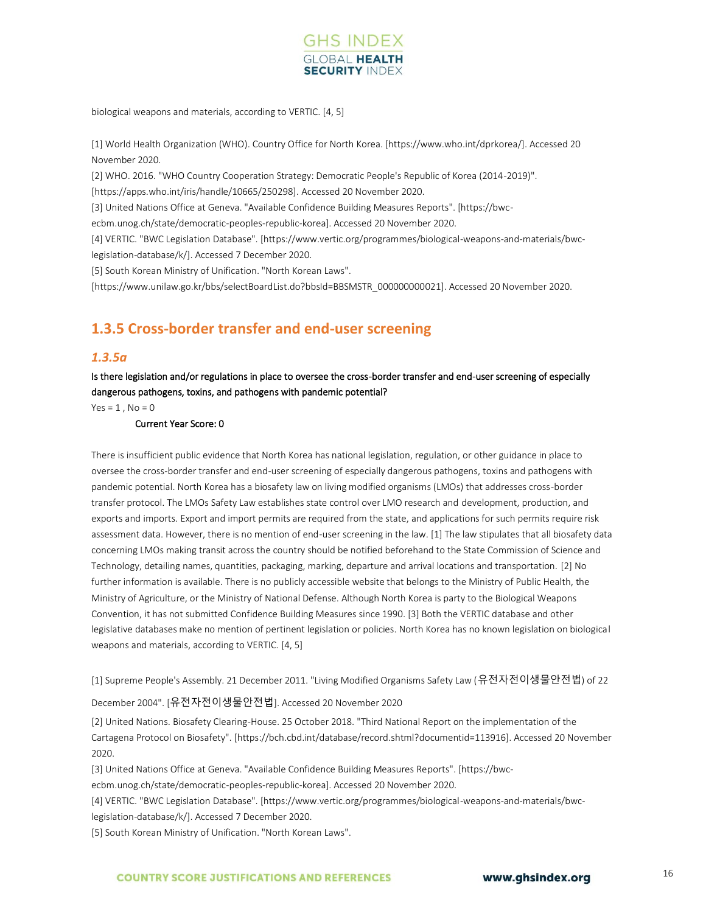

biological weapons and materials, according to VERTIC. [4, 5]

[1] World Health Organization (WHO). Country Office for North Korea. [https://www.who.int/dprkorea/]. Accessed 20 November 2020.

[2] WHO. 2016. "WHO Country Cooperation Strategy: Democratic People's Republic of Korea (2014-2019)".

[https://apps.who.int/iris/handle/10665/250298]. Accessed 20 November 2020.

[3] United Nations Office at Geneva. "Available Confidence Building Measures Reports". [https://bwc-

ecbm.unog.ch/state/democratic-peoples-republic-korea]. Accessed 20 November 2020.

[4] VERTIC. "BWC Legislation Database". [https://www.vertic.org/programmes/biological-weapons-and-materials/bwclegislation-database/k/]. Accessed 7 December 2020.

[5] South Korean Ministry of Unification. "North Korean Laws".

[https://www.unilaw.go.kr/bbs/selectBoardList.do?bbsId=BBSMSTR\_000000000021]. Accessed 20 November 2020.

## **1.3.5 Cross-border transfer and end-user screening**

### *1.3.5a*

Is there legislation and/or regulations in place to oversee the cross-border transfer and end-user screening of especially dangerous pathogens, toxins, and pathogens with pandemic potential?

 $Yes = 1$ ,  $No = 0$ 

#### Current Year Score: 0

There is insufficient public evidence that North Korea has national legislation, regulation, or other guidance in place to oversee the cross-border transfer and end-user screening of especially dangerous pathogens, toxins and pathogens with pandemic potential. North Korea has a biosafety law on living modified organisms (LMOs) that addresses cross-border transfer protocol. The LMOs Safety Law establishes state control over LMO research and development, production, and exports and imports. Export and import permits are required from the state, and applications for such permits require risk assessment data. However, there is no mention of end-user screening in the law. [1] The law stipulates that all biosafety data concerning LMOs making transit across the country should be notified beforehand to the State Commission of Science and Technology, detailing names, quantities, packaging, marking, departure and arrival locations and transportation. [2] No further information is available. There is no publicly accessible website that belongs to the Ministry of Public Health, the Ministry of Agriculture, or the Ministry of National Defense. Although North Korea is party to the Biological Weapons Convention, it has not submitted Confidence Building Measures since 1990. [3] Both the VERTIC database and other legislative databases make no mention of pertinent legislation or policies. North Korea has no known legislation on biological weapons and materials, according to VERTIC. [4, 5]

[1] Supreme People's Assembly. 21 December 2011. "Living Modified Organisms Safety Law (유전자전이생물안전법) of 22

### December 2004". [유전자전이생물안전법]. Accessed 20 November 2020

[2] United Nations. Biosafety Clearing-House. 25 October 2018. "Third National Report on the implementation of the Cartagena Protocol on Biosafety". [https://bch.cbd.int/database/record.shtml?documentid=113916]. Accessed 20 November 2020.

[3] United Nations Office at Geneva. "Available Confidence Building Measures Reports". [https://bwc-

ecbm.unog.ch/state/democratic-peoples-republic-korea]. Accessed 20 November 2020.

[4] VERTIC. "BWC Legislation Database". [https://www.vertic.org/programmes/biological-weapons-and-materials/bwc-

legislation-database/k/]. Accessed 7 December 2020.

[5] South Korean Ministry of Unification. "North Korean Laws".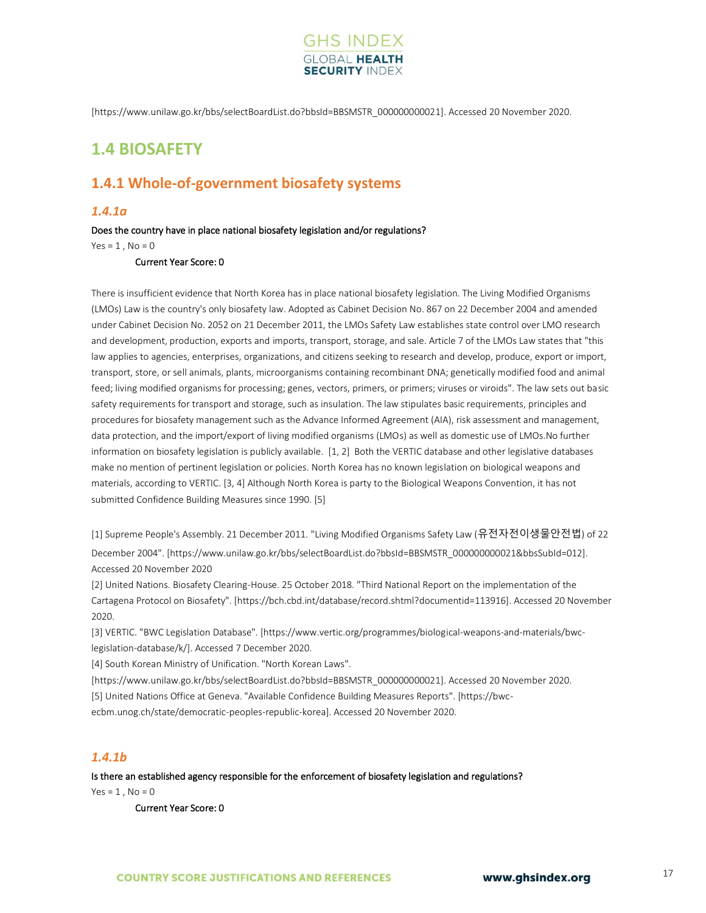

[https://www.unilaw.go.kr/bbs/selectBoardList.do?bbsId=BBSMSTR\_000000000021]. Accessed 20 November 2020.

## <span id="page-15-0"></span>**1.4 BIOSAFETY**

## **1.4.1 Whole-of-government biosafety systems**

## *1.4.1a*

#### Does the country have in place national biosafety legislation and/or regulations?

 $Yes = 1$ ,  $No = 0$ 

Current Year Score: 0

There is insufficient evidence that North Korea has in place national biosafety legislation. The Living Modified Organisms (LMOs) Law is the country's only biosafety law. Adopted as Cabinet Decision No. 867 on 22 December 2004 and amended under Cabinet Decision No. 2052 on 21 December 2011, the LMOs Safety Law establishes state control over LMO research and development, production, exports and imports, transport, storage, and sale. Article 7 of the LMOs Law states that "this law applies to agencies, enterprises, organizations, and citizens seeking to research and develop, produce, export or import, transport, store, or sell animals, plants, microorganisms containing recombinant DNA; genetically modified food and animal feed; living modified organisms for processing; genes, vectors, primers, or primers; viruses or viroids". The law sets out basic safety requirements for transport and storage, such as insulation. The law stipulates basic requirements, principles and procedures for biosafety management such as the Advance Informed Agreement (AIA), risk assessment and management, data protection, and the import/export of living modified organisms (LMOs) as well as domestic use of LMOs.No further information on biosafety legislation is publicly available. [1, 2] Both the VERTIC database and other legislative databases make no mention of pertinent legislation or policies. North Korea has no known legislation on biological weapons and materials, according to VERTIC. [3, 4] Although North Korea is party to the Biological Weapons Convention, it has not submitted Confidence Building Measures since 1990. [5]

[1] Supreme People's Assembly. 21 December 2011. "Living Modified Organisms Safety Law (유전자전이생물안전법) of 22 December 2004". [https://www.unilaw.go.kr/bbs/selectBoardList.do?bbsId=BBSMSTR\_000000000021&bbsSubId=012]. Accessed 20 November 2020

[2] United Nations. Biosafety Clearing-House. 25 October 2018. "Third National Report on the implementation of the Cartagena Protocol on Biosafety". [https://bch.cbd.int/database/record.shtml?documentid=113916]. Accessed 20 November 2020.

[3] VERTIC. "BWC Legislation Database". [https://www.vertic.org/programmes/biological-weapons-and-materials/bwclegislation-database/k/]. Accessed 7 December 2020.

[4] South Korean Ministry of Unification. "North Korean Laws".

[https://www.unilaw.go.kr/bbs/selectBoardList.do?bbsId=BBSMSTR\_000000000021]. Accessed 20 November 2020.

[5] United Nations Office at Geneva. "Available Confidence Building Measures Reports". [https://bwc-

ecbm.unog.ch/state/democratic-peoples-republic-korea]. Accessed 20 November 2020.

## *1.4.1b*

Is there an established agency responsible for the enforcement of biosafety legislation and regulations?

 $Yes = 1$ .  $No = 0$ 

Current Year Score: 0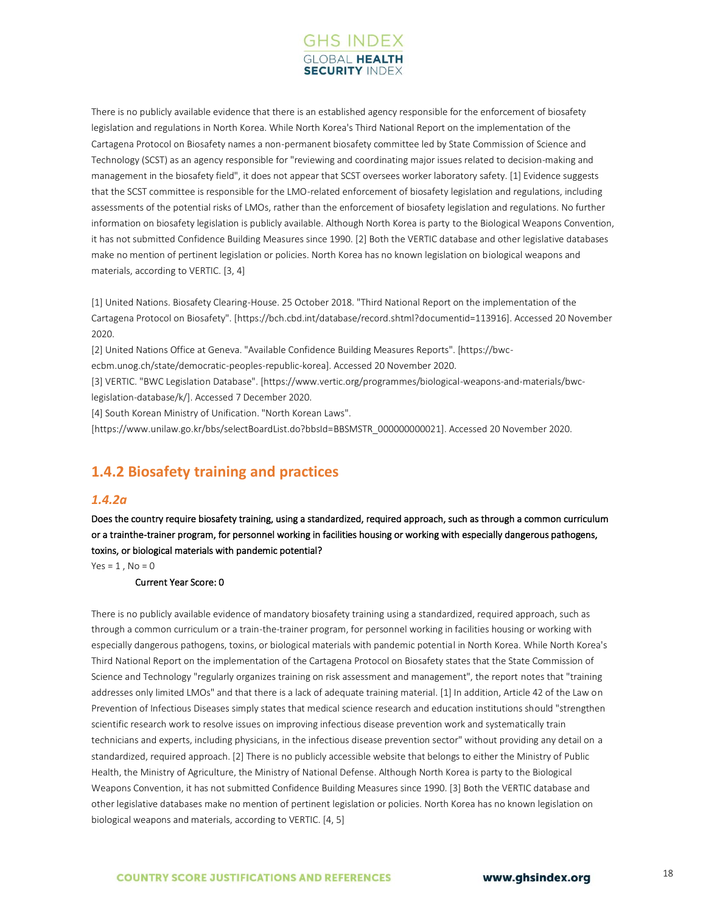

There is no publicly available evidence that there is an established agency responsible for the enforcement of biosafety legislation and regulations in North Korea. While North Korea's Third National Report on the implementation of the Cartagena Protocol on Biosafety names a non-permanent biosafety committee led by State Commission of Science and Technology (SCST) as an agency responsible for "reviewing and coordinating major issues related to decision-making and management in the biosafety field", it does not appear that SCST oversees worker laboratory safety. [1] Evidence suggests that the SCST committee is responsible for the LMO-related enforcement of biosafety legislation and regulations, including assessments of the potential risks of LMOs, rather than the enforcement of biosafety legislation and regulations. No further information on biosafety legislation is publicly available. Although North Korea is party to the Biological Weapons Convention, it has not submitted Confidence Building Measures since 1990. [2] Both the VERTIC database and other legislative databases make no mention of pertinent legislation or policies. North Korea has no known legislation on biological weapons and materials, according to VERTIC. [3, 4]

[1] United Nations. Biosafety Clearing-House. 25 October 2018. "Third National Report on the implementation of the Cartagena Protocol on Biosafety". [https://bch.cbd.int/database/record.shtml?documentid=113916]. Accessed 20 November 2020.

[2] United Nations Office at Geneva. "Available Confidence Building Measures Reports". [https://bwc-

ecbm.unog.ch/state/democratic-peoples-republic-korea]. Accessed 20 November 2020.

[3] VERTIC. "BWC Legislation Database". [https://www.vertic.org/programmes/biological-weapons-and-materials/bwclegislation-database/k/]. Accessed 7 December 2020.

[4] South Korean Ministry of Unification. "North Korean Laws".

[https://www.unilaw.go.kr/bbs/selectBoardList.do?bbsId=BBSMSTR\_000000000021]. Accessed 20 November 2020.

## **1.4.2 Biosafety training and practices**

## *1.4.2a*

Does the country require biosafety training, using a standardized, required approach, such as through a common curriculum or a trainthe-trainer program, for personnel working in facilities housing or working with especially dangerous pathogens, toxins, or biological materials with pandemic potential?

 $Yes = 1$ .  $No = 0$ 

Current Year Score: 0

There is no publicly available evidence of mandatory biosafety training using a standardized, required approach, such as through a common curriculum or a train-the-trainer program, for personnel working in facilities housing or working with especially dangerous pathogens, toxins, or biological materials with pandemic potential in North Korea. While North Korea's Third National Report on the implementation of the Cartagena Protocol on Biosafety states that the State Commission of Science and Technology "regularly organizes training on risk assessment and management", the report notes that "training addresses only limited LMOs" and that there is a lack of adequate training material. [1] In addition, Article 42 of the Law on Prevention of Infectious Diseases simply states that medical science research and education institutions should "strengthen scientific research work to resolve issues on improving infectious disease prevention work and systematically train technicians and experts, including physicians, in the infectious disease prevention sector" without providing any detail on a standardized, required approach. [2] There is no publicly accessible website that belongs to either the Ministry of Public Health, the Ministry of Agriculture, the Ministry of National Defense. Although North Korea is party to the Biological Weapons Convention, it has not submitted Confidence Building Measures since 1990. [3] Both the VERTIC database and other legislative databases make no mention of pertinent legislation or policies. North Korea has no known legislation on biological weapons and materials, according to VERTIC. [4, 5]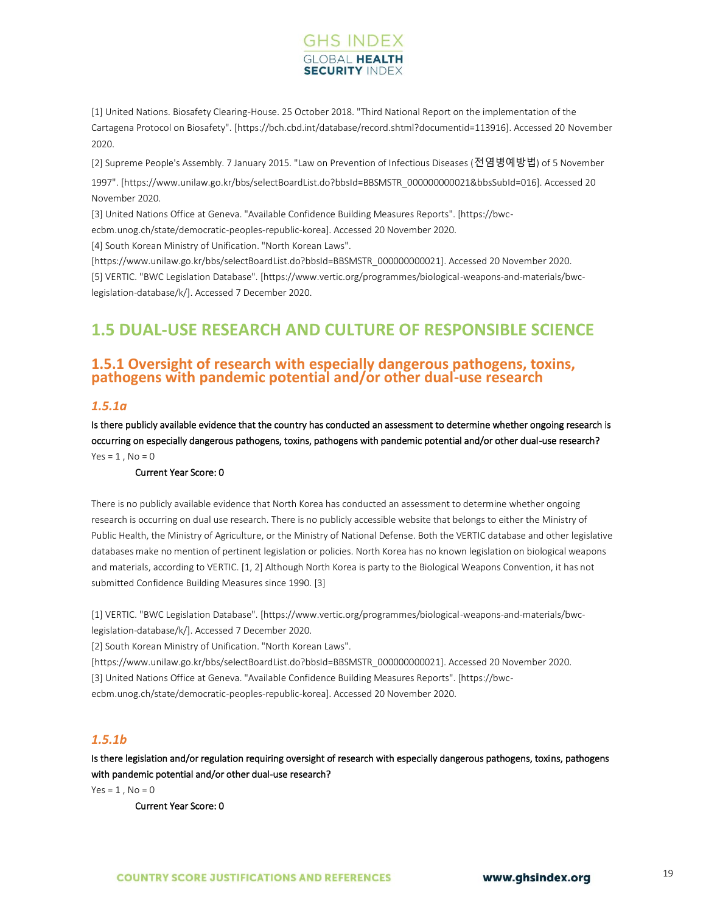## **GHS INDEX SECURITY INDE**

[1] United Nations. Biosafety Clearing-House. 25 October 2018. "Third National Report on the implementation of the Cartagena Protocol on Biosafety". [https://bch.cbd.int/database/record.shtml?documentid=113916]. Accessed 20 November 2020.

[2] Supreme People's Assembly. 7 January 2015. "Law on Prevention of Infectious Diseases (전염병예방법) of 5 November

1997". [https://www.unilaw.go.kr/bbs/selectBoardList.do?bbsId=BBSMSTR\_000000000021&bbsSubId=016]. Accessed 20 November 2020.

[3] United Nations Office at Geneva. "Available Confidence Building Measures Reports". [https://bwc-

ecbm.unog.ch/state/democratic-peoples-republic-korea]. Accessed 20 November 2020.

[4] South Korean Ministry of Unification. "North Korean Laws".

[https://www.unilaw.go.kr/bbs/selectBoardList.do?bbsId=BBSMSTR\_000000000021]. Accessed 20 November 2020. [5] VERTIC. "BWC Legislation Database". [https://www.vertic.org/programmes/biological-weapons-and-materials/bwclegislation-database/k/]. Accessed 7 December 2020.

## <span id="page-17-0"></span>**1.5 DUAL-USE RESEARCH AND CULTURE OF RESPONSIBLE SCIENCE**

## **1.5.1 Oversight of research with especially dangerous pathogens, toxins, pathogens with pandemic potential and/or other dual-use research**

## *1.5.1a*

Is there publicly available evidence that the country has conducted an assessment to determine whether ongoing research is occurring on especially dangerous pathogens, toxins, pathogens with pandemic potential and/or other dual-use research?  $Yes = 1, No = 0$ 

## Current Year Score: 0

There is no publicly available evidence that North Korea has conducted an assessment to determine whether ongoing research is occurring on dual use research. There is no publicly accessible website that belongs to either the Ministry of Public Health, the Ministry of Agriculture, or the Ministry of National Defense. Both the VERTIC database and other legislative databases make no mention of pertinent legislation or policies. North Korea has no known legislation on biological weapons and materials, according to VERTIC. [1, 2] Although North Korea is party to the Biological Weapons Convention, it has not submitted Confidence Building Measures since 1990. [3]

[1] VERTIC. "BWC Legislation Database". [https://www.vertic.org/programmes/biological-weapons-and-materials/bwclegislation-database/k/]. Accessed 7 December 2020.

[2] South Korean Ministry of Unification. "North Korean Laws".

[https://www.unilaw.go.kr/bbs/selectBoardList.do?bbsId=BBSMSTR\_000000000021]. Accessed 20 November 2020.

[3] United Nations Office at Geneva. "Available Confidence Building Measures Reports". [https://bwc-

ecbm.unog.ch/state/democratic-peoples-republic-korea]. Accessed 20 November 2020.

## *1.5.1b*

Is there legislation and/or regulation requiring oversight of research with especially dangerous pathogens, toxins, pathogens with pandemic potential and/or other dual-use research?

 $Yes = 1, No = 0$ 

Current Year Score: 0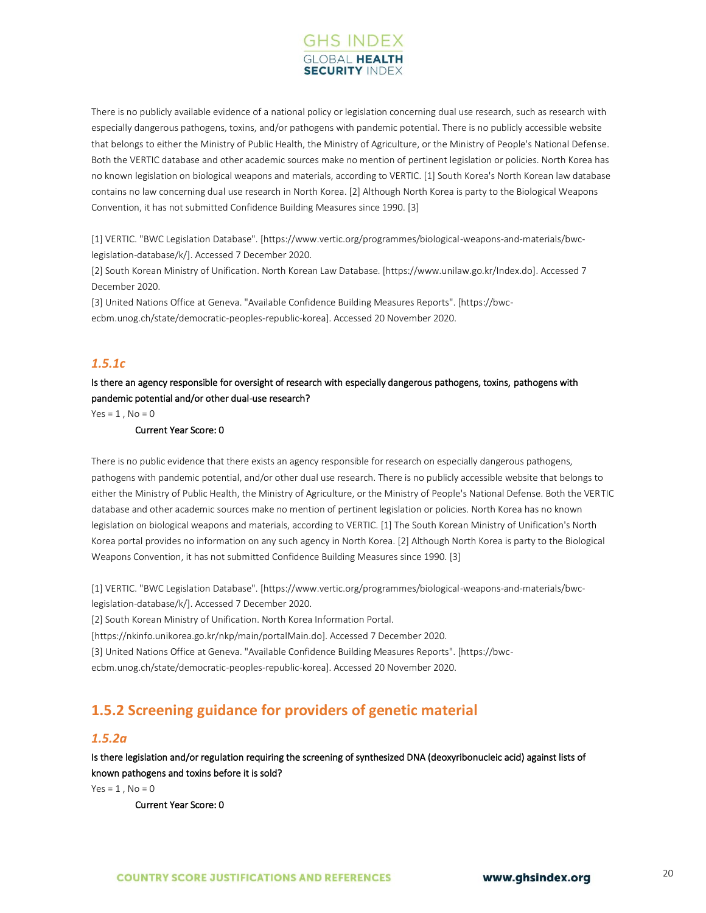

There is no publicly available evidence of a national policy or legislation concerning dual use research, such as research with especially dangerous pathogens, toxins, and/or pathogens with pandemic potential. There is no publicly accessible website that belongs to either the Ministry of Public Health, the Ministry of Agriculture, or the Ministry of People's National Defense. Both the VERTIC database and other academic sources make no mention of pertinent legislation or policies. North Korea has no known legislation on biological weapons and materials, according to VERTIC. [1] South Korea's North Korean law database contains no law concerning dual use research in North Korea. [2] Although North Korea is party to the Biological Weapons Convention, it has not submitted Confidence Building Measures since 1990. [3]

[1] VERTIC. "BWC Legislation Database". [https://www.vertic.org/programmes/biological-weapons-and-materials/bwclegislation-database/k/]. Accessed 7 December 2020.

[2] South Korean Ministry of Unification. North Korean Law Database. [https://www.unilaw.go.kr/Index.do]. Accessed 7 December 2020.

[3] United Nations Office at Geneva. "Available Confidence Building Measures Reports". [https://bwcecbm.unog.ch/state/democratic-peoples-republic-korea]. Accessed 20 November 2020.

## *1.5.1c*

Is there an agency responsible for oversight of research with especially dangerous pathogens, toxins, pathogens with pandemic potential and/or other dual-use research?

 $Yes = 1$ .  $No = 0$ 

### Current Year Score: 0

There is no public evidence that there exists an agency responsible for research on especially dangerous pathogens, pathogens with pandemic potential, and/or other dual use research. There is no publicly accessible website that belongs to either the Ministry of Public Health, the Ministry of Agriculture, or the Ministry of People's National Defense. Both the VERTIC database and other academic sources make no mention of pertinent legislation or policies. North Korea has no known legislation on biological weapons and materials, according to VERTIC. [1] The South Korean Ministry of Unification's North Korea portal provides no information on any such agency in North Korea. [2] Although North Korea is party to the Biological Weapons Convention, it has not submitted Confidence Building Measures since 1990. [3]

[1] VERTIC. "BWC Legislation Database". [https://www.vertic.org/programmes/biological-weapons-and-materials/bwclegislation-database/k/]. Accessed 7 December 2020.

[2] South Korean Ministry of Unification. North Korea Information Portal.

[https://nkinfo.unikorea.go.kr/nkp/main/portalMain.do]. Accessed 7 December 2020.

[3] United Nations Office at Geneva. "Available Confidence Building Measures Reports". [https://bwc-

ecbm.unog.ch/state/democratic-peoples-republic-korea]. Accessed 20 November 2020.

## **1.5.2 Screening guidance for providers of genetic material**

## *1.5.2a*

Is there legislation and/or regulation requiring the screening of synthesized DNA (deoxyribonucleic acid) against lists of known pathogens and toxins before it is sold?

 $Yes = 1$ .  $No = 0$ 

Current Year Score: 0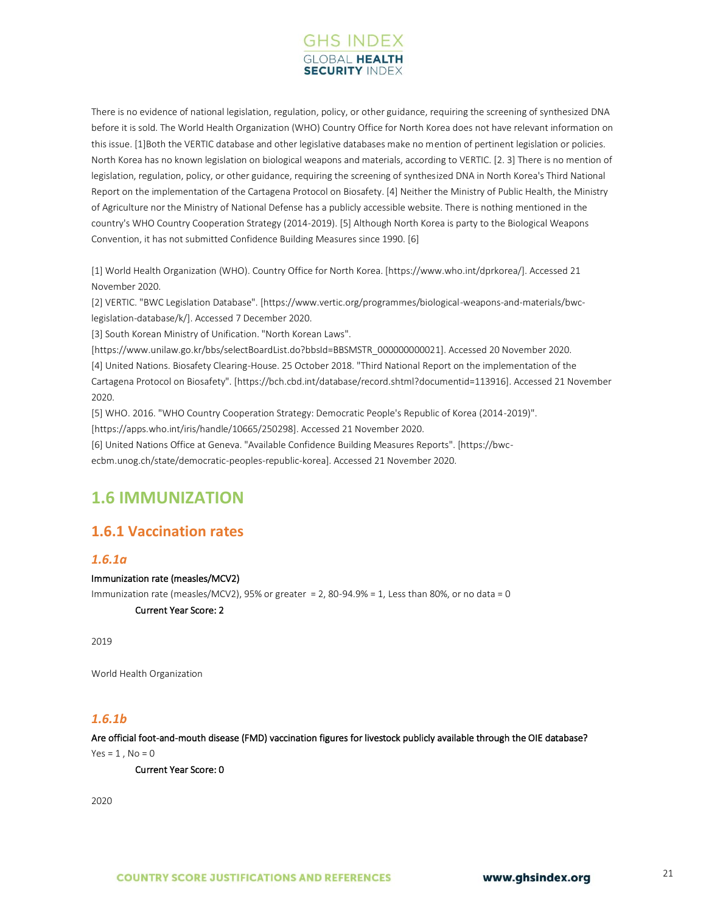

There is no evidence of national legislation, regulation, policy, or other guidance, requiring the screening of synthesized DNA before it is sold. The World Health Organization (WHO) Country Office for North Korea does not have relevant information on this issue. [1]Both the VERTIC database and other legislative databases make no mention of pertinent legislation or policies. North Korea has no known legislation on biological weapons and materials, according to VERTIC. [2. 3] There is no mention of legislation, regulation, policy, or other guidance, requiring the screening of synthesized DNA in North Korea's Third National Report on the implementation of the Cartagena Protocol on Biosafety. [4] Neither the Ministry of Public Health, the Ministry of Agriculture nor the Ministry of National Defense has a publicly accessible website. There is nothing mentioned in the country's WHO Country Cooperation Strategy (2014-2019). [5] Although North Korea is party to the Biological Weapons Convention, it has not submitted Confidence Building Measures since 1990. [6]

[1] World Health Organization (WHO). Country Office for North Korea. [https://www.who.int/dprkorea/]. Accessed 21 November 2020.

[2] VERTIC. "BWC Legislation Database". [https://www.vertic.org/programmes/biological-weapons-and-materials/bwclegislation-database/k/]. Accessed 7 December 2020.

[3] South Korean Ministry of Unification. "North Korean Laws".

[https://www.unilaw.go.kr/bbs/selectBoardList.do?bbsId=BBSMSTR\_000000000021]. Accessed 20 November 2020. [4] United Nations. Biosafety Clearing-House. 25 October 2018. "Third National Report on the implementation of the Cartagena Protocol on Biosafety". [https://bch.cbd.int/database/record.shtml?documentid=113916]. Accessed 21 November 2020.

[5] WHO. 2016. "WHO Country Cooperation Strategy: Democratic People's Republic of Korea (2014-2019)". [https://apps.who.int/iris/handle/10665/250298]. Accessed 21 November 2020.

[6] United Nations Office at Geneva. "Available Confidence Building Measures Reports". [https://bwc-

ecbm.unog.ch/state/democratic-peoples-republic-korea]. Accessed 21 November 2020.

## <span id="page-19-0"></span>**1.6 IMMUNIZATION**

## **1.6.1 Vaccination rates**

## *1.6.1a*

## Immunization rate (measles/MCV2)

Immunization rate (measles/MCV2), 95% or greater = 2, 80-94.9% = 1, Less than 80%, or no data = 0

Current Year Score: 2

2019

World Health Organization

## *1.6.1b*

Are official foot-and-mouth disease (FMD) vaccination figures for livestock publicly available through the OIE database?

 $Yes = 1, No = 0$ 

Current Year Score: 0

2020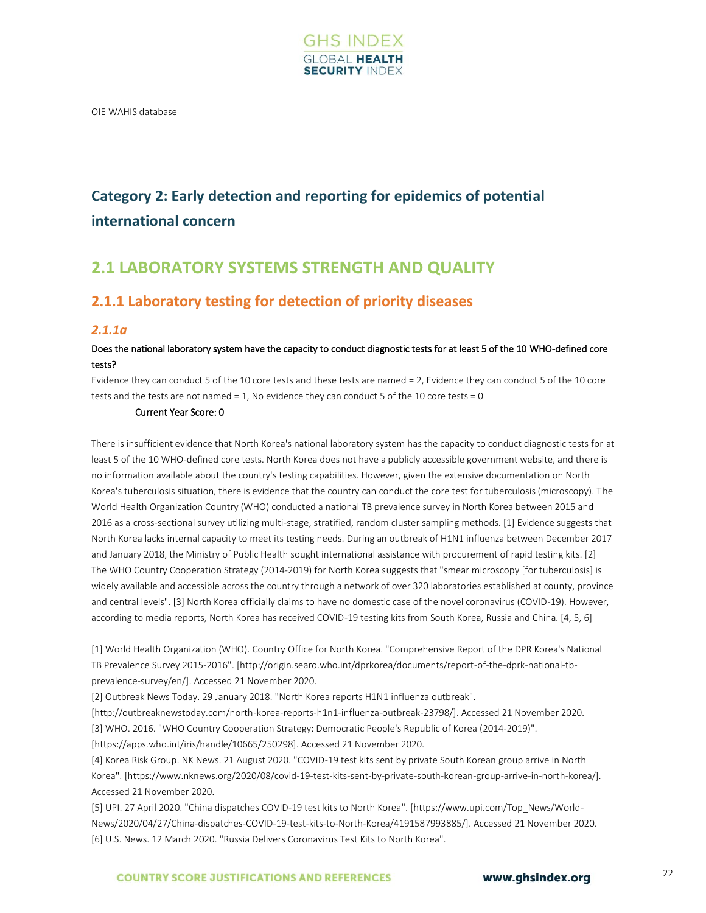

<span id="page-20-0"></span>OIE WAHIS database

## **Category 2: Early detection and reporting for epidemics of potential international concern**

## <span id="page-20-1"></span>**2.1 LABORATORY SYSTEMS STRENGTH AND QUALITY**

## **2.1.1 Laboratory testing for detection of priority diseases**

## *2.1.1a*

## Does the national laboratory system have the capacity to conduct diagnostic tests for at least 5 of the 10 WHO-defined core tests?

Evidence they can conduct 5 of the 10 core tests and these tests are named = 2, Evidence they can conduct 5 of the 10 core tests and the tests are not named = 1, No evidence they can conduct 5 of the 10 core tests = 0

## Current Year Score: 0

There is insufficient evidence that North Korea's national laboratory system has the capacity to conduct diagnostic tests for at least 5 of the 10 WHO-defined core tests. North Korea does not have a publicly accessible government website, and there is no information available about the country's testing capabilities. However, given the extensive documentation on North Korea's tuberculosis situation, there is evidence that the country can conduct the core test for tuberculosis (microscopy). The World Health Organization Country (WHO) conducted a national TB prevalence survey in North Korea between 2015 and 2016 as a cross-sectional survey utilizing multi-stage, stratified, random cluster sampling methods. [1] Evidence suggests that North Korea lacks internal capacity to meet its testing needs. During an outbreak of H1N1 influenza between December 2017 and January 2018, the Ministry of Public Health sought international assistance with procurement of rapid testing kits. [2] The WHO Country Cooperation Strategy (2014-2019) for North Korea suggests that "smear microscopy [for tuberculosis] is widely available and accessible across the country through a network of over 320 laboratories established at county, province and central levels". [3] North Korea officially claims to have no domestic case of the novel coronavirus (COVID-19). However, according to media reports, North Korea has received COVID-19 testing kits from South Korea, Russia and China. [4, 5, 6]

[1] World Health Organization (WHO). Country Office for North Korea. "Comprehensive Report of the DPR Korea's National TB Prevalence Survey 2015-2016". [http://origin.searo.who.int/dprkorea/documents/report-of-the-dprk-national-tbprevalence-survey/en/]. Accessed 21 November 2020.

[2] Outbreak News Today. 29 January 2018. "North Korea reports H1N1 influenza outbreak".

[http://outbreaknewstoday.com/north-korea-reports-h1n1-influenza-outbreak-23798/]. Accessed 21 November 2020.

[3] WHO. 2016. "WHO Country Cooperation Strategy: Democratic People's Republic of Korea (2014-2019)".

[https://apps.who.int/iris/handle/10665/250298]. Accessed 21 November 2020.

[4] Korea Risk Group. NK News. 21 August 2020. "COVID-19 test kits sent by private South Korean group arrive in North Korea". [https://www.nknews.org/2020/08/covid-19-test-kits-sent-by-private-south-korean-group-arrive-in-north-korea/]. Accessed 21 November 2020.

[5] UPI. 27 April 2020. "China dispatches COVID-19 test kits to North Korea". [https://www.upi.com/Top\_News/World-News/2020/04/27/China-dispatches-COVID-19-test-kits-to-North-Korea/4191587993885/]. Accessed 21 November 2020. [6] U.S. News. 12 March 2020. "Russia Delivers Coronavirus Test Kits to North Korea".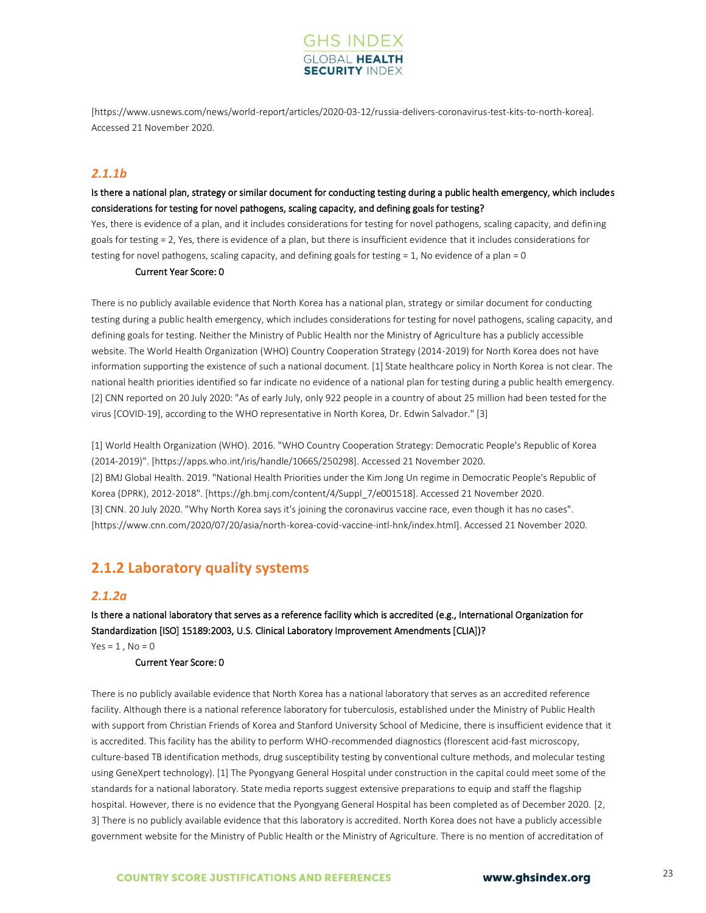

[https://www.usnews.com/news/world-report/articles/2020-03-12/russia-delivers-coronavirus-test-kits-to-north-korea]. Accessed 21 November 2020.

## *2.1.1b*

## Is there a national plan, strategy or similar document for conducting testing during a public health emergency, which includes considerations for testing for novel pathogens, scaling capacity, and defining goals for testing?

Yes, there is evidence of a plan, and it includes considerations for testing for novel pathogens, scaling capacity, and defining goals for testing = 2, Yes, there is evidence of a plan, but there is insufficient evidence that it includes considerations for testing for novel pathogens, scaling capacity, and defining goals for testing = 1, No evidence of a plan = 0

### Current Year Score: 0

There is no publicly available evidence that North Korea has a national plan, strategy or similar document for conducting testing during a public health emergency, which includes considerations for testing for novel pathogens, scaling capacity, and defining goals for testing. Neither the Ministry of Public Health nor the Ministry of Agriculture has a publicly accessible website. The World Health Organization (WHO) Country Cooperation Strategy (2014-2019) for North Korea does not have information supporting the existence of such a national document. [1] State healthcare policy in North Korea is not clear. The national health priorities identified so far indicate no evidence of a national plan for testing during a public health emergency. [2] CNN reported on 20 July 2020: "As of early July, only 922 people in a country of about 25 million had been tested for the virus [COVID-19], according to the WHO representative in North Korea, Dr. Edwin Salvador." [3]

[1] World Health Organization (WHO). 2016. "WHO Country Cooperation Strategy: Democratic People's Republic of Korea (2014-2019)". [https://apps.who.int/iris/handle/10665/250298]. Accessed 21 November 2020. [2] BMJ Global Health. 2019. "National Health Priorities under the Kim Jong Un regime in Democratic People's Republic of Korea (DPRK), 2012-2018". [https://gh.bmj.com/content/4/Suppl\_7/e001518]. Accessed 21 November 2020. [3] CNN. 20 July 2020. "Why North Korea says it's joining the coronavirus vaccine race, even though it has no cases". [https://www.cnn.com/2020/07/20/asia/north-korea-covid-vaccine-intl-hnk/index.html]. Accessed 21 November 2020.

## **2.1.2 Laboratory quality systems**

## *2.1.2a*

Is there a national laboratory that serves as a reference facility which is accredited (e.g., International Organization for Standardization [ISO] 15189:2003, U.S. Clinical Laboratory Improvement Amendments [CLIA])?  $Yes = 1, No = 0$ 

#### Current Year Score: 0

There is no publicly available evidence that North Korea has a national laboratory that serves as an accredited reference facility. Although there is a national reference laboratory for tuberculosis, established under the Ministry of Public Health with support from Christian Friends of Korea and Stanford University School of Medicine, there is insufficient evidence that it is accredited. This facility has the ability to perform WHO-recommended diagnostics (florescent acid-fast microscopy, culture-based TB identification methods, drug susceptibility testing by conventional culture methods, and molecular testing using GeneXpert technology). [1] The Pyongyang General Hospital under construction in the capital could meet some of the standards for a national laboratory. State media reports suggest extensive preparations to equip and staff the flagship hospital. However, there is no evidence that the Pyongyang General Hospital has been completed as of December 2020. [2, 3] There is no publicly available evidence that this laboratory is accredited. North Korea does not have a publicly accessible government website for the Ministry of Public Health or the Ministry of Agriculture. There is no mention of accreditation of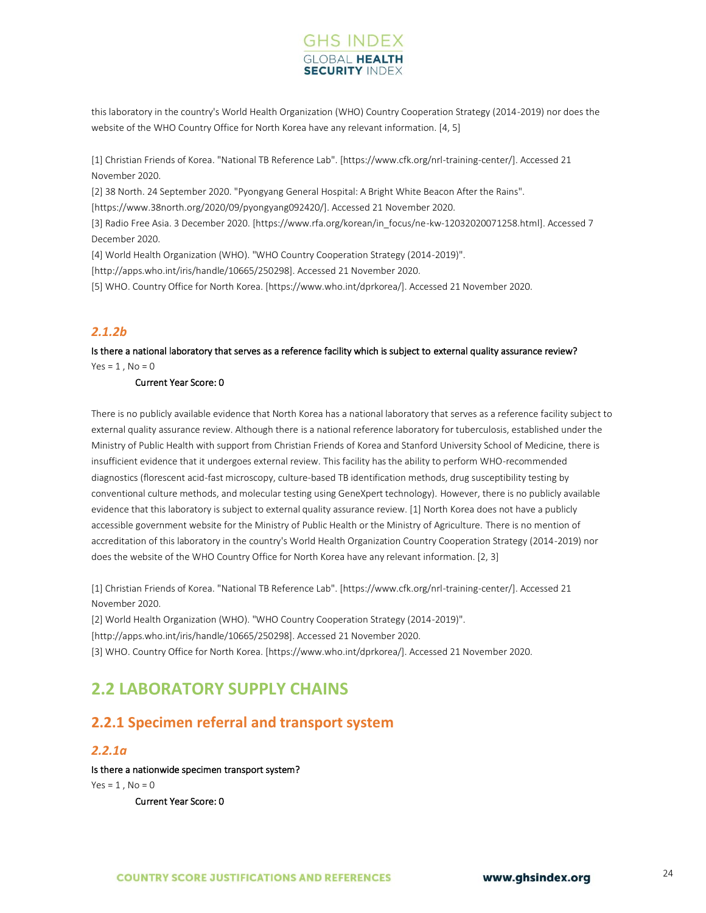## **GHS INDEX SECURITY INDE**

this laboratory in the country's World Health Organization (WHO) Country Cooperation Strategy (2014-2019) nor does the website of the WHO Country Office for North Korea have any relevant information. [4, 5]

[1] Christian Friends of Korea. "National TB Reference Lab". [https://www.cfk.org/nrl-training-center/]. Accessed 21 November 2020.

[2] 38 North. 24 September 2020. "Pyongyang General Hospital: A Bright White Beacon After the Rains".

[https://www.38north.org/2020/09/pyongyang092420/]. Accessed 21 November 2020.

[3] Radio Free Asia. 3 December 2020. [https://www.rfa.org/korean/in\_focus/ne-kw-12032020071258.html]. Accessed 7 December 2020.

[4] World Health Organization (WHO). "WHO Country Cooperation Strategy (2014-2019)".

[http://apps.who.int/iris/handle/10665/250298]. Accessed 21 November 2020.

[5] WHO. Country Office for North Korea. [https://www.who.int/dprkorea/]. Accessed 21 November 2020.

## *2.1.2b*

Is there a national laboratory that serves as a reference facility which is subject to external quality assurance review?  $Yes = 1, No = 0$ 

#### Current Year Score: 0

There is no publicly available evidence that North Korea has a national laboratory that serves as a reference facility subject to external quality assurance review. Although there is a national reference laboratory for tuberculosis, established under the Ministry of Public Health with support from Christian Friends of Korea and Stanford University School of Medicine, there is insufficient evidence that it undergoes external review. This facility has the ability to perform WHO-recommended diagnostics (florescent acid-fast microscopy, culture-based TB identification methods, drug susceptibility testing by conventional culture methods, and molecular testing using GeneXpert technology). However, there is no publicly available evidence that this laboratory is subject to external quality assurance review. [1] North Korea does not have a publicly accessible government website for the Ministry of Public Health or the Ministry of Agriculture. There is no mention of accreditation of this laboratory in the country's World Health Organization Country Cooperation Strategy (2014-2019) nor does the website of the WHO Country Office for North Korea have any relevant information. [2, 3]

[1] Christian Friends of Korea. "National TB Reference Lab". [https://www.cfk.org/nrl-training-center/]. Accessed 21 November 2020.

[2] World Health Organization (WHO). "WHO Country Cooperation Strategy (2014-2019)". [http://apps.who.int/iris/handle/10665/250298]. Accessed 21 November 2020.

[3] WHO. Country Office for North Korea. [https://www.who.int/dprkorea/]. Accessed 21 November 2020.

## <span id="page-22-0"></span>**2.2 LABORATORY SUPPLY CHAINS**

## **2.2.1 Specimen referral and transport system**

## *2.2.1a*

### Is there a nationwide specimen transport system?

 $Yes = 1$ ,  $No = 0$ 

Current Year Score: 0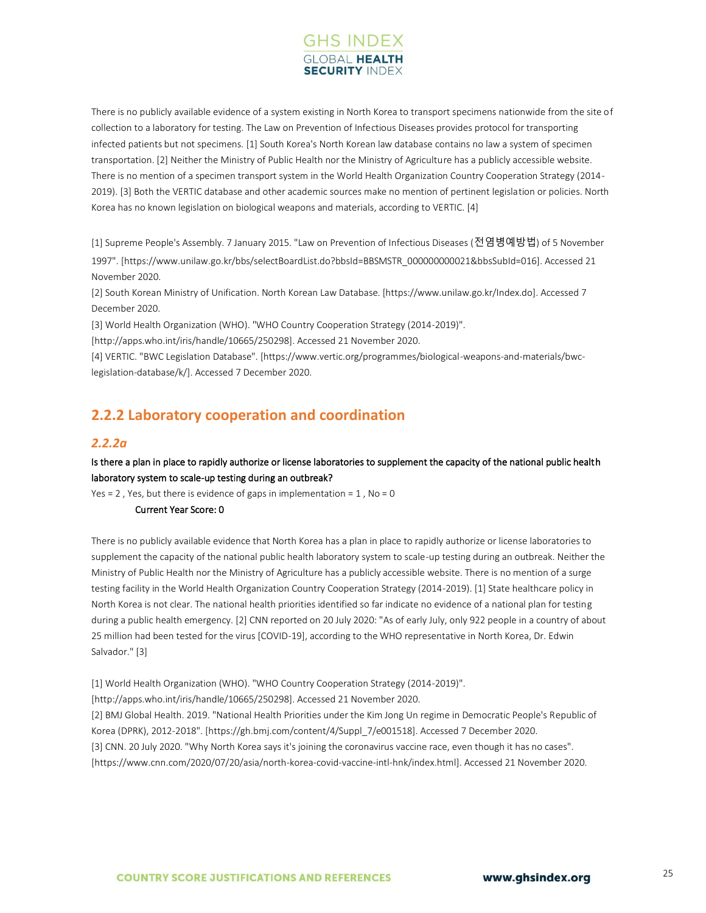

There is no publicly available evidence of a system existing in North Korea to transport specimens nationwide from the site of collection to a laboratory for testing. The Law on Prevention of Infectious Diseases provides protocol for transporting infected patients but not specimens. [1] South Korea's North Korean law database contains no law a system of specimen transportation. [2] Neither the Ministry of Public Health nor the Ministry of Agriculture has a publicly accessible website. There is no mention of a specimen transport system in the World Health Organization Country Cooperation Strategy (2014- 2019). [3] Both the VERTIC database and other academic sources make no mention of pertinent legislation or policies. North Korea has no known legislation on biological weapons and materials, according to VERTIC. [4]

[1] Supreme People's Assembly. 7 January 2015. "Law on Prevention of Infectious Diseases (전염병예방법) of 5 November 1997". [https://www.unilaw.go.kr/bbs/selectBoardList.do?bbsId=BBSMSTR\_000000000021&bbsSubId=016]. Accessed 21 November 2020.

[2] South Korean Ministry of Unification. North Korean Law Database. [https://www.unilaw.go.kr/Index.do]. Accessed 7 December 2020.

[3] World Health Organization (WHO). "WHO Country Cooperation Strategy (2014-2019)".

[http://apps.who.int/iris/handle/10665/250298]. Accessed 21 November 2020.

[4] VERTIC. "BWC Legislation Database". [https://www.vertic.org/programmes/biological-weapons-and-materials/bwclegislation-database/k/]. Accessed 7 December 2020.

## **2.2.2 Laboratory cooperation and coordination**

## *2.2.2a*

## Is there a plan in place to rapidly authorize or license laboratories to supplement the capacity of the national public health laboratory system to scale-up testing during an outbreak?

Yes = 2, Yes, but there is evidence of gaps in implementation =  $1$ , No = 0

## Current Year Score: 0

There is no publicly available evidence that North Korea has a plan in place to rapidly authorize or license laboratories to supplement the capacity of the national public health laboratory system to scale-up testing during an outbreak. Neither the Ministry of Public Health nor the Ministry of Agriculture has a publicly accessible website. There is no mention of a surge testing facility in the World Health Organization Country Cooperation Strategy (2014-2019). [1] State healthcare policy in North Korea is not clear. The national health priorities identified so far indicate no evidence of a national plan for testing during a public health emergency. [2] CNN reported on 20 July 2020: "As of early July, only 922 people in a country of about 25 million had been tested for the virus [COVID-19], according to the WHO representative in North Korea, Dr. Edwin Salvador." [3]

[1] World Health Organization (WHO). "WHO Country Cooperation Strategy (2014-2019)".

[http://apps.who.int/iris/handle/10665/250298]. Accessed 21 November 2020.

[2] BMJ Global Health. 2019. "National Health Priorities under the Kim Jong Un regime in Democratic People's Republic of Korea (DPRK), 2012-2018". [https://gh.bmj.com/content/4/Suppl\_7/e001518]. Accessed 7 December 2020. [3] CNN. 20 July 2020. "Why North Korea says it's joining the coronavirus vaccine race, even though it has no cases". [https://www.cnn.com/2020/07/20/asia/north-korea-covid-vaccine-intl-hnk/index.html]. Accessed 21 November 2020.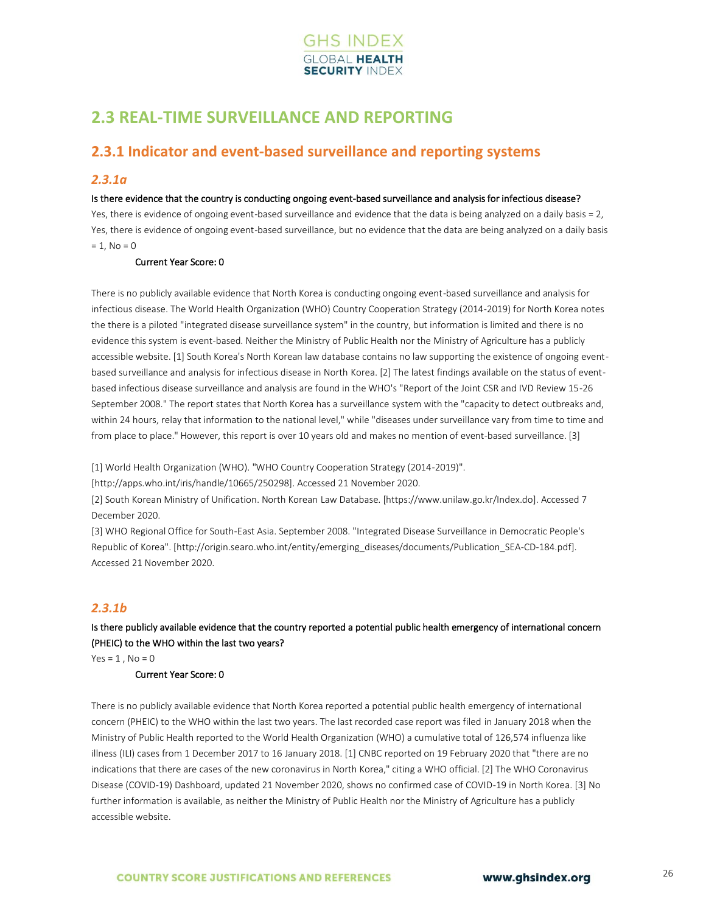

## <span id="page-24-0"></span>**2.3 REAL-TIME SURVEILLANCE AND REPORTING**

## **2.3.1 Indicator and event-based surveillance and reporting systems**

## *2.3.1a*

### Is there evidence that the country is conducting ongoing event-based surveillance and analysis for infectious disease?

Yes, there is evidence of ongoing event-based surveillance and evidence that the data is being analyzed on a daily basis = 2, Yes, there is evidence of ongoing event-based surveillance, but no evidence that the data are being analyzed on a daily basis  $= 1$ , No = 0

### Current Year Score: 0

There is no publicly available evidence that North Korea is conducting ongoing event-based surveillance and analysis for infectious disease. The World Health Organization (WHO) Country Cooperation Strategy (2014-2019) for North Korea notes the there is a piloted "integrated disease surveillance system" in the country, but information is limited and there is no evidence this system is event-based. Neither the Ministry of Public Health nor the Ministry of Agriculture has a publicly accessible website. [1] South Korea's North Korean law database contains no law supporting the existence of ongoing eventbased surveillance and analysis for infectious disease in North Korea. [2] The latest findings available on the status of eventbased infectious disease surveillance and analysis are found in the WHO's "Report of the Joint CSR and IVD Review 15-26 September 2008." The report states that North Korea has a surveillance system with the "capacity to detect outbreaks and, within 24 hours, relay that information to the national level," while "diseases under surveillance vary from time to time and from place to place." However, this report is over 10 years old and makes no mention of event-based surveillance. [3]

[1] World Health Organization (WHO). "WHO Country Cooperation Strategy (2014-2019)".

[http://apps.who.int/iris/handle/10665/250298]. Accessed 21 November 2020.

[2] South Korean Ministry of Unification. North Korean Law Database. [https://www.unilaw.go.kr/Index.do]. Accessed 7 December 2020.

[3] WHO Regional Office for South-East Asia. September 2008. "Integrated Disease Surveillance in Democratic People's Republic of Korea". [http://origin.searo.who.int/entity/emerging\_diseases/documents/Publication\_SEA-CD-184.pdf]. Accessed 21 November 2020.

## *2.3.1b*

## Is there publicly available evidence that the country reported a potential public health emergency of international concern (PHEIC) to the WHO within the last two years?

 $Yes = 1, No = 0$ 

### Current Year Score: 0

There is no publicly available evidence that North Korea reported a potential public health emergency of international concern (PHEIC) to the WHO within the last two years. The last recorded case report was filed in January 2018 when the Ministry of Public Health reported to the World Health Organization (WHO) a cumulative total of 126,574 influenza like illness (ILI) cases from 1 December 2017 to 16 January 2018. [1] CNBC reported on 19 February 2020 that "there are no indications that there are cases of the new coronavirus in North Korea," citing a WHO official. [2] The WHO Coronavirus Disease (COVID-19) Dashboard, updated 21 November 2020, shows no confirmed case of COVID-19 in North Korea. [3] No further information is available, as neither the Ministry of Public Health nor the Ministry of Agriculture has a publicly accessible website.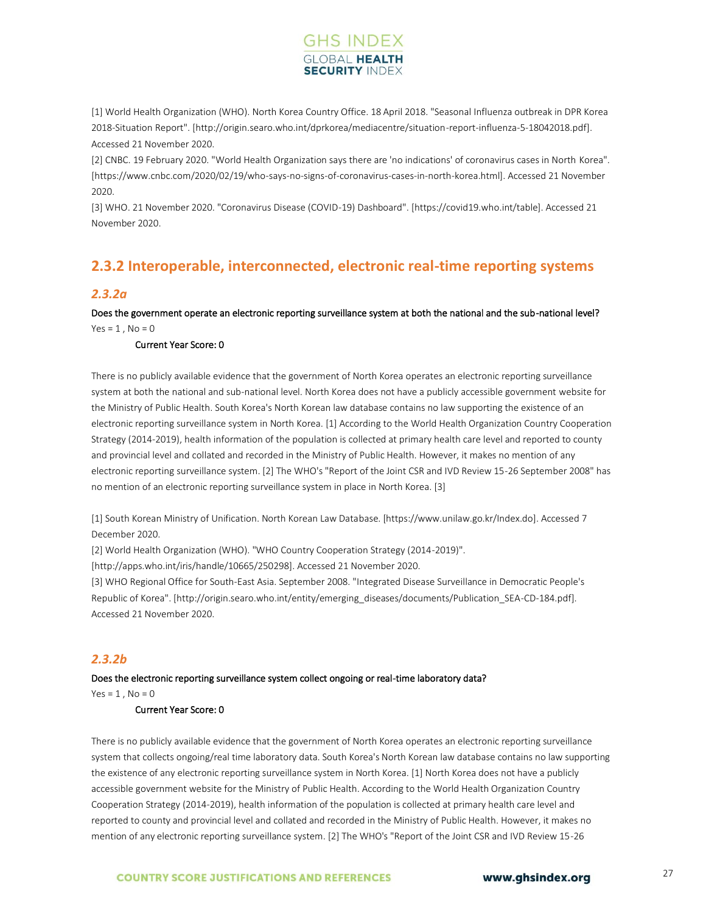

[1] World Health Organization (WHO). North Korea Country Office. 18 April 2018. "Seasonal Influenza outbreak in DPR Korea 2018-Situation Report". [http://origin.searo.who.int/dprkorea/mediacentre/situation-report-influenza-5-18042018.pdf]. Accessed 21 November 2020.

[2] CNBC. 19 February 2020. "World Health Organization says there are 'no indications' of coronavirus cases in North Korea". [https://www.cnbc.com/2020/02/19/who-says-no-signs-of-coronavirus-cases-in-north-korea.html]. Accessed 21 November 2020.

[3] WHO. 21 November 2020. "Coronavirus Disease (COVID-19) Dashboard". [https://covid19.who.int/table]. Accessed 21 November 2020.

## **2.3.2 Interoperable, interconnected, electronic real-time reporting systems**

## *2.3.2a*

Does the government operate an electronic reporting surveillance system at both the national and the sub-national level?  $Yes = 1, No = 0$ 

#### Current Year Score: 0

There is no publicly available evidence that the government of North Korea operates an electronic reporting surveillance system at both the national and sub-national level. North Korea does not have a publicly accessible government website for the Ministry of Public Health. South Korea's North Korean law database contains no law supporting the existence of an electronic reporting surveillance system in North Korea. [1] According to the World Health Organization Country Cooperation Strategy (2014-2019), health information of the population is collected at primary health care level and reported to county and provincial level and collated and recorded in the Ministry of Public Health. However, it makes no mention of any electronic reporting surveillance system. [2] The WHO's "Report of the Joint CSR and IVD Review 15-26 September 2008" has no mention of an electronic reporting surveillance system in place in North Korea. [3]

[1] South Korean Ministry of Unification. North Korean Law Database. [https://www.unilaw.go.kr/Index.do]. Accessed 7 December 2020.

[2] World Health Organization (WHO). "WHO Country Cooperation Strategy (2014-2019)".

[http://apps.who.int/iris/handle/10665/250298]. Accessed 21 November 2020.

[3] WHO Regional Office for South-East Asia. September 2008. "Integrated Disease Surveillance in Democratic People's Republic of Korea". [http://origin.searo.who.int/entity/emerging\_diseases/documents/Publication\_SEA-CD-184.pdf]. Accessed 21 November 2020.

## *2.3.2b*

#### Does the electronic reporting surveillance system collect ongoing or real-time laboratory data?

 $Yes = 1$ ,  $No = 0$ 

#### Current Year Score: 0

There is no publicly available evidence that the government of North Korea operates an electronic reporting surveillance system that collects ongoing/real time laboratory data. South Korea's North Korean law database contains no law supporting the existence of any electronic reporting surveillance system in North Korea. [1] North Korea does not have a publicly accessible government website for the Ministry of Public Health. According to the World Health Organization Country Cooperation Strategy (2014-2019), health information of the population is collected at primary health care level and reported to county and provincial level and collated and recorded in the Ministry of Public Health. However, it makes no mention of any electronic reporting surveillance system. [2] The WHO's "Report of the Joint CSR and IVD Review 15-26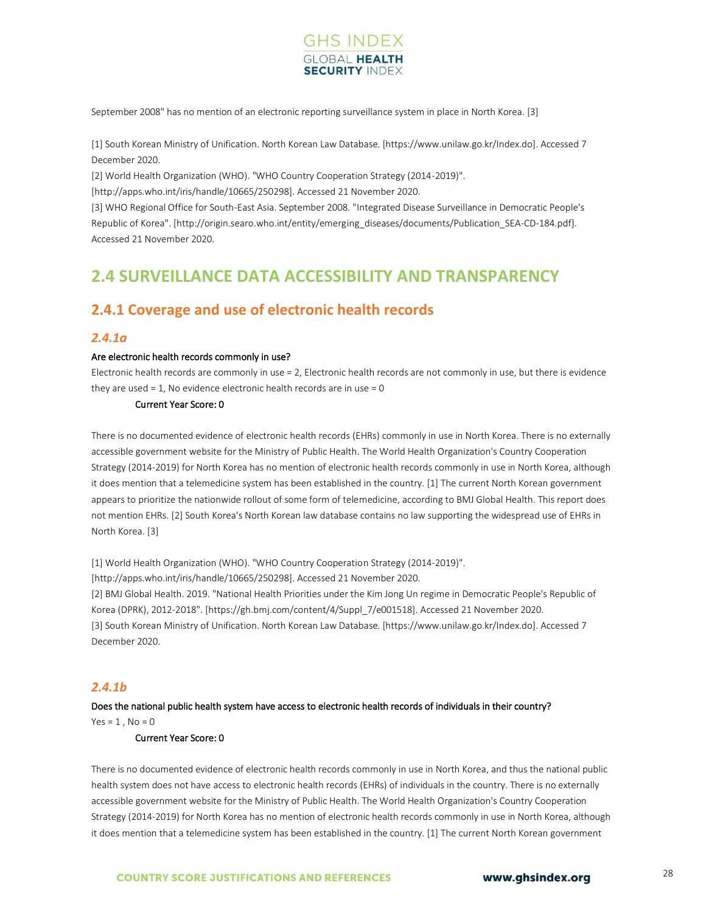

September 2008" has no mention of an electronic reporting surveillance system in place in North Korea. [3]

[1] South Korean Ministry of Unification. North Korean Law Database. [https://www.unilaw.go.kr/Index.do]. Accessed 7 December 2020.

[2] World Health Organization (WHO). "WHO Country Cooperation Strategy (2014-2019)".

[http://apps.who.int/iris/handle/10665/250298]. Accessed 21 November 2020.

[3] WHO Regional Office for South-East Asia. September 2008. "Integrated Disease Surveillance in Democratic People's Republic of Korea". [http://origin.searo.who.int/entity/emerging\_diseases/documents/Publication\_SEA-CD-184.pdf]. Accessed 21 November 2020.

## <span id="page-26-0"></span>**2.4 SURVEILLANCE DATA ACCESSIBILITY AND TRANSPARENCY**

## **2.4.1 Coverage and use of electronic health records**

### *2.4.1a*

#### Are electronic health records commonly in use?

Electronic health records are commonly in use = 2, Electronic health records are not commonly in use, but there is evidence they are used = 1, No evidence electronic health records are in use = 0

#### Current Year Score: 0

There is no documented evidence of electronic health records (EHRs) commonly in use in North Korea. There is no externally accessible government website for the Ministry of Public Health. The World Health Organization's Country Cooperation Strategy (2014-2019) for North Korea has no mention of electronic health records commonly in use in North Korea, although it does mention that a telemedicine system has been established in the country. [1] The current North Korean government appears to prioritize the nationwide rollout of some form of telemedicine, according to BMJ Global Health. This report does not mention EHRs. [2] South Korea's North Korean law database contains no law supporting the widespread use of EHRs in North Korea. [3]

[1] World Health Organization (WHO). "WHO Country Cooperation Strategy (2014-2019)".

[http://apps.who.int/iris/handle/10665/250298]. Accessed 21 November 2020.

[2] BMJ Global Health. 2019. "National Health Priorities under the Kim Jong Un regime in Democratic People's Republic of Korea (DPRK), 2012-2018". [https://gh.bmj.com/content/4/Suppl\_7/e001518]. Accessed 21 November 2020. [3] South Korean Ministry of Unification. North Korean Law Database. [https://www.unilaw.go.kr/Index.do]. Accessed 7 December 2020.

## *2.4.1b*

### Does the national public health system have access to electronic health records of individuals in their country?  $Yes = 1$ .  $No = 0$

#### Current Year Score: 0

There is no documented evidence of electronic health records commonly in use in North Korea, and thus the national public health system does not have access to electronic health records (EHRs) of individuals in the country. There is no externally accessible government website for the Ministry of Public Health. The World Health Organization's Country Cooperation Strategy (2014-2019) for North Korea has no mention of electronic health records commonly in use in North Korea, although it does mention that a telemedicine system has been established in the country. [1] The current North Korean government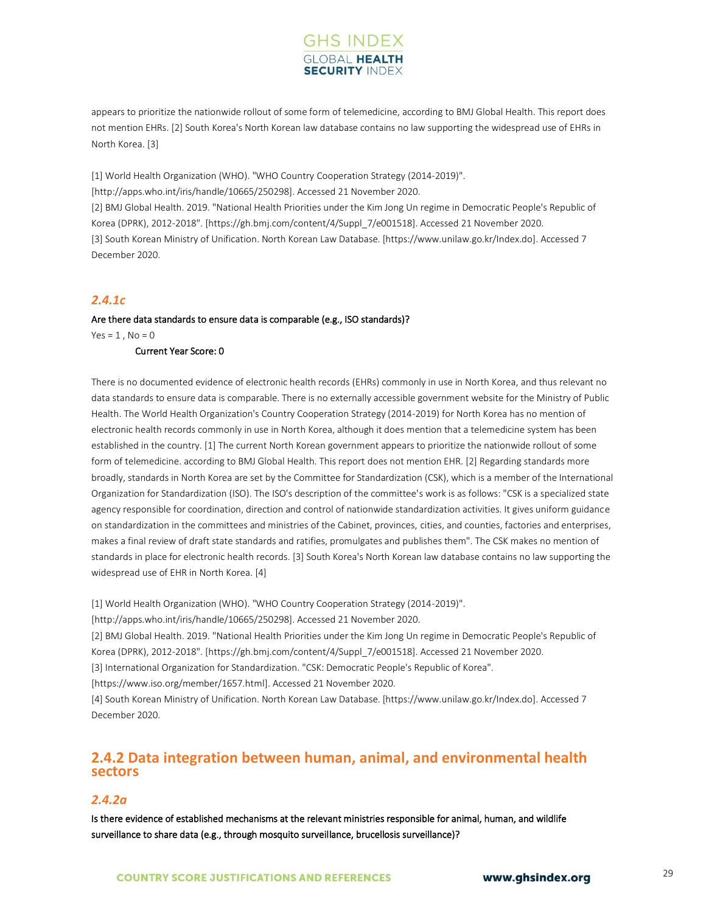## **GHS INDEX SECURITY INDE**

appears to prioritize the nationwide rollout of some form of telemedicine, according to BMJ Global Health. This report does not mention EHRs. [2] South Korea's North Korean law database contains no law supporting the widespread use of EHRs in North Korea. [3]

[1] World Health Organization (WHO). "WHO Country Cooperation Strategy (2014-2019)". [http://apps.who.int/iris/handle/10665/250298]. Accessed 21 November 2020. [2] BMJ Global Health. 2019. "National Health Priorities under the Kim Jong Un regime in Democratic People's Republic of Korea (DPRK), 2012-2018". [https://gh.bmj.com/content/4/Suppl\_7/e001518]. Accessed 21 November 2020. [3] South Korean Ministry of Unification. North Korean Law Database. [https://www.unilaw.go.kr/Index.do]. Accessed 7 December 2020.

## *2.4.1c*

## Are there data standards to ensure data is comparable (e.g., ISO standards)?

 $Yes = 1$ ,  $No = 0$ 

### Current Year Score: 0

There is no documented evidence of electronic health records (EHRs) commonly in use in North Korea, and thus relevant no data standards to ensure data is comparable. There is no externally accessible government website for the Ministry of Public Health. The World Health Organization's Country Cooperation Strategy (2014-2019) for North Korea has no mention of electronic health records commonly in use in North Korea, although it does mention that a telemedicine system has been established in the country. [1] The current North Korean government appears to prioritize the nationwide rollout of some form of telemedicine. according to BMJ Global Health. This report does not mention EHR. [2] Regarding standards more broadly, standards in North Korea are set by the Committee for Standardization (CSK), which is a member of the International Organization for Standardization (ISO). The ISO's description of the committee's work is as follows: "CSK is a specialized state agency responsible for coordination, direction and control of nationwide standardization activities. It gives uniform guidance on standardization in the committees and ministries of the Cabinet, provinces, cities, and counties, factories and enterprises, makes a final review of draft state standards and ratifies, promulgates and publishes them". The CSK makes no mention of standards in place for electronic health records. [3] South Korea's North Korean law database contains no law supporting the widespread use of EHR in North Korea. [4]

[1] World Health Organization (WHO). "WHO Country Cooperation Strategy (2014-2019)".

[http://apps.who.int/iris/handle/10665/250298]. Accessed 21 November 2020.

[2] BMJ Global Health. 2019. "National Health Priorities under the Kim Jong Un regime in Democratic People's Republic of Korea (DPRK), 2012-2018". [https://gh.bmj.com/content/4/Suppl\_7/e001518]. Accessed 21 November 2020.

[3] International Organization for Standardization. "CSK: Democratic People's Republic of Korea".

[https://www.iso.org/member/1657.html]. Accessed 21 November 2020.

[4] South Korean Ministry of Unification. North Korean Law Database. [https://www.unilaw.go.kr/Index.do]. Accessed 7 December 2020.

## **2.4.2 Data integration between human, animal, and environmental health sectors**

## *2.4.2a*

Is there evidence of established mechanisms at the relevant ministries responsible for animal, human, and wildlife surveillance to share data (e.g., through mosquito surveillance, brucellosis surveillance)?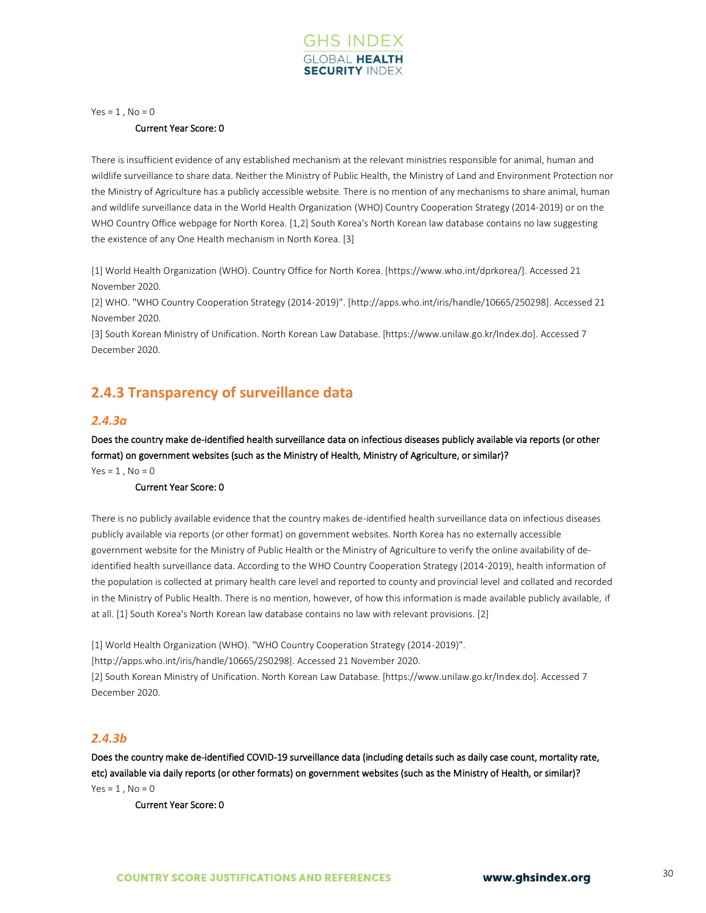

 $Yes = 1, No = 0$ 

#### Current Year Score: 0

There is insufficient evidence of any established mechanism at the relevant ministries responsible for animal, human and wildlife surveillance to share data. Neither the Ministry of Public Health, the Ministry of Land and Environment Protection nor the Ministry of Agriculture has a publicly accessible website. There is no mention of any mechanisms to share animal, human and wildlife surveillance data in the World Health Organization (WHO) Country Cooperation Strategy (2014-2019) or on the WHO Country Office webpage for North Korea. [1,2] South Korea's North Korean law database contains no law suggesting the existence of any One Health mechanism in North Korea. [3]

[1] World Health Organization (WHO). Country Office for North Korea. [https://www.who.int/dprkorea/]. Accessed 21 November 2020.

[2] WHO. "WHO Country Cooperation Strategy (2014-2019)". [http://apps.who.int/iris/handle/10665/250298]. Accessed 21 November 2020.

[3] South Korean Ministry of Unification. North Korean Law Database. [https://www.unilaw.go.kr/Index.do]. Accessed 7 December 2020.

## **2.4.3 Transparency of surveillance data**

## *2.4.3a*

Does the country make de-identified health surveillance data on infectious diseases publicly available via reports (or other format) on government websites (such as the Ministry of Health, Ministry of Agriculture, or similar)?

 $Yes = 1, No = 0$ 

## Current Year Score: 0

There is no publicly available evidence that the country makes de-identified health surveillance data on infectious diseases publicly available via reports (or other format) on government websites. North Korea has no externally accessible government website for the Ministry of Public Health or the Ministry of Agriculture to verify the online availability of deidentified health surveillance data. According to the WHO Country Cooperation Strategy (2014-2019), health information of the population is collected at primary health care level and reported to county and provincial level and collated and recorded in the Ministry of Public Health. There is no mention, however, of how this information is made available publicly available, if at all. [1] South Korea's North Korean law database contains no law with relevant provisions. [2]

[1] World Health Organization (WHO). "WHO Country Cooperation Strategy (2014-2019)".

[http://apps.who.int/iris/handle/10665/250298]. Accessed 21 November 2020.

[2] South Korean Ministry of Unification. North Korean Law Database. [https://www.unilaw.go.kr/Index.do]. Accessed 7 December 2020.

## *2.4.3b*

Does the country make de-identified COVID-19 surveillance data (including details such as daily case count, mortality rate, etc) available via daily reports (or other formats) on government websites (such as the Ministry of Health, or similar)?  $Yes = 1$ .  $No = 0$ 

Current Year Score: 0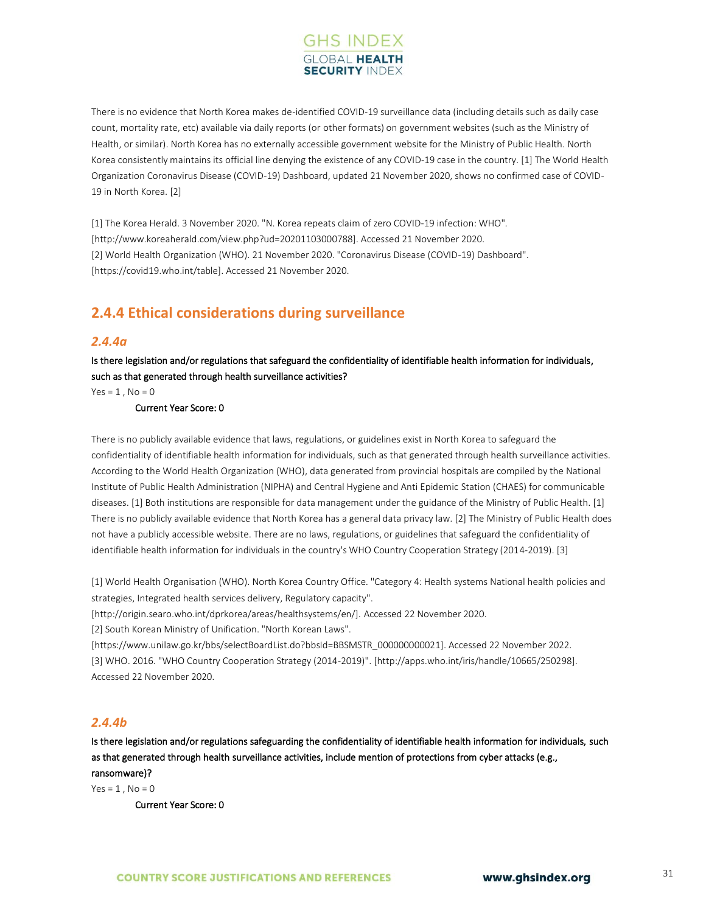## **GHS INDEX SECURITY INDE**

There is no evidence that North Korea makes de-identified COVID-19 surveillance data (including details such as daily case count, mortality rate, etc) available via daily reports (or other formats) on government websites (such as the Ministry of Health, or similar). North Korea has no externally accessible government website for the Ministry of Public Health. North Korea consistently maintains its official line denying the existence of any COVID-19 case in the country. [1] The World Health Organization Coronavirus Disease (COVID-19) Dashboard, updated 21 November 2020, shows no confirmed case of COVID-19 in North Korea. [2]

[1] The Korea Herald. 3 November 2020. "N. Korea repeats claim of zero COVID-19 infection: WHO". [http://www.koreaherald.com/view.php?ud=20201103000788]. Accessed 21 November 2020. [2] World Health Organization (WHO). 21 November 2020. "Coronavirus Disease (COVID-19) Dashboard". [https://covid19.who.int/table]. Accessed 21 November 2020.

## **2.4.4 Ethical considerations during surveillance**

## *2.4.4a*

Is there legislation and/or regulations that safeguard the confidentiality of identifiable health information for individuals, such as that generated through health surveillance activities?

 $Yes = 1, No = 0$ 

Current Year Score: 0

There is no publicly available evidence that laws, regulations, or guidelines exist in North Korea to safeguard the confidentiality of identifiable health information for individuals, such as that generated through health surveillance activities. According to the World Health Organization (WHO), data generated from provincial hospitals are compiled by the National Institute of Public Health Administration (NIPHA) and Central Hygiene and Anti Epidemic Station (CHAES) for communicable diseases. [1] Both institutions are responsible for data management under the guidance of the Ministry of Public Health. [1] There is no publicly available evidence that North Korea has a general data privacy law. [2] The Ministry of Public Health does not have a publicly accessible website. There are no laws, regulations, or guidelines that safeguard the confidentiality of identifiable health information for individuals in the country's WHO Country Cooperation Strategy (2014-2019). [3]

[1] World Health Organisation (WHO). North Korea Country Office. "Category 4: Health systems National health policies and strategies, Integrated health services delivery, Regulatory capacity".

[http://origin.searo.who.int/dprkorea/areas/healthsystems/en/]. Accessed 22 November 2020.

[2] South Korean Ministry of Unification. "North Korean Laws".

[https://www.unilaw.go.kr/bbs/selectBoardList.do?bbsId=BBSMSTR\_000000000021]. Accessed 22 November 2022. [3] WHO. 2016. "WHO Country Cooperation Strategy (2014-2019)". [http://apps.who.int/iris/handle/10665/250298]. Accessed 22 November 2020.

## *2.4.4b*

Is there legislation and/or regulations safeguarding the confidentiality of identifiable health information for individuals, such as that generated through health surveillance activities, include mention of protections from cyber attacks (e.g., ransomware)?

 $Yes = 1$ .  $No = 0$ 

Current Year Score: 0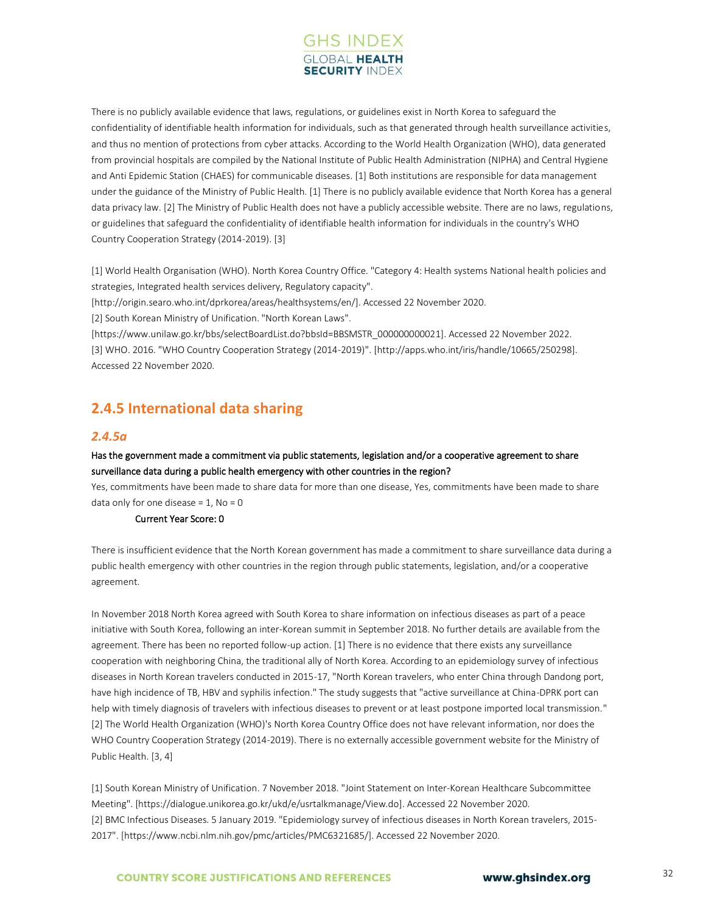

There is no publicly available evidence that laws, regulations, or guidelines exist in North Korea to safeguard the confidentiality of identifiable health information for individuals, such as that generated through health surveillance activities, and thus no mention of protections from cyber attacks. According to the World Health Organization (WHO), data generated from provincial hospitals are compiled by the National Institute of Public Health Administration (NIPHA) and Central Hygiene and Anti Epidemic Station (CHAES) for communicable diseases. [1] Both institutions are responsible for data management under the guidance of the Ministry of Public Health. [1] There is no publicly available evidence that North Korea has a general data privacy law. [2] The Ministry of Public Health does not have a publicly accessible website. There are no laws, regulations, or guidelines that safeguard the confidentiality of identifiable health information for individuals in the country's WHO Country Cooperation Strategy (2014-2019). [3]

[1] World Health Organisation (WHO). North Korea Country Office. "Category 4: Health systems National health policies and strategies, Integrated health services delivery, Regulatory capacity".

[http://origin.searo.who.int/dprkorea/areas/healthsystems/en/]. Accessed 22 November 2020.

[2] South Korean Ministry of Unification. "North Korean Laws".

[https://www.unilaw.go.kr/bbs/selectBoardList.do?bbsId=BBSMSTR\_000000000021]. Accessed 22 November 2022. [3] WHO. 2016. "WHO Country Cooperation Strategy (2014-2019)". [http://apps.who.int/iris/handle/10665/250298]. Accessed 22 November 2020.

## **2.4.5 International data sharing**

### *2.4.5a*

### Has the government made a commitment via public statements, legislation and/or a cooperative agreement to share surveillance data during a public health emergency with other countries in the region?

Yes, commitments have been made to share data for more than one disease, Yes, commitments have been made to share data only for one disease =  $1$ , No = 0

#### Current Year Score: 0

There is insufficient evidence that the North Korean government has made a commitment to share surveillance data during a public health emergency with other countries in the region through public statements, legislation, and/or a cooperative agreement.

In November 2018 North Korea agreed with South Korea to share information on infectious diseases as part of a peace initiative with South Korea, following an inter-Korean summit in September 2018. No further details are available from the agreement. There has been no reported follow-up action. [1] There is no evidence that there exists any surveillance cooperation with neighboring China, the traditional ally of North Korea. According to an epidemiology survey of infectious diseases in North Korean travelers conducted in 2015-17, "North Korean travelers, who enter China through Dandong port, have high incidence of TB, HBV and syphilis infection." The study suggests that "active surveillance at China-DPRK port can help with timely diagnosis of travelers with infectious diseases to prevent or at least postpone imported local transmission." [2] The World Health Organization (WHO)'s North Korea Country Office does not have relevant information, nor does the WHO Country Cooperation Strategy (2014-2019). There is no externally accessible government website for the Ministry of Public Health. [3, 4]

[1] South Korean Ministry of Unification. 7 November 2018. "Joint Statement on Inter-Korean Healthcare Subcommittee Meeting". [https://dialogue.unikorea.go.kr/ukd/e/usrtalkmanage/View.do]. Accessed 22 November 2020. [2] BMC Infectious Diseases. 5 January 2019. "Epidemiology survey of infectious diseases in North Korean travelers, 2015- 2017". [https://www.ncbi.nlm.nih.gov/pmc/articles/PMC6321685/]. Accessed 22 November 2020.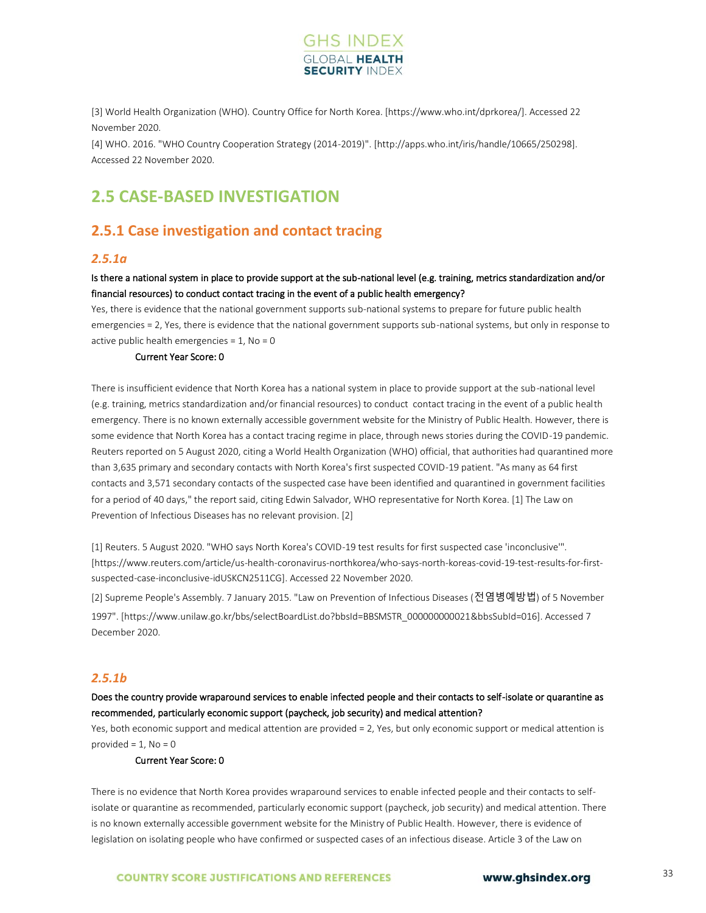

[3] World Health Organization (WHO). Country Office for North Korea. [https://www.who.int/dprkorea/]. Accessed 22 November 2020.

[4] WHO. 2016. "WHO Country Cooperation Strategy (2014-2019)". [http://apps.who.int/iris/handle/10665/250298]. Accessed 22 November 2020.

## <span id="page-31-0"></span>**2.5 CASE-BASED INVESTIGATION**

## **2.5.1 Case investigation and contact tracing**

## *2.5.1a*

## Is there a national system in place to provide support at the sub-national level (e.g. training, metrics standardization and/or financial resources) to conduct contact tracing in the event of a public health emergency?

Yes, there is evidence that the national government supports sub-national systems to prepare for future public health emergencies = 2, Yes, there is evidence that the national government supports sub-national systems, but only in response to active public health emergencies =  $1$ , No = 0

#### Current Year Score: 0

There is insufficient evidence that North Korea has a national system in place to provide support at the sub-national level (e.g. training, metrics standardization and/or financial resources) to conduct contact tracing in the event of a public health emergency. There is no known externally accessible government website for the Ministry of Public Health. However, there is some evidence that North Korea has a contact tracing regime in place, through news stories during the COVID-19 pandemic. Reuters reported on 5 August 2020, citing a World Health Organization (WHO) official, that authorities had quarantined more than 3,635 primary and secondary contacts with North Korea's first suspected COVID-19 patient. "As many as 64 first contacts and 3,571 secondary contacts of the suspected case have been identified and quarantined in government facilities for a period of 40 days," the report said, citing Edwin Salvador, WHO representative for North Korea. [1] The Law on Prevention of Infectious Diseases has no relevant provision. [2]

[1] Reuters. 5 August 2020. "WHO says North Korea's COVID-19 test results for first suspected case 'inconclusive'". [https://www.reuters.com/article/us-health-coronavirus-northkorea/who-says-north-koreas-covid-19-test-results-for-firstsuspected-case-inconclusive-idUSKCN2511CG]. Accessed 22 November 2020.

[2] Supreme People's Assembly. 7 January 2015. "Law on Prevention of Infectious Diseases (전염병예방법) of 5 November 1997". [https://www.unilaw.go.kr/bbs/selectBoardList.do?bbsId=BBSMSTR\_000000000021&bbsSubId=016]. Accessed 7 December 2020.

### *2.5.1b*

Does the country provide wraparound services to enable infected people and their contacts to self-isolate or quarantine as recommended, particularly economic support (paycheck, job security) and medical attention?

Yes, both economic support and medical attention are provided = 2, Yes, but only economic support or medical attention is provided  $= 1$ . No  $= 0$ 

#### Current Year Score: 0

There is no evidence that North Korea provides wraparound services to enable infected people and their contacts to selfisolate or quarantine as recommended, particularly economic support (paycheck, job security) and medical attention. There is no known externally accessible government website for the Ministry of Public Health. However, there is evidence of legislation on isolating people who have confirmed or suspected cases of an infectious disease. Article 3 of the Law on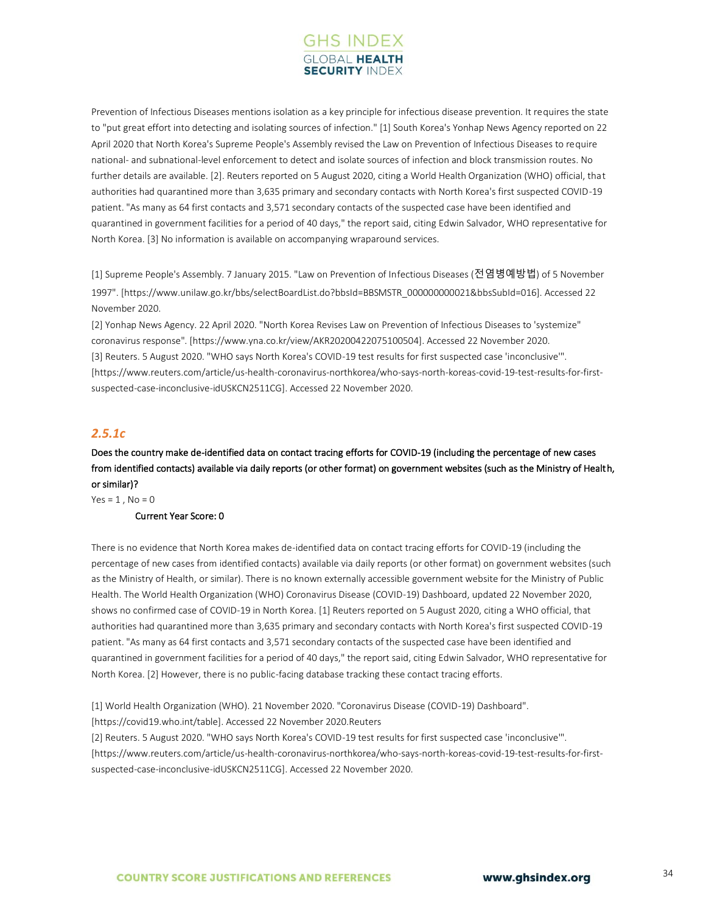

Prevention of Infectious Diseases mentions isolation as a key principle for infectious disease prevention. It requires the state to "put great effort into detecting and isolating sources of infection." [1] South Korea's Yonhap News Agency reported on 22 April 2020 that North Korea's Supreme People's Assembly revised the Law on Prevention of Infectious Diseases to require national- and subnational-level enforcement to detect and isolate sources of infection and block transmission routes. No further details are available. [2]. Reuters reported on 5 August 2020, citing a World Health Organization (WHO) official, that authorities had quarantined more than 3,635 primary and secondary contacts with North Korea's first suspected COVID-19 patient. "As many as 64 first contacts and 3,571 secondary contacts of the suspected case have been identified and quarantined in government facilities for a period of 40 days," the report said, citing Edwin Salvador, WHO representative for North Korea. [3] No information is available on accompanying wraparound services.

[1] Supreme People's Assembly. 7 January 2015. "Law on Prevention of Infectious Diseases (전염병예방법) of 5 November 1997". [https://www.unilaw.go.kr/bbs/selectBoardList.do?bbsId=BBSMSTR\_000000000021&bbsSubId=016]. Accessed 22 November 2020.

[2] Yonhap News Agency. 22 April 2020. "North Korea Revises Law on Prevention of Infectious Diseases to 'systemize" coronavirus response". [https://www.yna.co.kr/view/AKR20200422075100504]. Accessed 22 November 2020. [3] Reuters. 5 August 2020. "WHO says North Korea's COVID-19 test results for first suspected case 'inconclusive'". [https://www.reuters.com/article/us-health-coronavirus-northkorea/who-says-north-koreas-covid-19-test-results-for-firstsuspected-case-inconclusive-idUSKCN2511CG]. Accessed 22 November 2020.

## *2.5.1c*

Does the country make de-identified data on contact tracing efforts for COVID-19 (including the percentage of new cases from identified contacts) available via daily reports (or other format) on government websites (such as the Ministry of Health, or similar)?

 $Yes = 1, No = 0$ 

### Current Year Score: 0

There is no evidence that North Korea makes de-identified data on contact tracing efforts for COVID-19 (including the percentage of new cases from identified contacts) available via daily reports (or other format) on government websites (such as the Ministry of Health, or similar). There is no known externally accessible government website for the Ministry of Public Health. The World Health Organization (WHO) Coronavirus Disease (COVID-19) Dashboard, updated 22 November 2020, shows no confirmed case of COVID-19 in North Korea. [1] Reuters reported on 5 August 2020, citing a WHO official, that authorities had quarantined more than 3,635 primary and secondary contacts with North Korea's first suspected COVID-19 patient. "As many as 64 first contacts and 3,571 secondary contacts of the suspected case have been identified and quarantined in government facilities for a period of 40 days," the report said, citing Edwin Salvador, WHO representative for North Korea. [2] However, there is no public-facing database tracking these contact tracing efforts.

[1] World Health Organization (WHO). 21 November 2020. "Coronavirus Disease (COVID-19) Dashboard".

[https://covid19.who.int/table]. Accessed 22 November 2020.Reuters

[2] Reuters. 5 August 2020. "WHO says North Korea's COVID-19 test results for first suspected case 'inconclusive'". [https://www.reuters.com/article/us-health-coronavirus-northkorea/who-says-north-koreas-covid-19-test-results-for-firstsuspected-case-inconclusive-idUSKCN2511CG]. Accessed 22 November 2020.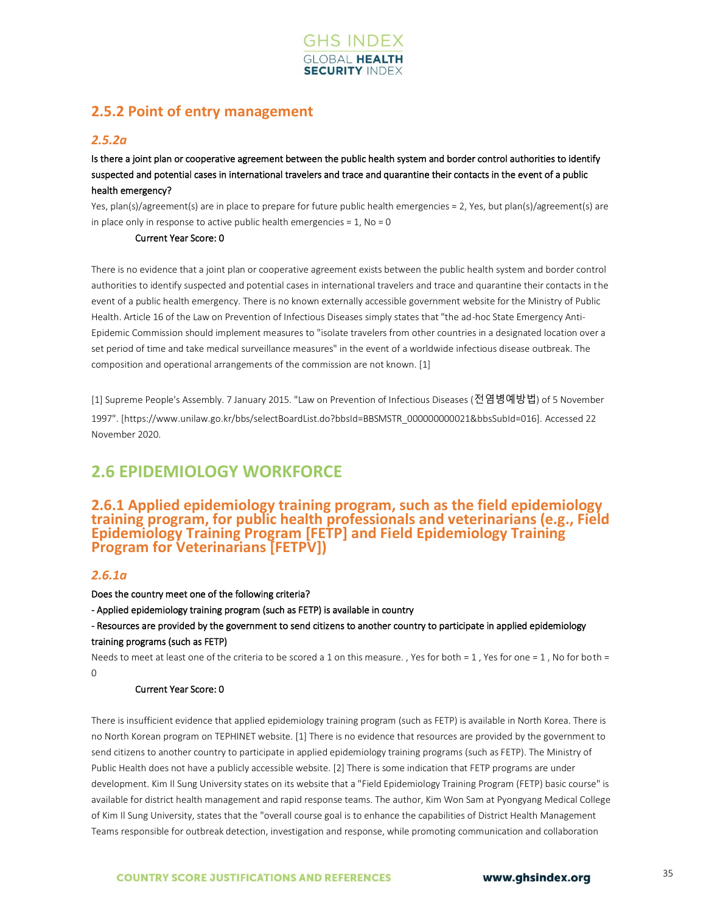

## **2.5.2 Point of entry management**

## *2.5.2a*

Is there a joint plan or cooperative agreement between the public health system and border control authorities to identify suspected and potential cases in international travelers and trace and quarantine their contacts in the event of a public health emergency?

Yes, plan(s)/agreement(s) are in place to prepare for future public health emergencies = 2, Yes, but plan(s)/agreement(s) are in place only in response to active public health emergencies =  $1$ , No = 0

#### Current Year Score: 0

There is no evidence that a joint plan or cooperative agreement exists between the public health system and border control authorities to identify suspected and potential cases in international travelers and trace and quarantine their contacts in the event of a public health emergency. There is no known externally accessible government website for the Ministry of Public Health. Article 16 of the Law on Prevention of Infectious Diseases simply states that "the ad-hoc State Emergency Anti-Epidemic Commission should implement measures to "isolate travelers from other countries in a designated location over a set period of time and take medical surveillance measures" in the event of a worldwide infectious disease outbreak. The composition and operational arrangements of the commission are not known. [1]

[1] Supreme People's Assembly. 7 January 2015. "Law on Prevention of Infectious Diseases (전염병예방법) of 5 November 1997". [https://www.unilaw.go.kr/bbs/selectBoardList.do?bbsId=BBSMSTR\_000000000021&bbsSubId=016]. Accessed 22 November 2020.

## <span id="page-33-0"></span>**2.6 EPIDEMIOLOGY WORKFORCE**

## **2.6.1 Applied epidemiology training program, such as the field epidemiology training program, for public health professionals and veterinarians (e.g., Field Epidemiology Training Program [FETP] and Field Epidemiology Training Program for Veterinarians [FETPV])**

## *2.6.1a*

### Does the country meet one of the following criteria?

- Applied epidemiology training program (such as FETP) is available in country

- Resources are provided by the government to send citizens to another country to participate in applied epidemiology training programs (such as FETP)

Needs to meet at least one of the criteria to be scored a 1 on this measure. , Yes for both = 1, Yes for one = 1, No for both = 0

### Current Year Score: 0

There is insufficient evidence that applied epidemiology training program (such as FETP) is available in North Korea. There is no North Korean program on TEPHINET website. [1] There is no evidence that resources are provided by the government to send citizens to another country to participate in applied epidemiology training programs (such as FETP). The Ministry of Public Health does not have a publicly accessible website. [2] There is some indication that FETP programs are under development. Kim Il Sung University states on its website that a "Field Epidemiology Training Program (FETP) basic course" is available for district health management and rapid response teams. The author, Kim Won Sam at Pyongyang Medical College of Kim Il Sung University, states that the "overall course goal is to enhance the capabilities of District Health Management Teams responsible for outbreak detection, investigation and response, while promoting communication and collaboration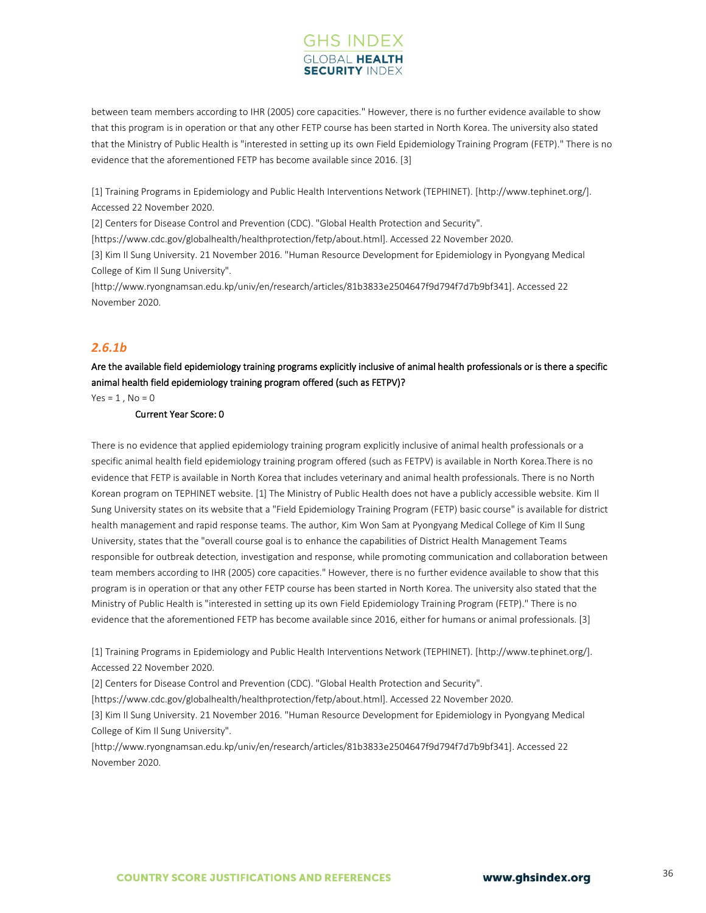## **GHS INDEX SECURITY INDE**

between team members according to IHR (2005) core capacities." However, there is no further evidence available to show that this program is in operation or that any other FETP course has been started in North Korea. The university also stated that the Ministry of Public Health is "interested in setting up its own Field Epidemiology Training Program (FETP)." There is no evidence that the aforementioned FETP has become available since 2016. [3]

[1] Training Programs in Epidemiology and Public Health Interventions Network (TEPHINET). [http://www.tephinet.org/]. Accessed 22 November 2020.

[2] Centers for Disease Control and Prevention (CDC). "Global Health Protection and Security".

[https://www.cdc.gov/globalhealth/healthprotection/fetp/about.html]. Accessed 22 November 2020.

[3] Kim Il Sung University. 21 November 2016. "Human Resource Development for Epidemiology in Pyongyang Medical College of Kim Il Sung University".

[http://www.ryongnamsan.edu.kp/univ/en/research/articles/81b3833e2504647f9d794f7d7b9bf341]. Accessed 22 November 2020.

## *2.6.1b*

## Are the available field epidemiology training programs explicitly inclusive of animal health professionals or is there a specific animal health field epidemiology training program offered (such as FETPV)?

 $Yes = 1$ ,  $No = 0$ 

Current Year Score: 0

There is no evidence that applied epidemiology training program explicitly inclusive of animal health professionals or a specific animal health field epidemiology training program offered (such as FETPV) is available in North Korea.There is no evidence that FETP is available in North Korea that includes veterinary and animal health professionals. There is no North Korean program on TEPHINET website. [1] The Ministry of Public Health does not have a publicly accessible website. Kim Il Sung University states on its website that a "Field Epidemiology Training Program (FETP) basic course" is available for district health management and rapid response teams. The author, Kim Won Sam at Pyongyang Medical College of Kim Il Sung University, states that the "overall course goal is to enhance the capabilities of District Health Management Teams responsible for outbreak detection, investigation and response, while promoting communication and collaboration between team members according to IHR (2005) core capacities." However, there is no further evidence available to show that this program is in operation or that any other FETP course has been started in North Korea. The university also stated that the Ministry of Public Health is "interested in setting up its own Field Epidemiology Training Program (FETP)." There is no evidence that the aforementioned FETP has become available since 2016, either for humans or animal professionals. [3]

[1] Training Programs in Epidemiology and Public Health Interventions Network (TEPHINET). [http://www.tephinet.org/]. Accessed 22 November 2020.

[2] Centers for Disease Control and Prevention (CDC). "Global Health Protection and Security".

[https://www.cdc.gov/globalhealth/healthprotection/fetp/about.html]. Accessed 22 November 2020.

[3] Kim Il Sung University. 21 November 2016. "Human Resource Development for Epidemiology in Pyongyang Medical College of Kim Il Sung University".

[http://www.ryongnamsan.edu.kp/univ/en/research/articles/81b3833e2504647f9d794f7d7b9bf341]. Accessed 22 November 2020.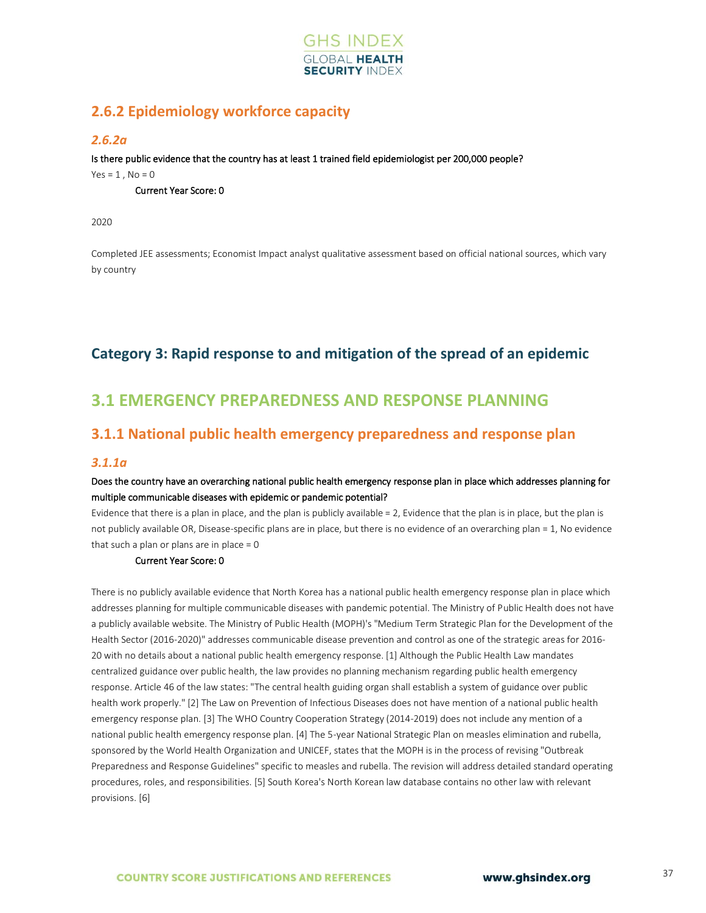

## **2.6.2 Epidemiology workforce capacity**

## *2.6.2a*

Is there public evidence that the country has at least 1 trained field epidemiologist per 200,000 people?

 $Yes = 1, No = 0$ 

Current Year Score: 0

2020

<span id="page-35-0"></span>Completed JEE assessments; Economist Impact analyst qualitative assessment based on official national sources, which vary by country

## **Category 3: Rapid response to and mitigation of the spread of an epidemic**

## <span id="page-35-1"></span>**3.1 EMERGENCY PREPAREDNESS AND RESPONSE PLANNING**

## **3.1.1 National public health emergency preparedness and response plan**

## *3.1.1a*

## Does the country have an overarching national public health emergency response plan in place which addresses planning for multiple communicable diseases with epidemic or pandemic potential?

Evidence that there is a plan in place, and the plan is publicly available = 2, Evidence that the plan is in place, but the plan is not publicly available OR, Disease-specific plans are in place, but there is no evidence of an overarching plan = 1, No evidence that such a plan or plans are in place  $= 0$ 

### Current Year Score: 0

There is no publicly available evidence that North Korea has a national public health emergency response plan in place which addresses planning for multiple communicable diseases with pandemic potential. The Ministry of Public Health does not have a publicly available website. The Ministry of Public Health (MOPH)'s "Medium Term Strategic Plan for the Development of the Health Sector (2016-2020)" addresses communicable disease prevention and control as one of the strategic areas for 2016- 20 with no details about a national public health emergency response. [1] Although the Public Health Law mandates centralized guidance over public health, the law provides no planning mechanism regarding public health emergency response. Article 46 of the law states: "The central health guiding organ shall establish a system of guidance over public health work properly." [2] The Law on Prevention of Infectious Diseases does not have mention of a national public health emergency response plan. [3] The WHO Country Cooperation Strategy (2014-2019) does not include any mention of a national public health emergency response plan. [4] The 5-year National Strategic Plan on measles elimination and rubella, sponsored by the World Health Organization and UNICEF, states that the MOPH is in the process of revising "Outbreak Preparedness and Response Guidelines" specific to measles and rubella. The revision will address detailed standard operating procedures, roles, and responsibilities. [5] South Korea's North Korean law database contains no other law with relevant provisions. [6]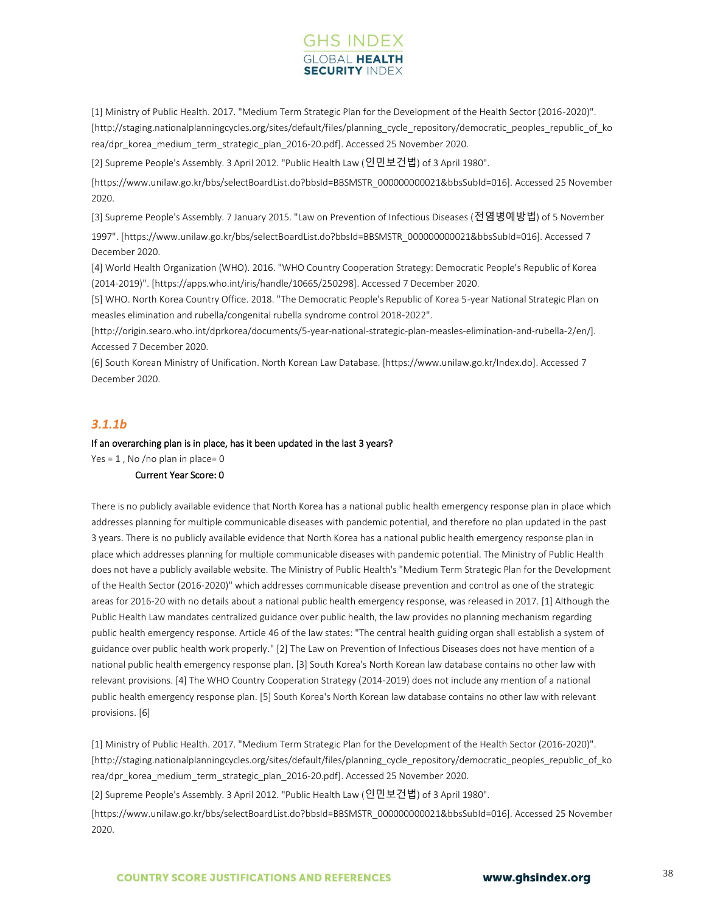# **GHS INDEX SECURITY INDE**

[1] Ministry of Public Health. 2017. "Medium Term Strategic Plan for the Development of the Health Sector (2016-2020)". [http://staging.nationalplanningcycles.org/sites/default/files/planning\_cycle\_repository/democratic\_peoples\_republic\_of\_ko rea/dpr\_korea\_medium\_term\_strategic\_plan\_2016-20.pdf]. Accessed 25 November 2020.

[2] Supreme People's Assembly. 3 April 2012. "Public Health Law (인민보건법) of 3 April 1980".

[https://www.unilaw.go.kr/bbs/selectBoardList.do?bbsId=BBSMSTR\_000000000021&bbsSubId=016]. Accessed 25 November 2020.

[3] Supreme People's Assembly. 7 January 2015. "Law on Prevention of Infectious Diseases (전염병예방법) of 5 November

1997". [https://www.unilaw.go.kr/bbs/selectBoardList.do?bbsId=BBSMSTR\_000000000021&bbsSubId=016]. Accessed 7 December 2020.

[4] World Health Organization (WHO). 2016. "WHO Country Cooperation Strategy: Democratic People's Republic of Korea (2014-2019)". [https://apps.who.int/iris/handle/10665/250298]. Accessed 7 December 2020.

[5] WHO. North Korea Country Office. 2018. "The Democratic People's Republic of Korea 5-year National Strategic Plan on measles elimination and rubella/congenital rubella syndrome control 2018-2022".

[http://origin.searo.who.int/dprkorea/documents/5-year-national-strategic-plan-measles-elimination-and-rubella-2/en/]. Accessed 7 December 2020.

[6] South Korean Ministry of Unification. North Korean Law Database. [https://www.unilaw.go.kr/Index.do]. Accessed 7 December 2020.

## *3.1.1b*

#### If an overarching plan is in place, has it been updated in the last 3 years?

Yes =  $1$ , No /no plan in place= 0

# Current Year Score: 0

There is no publicly available evidence that North Korea has a national public health emergency response plan in place which addresses planning for multiple communicable diseases with pandemic potential, and therefore no plan updated in the past 3 years. There is no publicly available evidence that North Korea has a national public health emergency response plan in place which addresses planning for multiple communicable diseases with pandemic potential. The Ministry of Public Health does not have a publicly available website. The Ministry of Public Health's "Medium Term Strategic Plan for the Development of the Health Sector (2016-2020)" which addresses communicable disease prevention and control as one of the strategic areas for 2016-20 with no details about a national public health emergency response, was released in 2017. [1] Although the Public Health Law mandates centralized guidance over public health, the law provides no planning mechanism regarding public health emergency response. Article 46 of the law states: "The central health guiding organ shall establish a system of guidance over public health work properly." [2] The Law on Prevention of Infectious Diseases does not have mention of a national public health emergency response plan. [3] South Korea's North Korean law database contains no other law with relevant provisions. [4] The WHO Country Cooperation Strategy (2014-2019) does not include any mention of a national public health emergency response plan. [5] South Korea's North Korean law database contains no other law with relevant provisions. [6]

[1] Ministry of Public Health. 2017. "Medium Term Strategic Plan for the Development of the Health Sector (2016-2020)". [http://staging.nationalplanningcycles.org/sites/default/files/planning\_cycle\_repository/democratic\_peoples\_republic\_of\_ko rea/dpr\_korea\_medium\_term\_strategic\_plan\_2016-20.pdf]. Accessed 25 November 2020.

[2] Supreme People's Assembly. 3 April 2012. "Public Health Law (인민보건법) of 3 April 1980".

[https://www.unilaw.go.kr/bbs/selectBoardList.do?bbsId=BBSMSTR\_000000000021&bbsSubId=016]. Accessed 25 November 2020.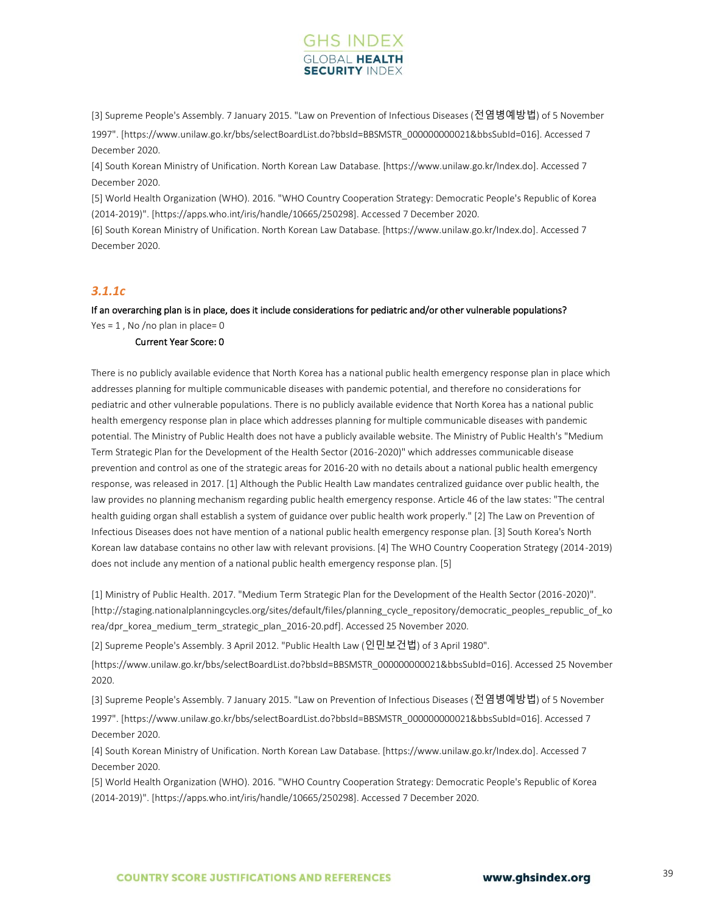

[3] Supreme People's Assembly. 7 January 2015. "Law on Prevention of Infectious Diseases (전염병예방법) of 5 November

1997". [https://www.unilaw.go.kr/bbs/selectBoardList.do?bbsId=BBSMSTR\_000000000021&bbsSubId=016]. Accessed 7 December 2020.

[4] South Korean Ministry of Unification. North Korean Law Database. [https://www.unilaw.go.kr/Index.do]. Accessed 7 December 2020.

[5] World Health Organization (WHO). 2016. "WHO Country Cooperation Strategy: Democratic People's Republic of Korea (2014-2019)". [https://apps.who.int/iris/handle/10665/250298]. Accessed 7 December 2020.

[6] South Korean Ministry of Unification. North Korean Law Database. [https://www.unilaw.go.kr/Index.do]. Accessed 7 December 2020.

### *3.1.1c*

If an overarching plan is in place, does it include considerations for pediatric and/or other vulnerable populations? Yes =  $1$ . No /no plan in place= 0

#### Current Year Score: 0

There is no publicly available evidence that North Korea has a national public health emergency response plan in place which addresses planning for multiple communicable diseases with pandemic potential, and therefore no considerations for pediatric and other vulnerable populations. There is no publicly available evidence that North Korea has a national public health emergency response plan in place which addresses planning for multiple communicable diseases with pandemic potential. The Ministry of Public Health does not have a publicly available website. The Ministry of Public Health's "Medium Term Strategic Plan for the Development of the Health Sector (2016-2020)" which addresses communicable disease prevention and control as one of the strategic areas for 2016-20 with no details about a national public health emergency response, was released in 2017. [1] Although the Public Health Law mandates centralized guidance over public health, the law provides no planning mechanism regarding public health emergency response. Article 46 of the law states: "The central health guiding organ shall establish a system of guidance over public health work properly." [2] The Law on Prevention of Infectious Diseases does not have mention of a national public health emergency response plan. [3] South Korea's North Korean law database contains no other law with relevant provisions. [4] The WHO Country Cooperation Strategy (2014-2019) does not include any mention of a national public health emergency response plan. [5]

[1] Ministry of Public Health. 2017. "Medium Term Strategic Plan for the Development of the Health Sector (2016-2020)". [http://staging.nationalplanningcycles.org/sites/default/files/planning cycle\_repository/democratic\_peoples\_republic\_of\_ko rea/dpr\_korea\_medium\_term\_strategic\_plan\_2016-20.pdf]. Accessed 25 November 2020.

[2] Supreme People's Assembly. 3 April 2012. "Public Health Law (인민보건법) of 3 April 1980".

[https://www.unilaw.go.kr/bbs/selectBoardList.do?bbsId=BBSMSTR\_000000000021&bbsSubId=016]. Accessed 25 November 2020.

[3] Supreme People's Assembly. 7 January 2015. "Law on Prevention of Infectious Diseases (전염병예방법) of 5 November

1997". [https://www.unilaw.go.kr/bbs/selectBoardList.do?bbsId=BBSMSTR\_000000000021&bbsSubId=016]. Accessed 7 December 2020.

[4] South Korean Ministry of Unification. North Korean Law Database. [https://www.unilaw.go.kr/Index.do]. Accessed 7 December 2020.

[5] World Health Organization (WHO). 2016. "WHO Country Cooperation Strategy: Democratic People's Republic of Korea (2014-2019)". [https://apps.who.int/iris/handle/10665/250298]. Accessed 7 December 2020.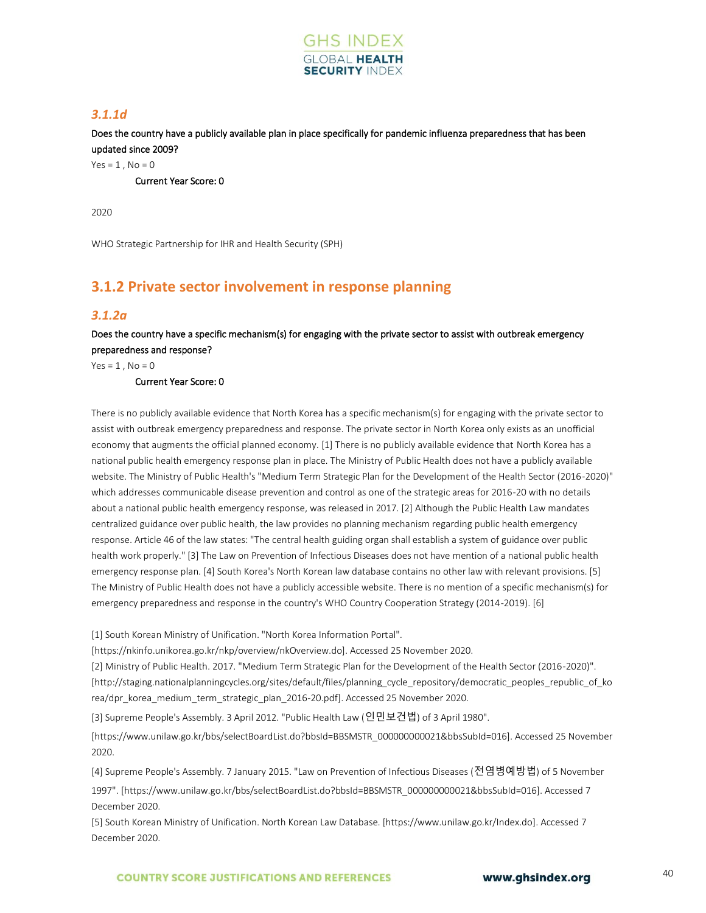

## *3.1.1d*

Does the country have a publicly available plan in place specifically for pandemic influenza preparedness that has been updated since 2009?

 $Yes = 1, No = 0$ 

Current Year Score: 0

2020

WHO Strategic Partnership for IHR and Health Security (SPH)

# **3.1.2 Private sector involvement in response planning**

#### *3.1.2a*

Does the country have a specific mechanism(s) for engaging with the private sector to assist with outbreak emergency preparedness and response?

 $Yes = 1$ .  $No = 0$ 

Current Year Score: 0

There is no publicly available evidence that North Korea has a specific mechanism(s) for engaging with the private sector to assist with outbreak emergency preparedness and response. The private sector in North Korea only exists as an unofficial economy that augments the official planned economy. [1] There is no publicly available evidence that North Korea has a national public health emergency response plan in place. The Ministry of Public Health does not have a publicly available website. The Ministry of Public Health's "Medium Term Strategic Plan for the Development of the Health Sector (2016-2020)" which addresses communicable disease prevention and control as one of the strategic areas for 2016-20 with no details about a national public health emergency response, was released in 2017. [2] Although the Public Health Law mandates centralized guidance over public health, the law provides no planning mechanism regarding public health emergency response. Article 46 of the law states: "The central health guiding organ shall establish a system of guidance over public health work properly." [3] The Law on Prevention of Infectious Diseases does not have mention of a national public health emergency response plan. [4] South Korea's North Korean law database contains no other law with relevant provisions. [5] The Ministry of Public Health does not have a publicly accessible website. There is no mention of a specific mechanism(s) for emergency preparedness and response in the country's WHO Country Cooperation Strategy (2014-2019). [6]

[1] South Korean Ministry of Unification. "North Korea Information Portal".

[https://nkinfo.unikorea.go.kr/nkp/overview/nkOverview.do]. Accessed 25 November 2020.

[2] Ministry of Public Health. 2017. "Medium Term Strategic Plan for the Development of the Health Sector (2016-2020)". [http://staging.nationalplanningcycles.org/sites/default/files/planning\_cycle\_repository/democratic\_peoples\_republic\_of\_ko rea/dpr\_korea\_medium\_term\_strategic\_plan\_2016-20.pdf]. Accessed 25 November 2020.

[3] Supreme People's Assembly. 3 April 2012. "Public Health Law (인민보건법) of 3 April 1980".

[https://www.unilaw.go.kr/bbs/selectBoardList.do?bbsId=BBSMSTR\_000000000021&bbsSubId=016]. Accessed 25 November 2020.

[4] Supreme People's Assembly. 7 January 2015. "Law on Prevention of Infectious Diseases (전염병예방법) of 5 November

1997". [https://www.unilaw.go.kr/bbs/selectBoardList.do?bbsId=BBSMSTR\_000000000021&bbsSubId=016]. Accessed 7 December 2020.

[5] South Korean Ministry of Unification. North Korean Law Database. [https://www.unilaw.go.kr/Index.do]. Accessed 7 December 2020.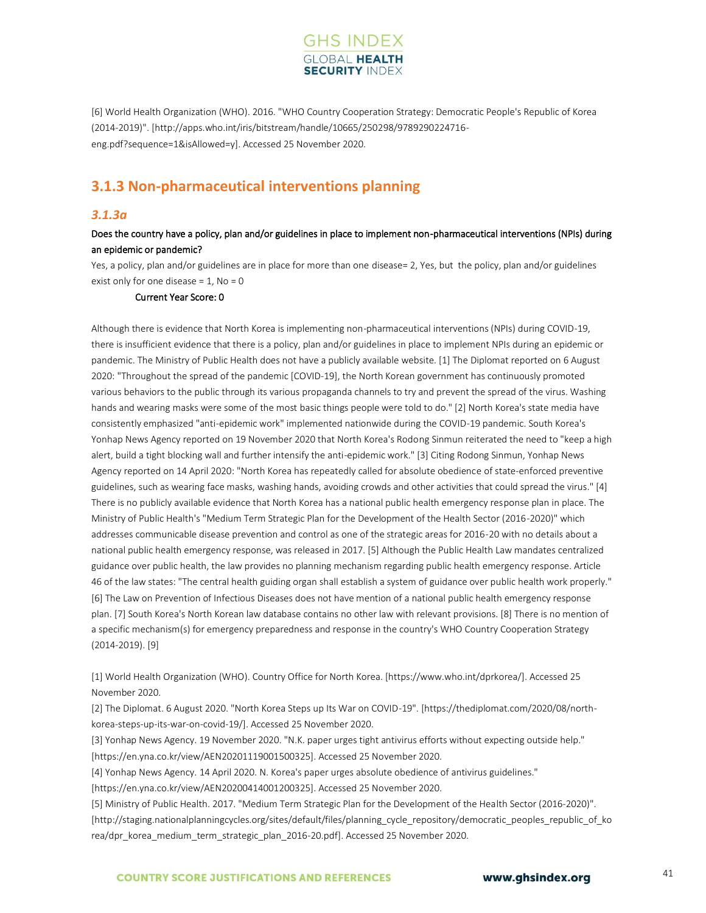

[6] World Health Organization (WHO). 2016. "WHO Country Cooperation Strategy: Democratic People's Republic of Korea (2014-2019)". [http://apps.who.int/iris/bitstream/handle/10665/250298/9789290224716 eng.pdf?sequence=1&isAllowed=y]. Accessed 25 November 2020.

# **3.1.3 Non-pharmaceutical interventions planning**

#### *3.1.3a*

### Does the country have a policy, plan and/or guidelines in place to implement non-pharmaceutical interventions (NPIs) during an epidemic or pandemic?

Yes, a policy, plan and/or guidelines are in place for more than one disease= 2, Yes, but the policy, plan and/or guidelines exist only for one disease =  $1$ , No = 0

#### Current Year Score: 0

Although there is evidence that North Korea is implementing non-pharmaceutical interventions (NPIs) during COVID-19, there is insufficient evidence that there is a policy, plan and/or guidelines in place to implement NPIs during an epidemic or pandemic. The Ministry of Public Health does not have a publicly available website. [1] The Diplomat reported on 6 August 2020: "Throughout the spread of the pandemic [COVID-19], the North Korean government has continuously promoted various behaviors to the public through its various propaganda channels to try and prevent the spread of the virus. Washing hands and wearing masks were some of the most basic things people were told to do." [2] North Korea's state media have consistently emphasized "anti-epidemic work" implemented nationwide during the COVID-19 pandemic. South Korea's Yonhap News Agency reported on 19 November 2020 that North Korea's Rodong Sinmun reiterated the need to "keep a high alert, build a tight blocking wall and further intensify the anti-epidemic work." [3] Citing Rodong Sinmun, Yonhap News Agency reported on 14 April 2020: "North Korea has repeatedly called for absolute obedience of state-enforced preventive guidelines, such as wearing face masks, washing hands, avoiding crowds and other activities that could spread the virus." [4] There is no publicly available evidence that North Korea has a national public health emergency response plan in place. The Ministry of Public Health's "Medium Term Strategic Plan for the Development of the Health Sector (2016-2020)" which addresses communicable disease prevention and control as one of the strategic areas for 2016-20 with no details about a national public health emergency response, was released in 2017. [5] Although the Public Health Law mandates centralized guidance over public health, the law provides no planning mechanism regarding public health emergency response. Article 46 of the law states: "The central health guiding organ shall establish a system of guidance over public health work properly." [6] The Law on Prevention of Infectious Diseases does not have mention of a national public health emergency response plan. [7] South Korea's North Korean law database contains no other law with relevant provisions. [8] There is no mention of a specific mechanism(s) for emergency preparedness and response in the country's WHO Country Cooperation Strategy (2014-2019). [9]

[1] World Health Organization (WHO). Country Office for North Korea. [https://www.who.int/dprkorea/]. Accessed 25 November 2020.

[2] The Diplomat. 6 August 2020. "North Korea Steps up Its War on COVID-19". [https://thediplomat.com/2020/08/northkorea-steps-up-its-war-on-covid-19/]. Accessed 25 November 2020.

[3] Yonhap News Agency. 19 November 2020. "N.K. paper urges tight antivirus efforts without expecting outside help." [https://en.yna.co.kr/view/AEN20201119001500325]. Accessed 25 November 2020.

[4] Yonhap News Agency. 14 April 2020. N. Korea's paper urges absolute obedience of antivirus guidelines."

[https://en.yna.co.kr/view/AEN20200414001200325]. Accessed 25 November 2020.

[5] Ministry of Public Health. 2017. "Medium Term Strategic Plan for the Development of the Health Sector (2016-2020)". [http://staging.nationalplanningcycles.org/sites/default/files/planning\_cycle\_repository/democratic\_peoples\_republic\_of\_ko rea/dpr\_korea\_medium\_term\_strategic\_plan\_2016-20.pdf]. Accessed 25 November 2020.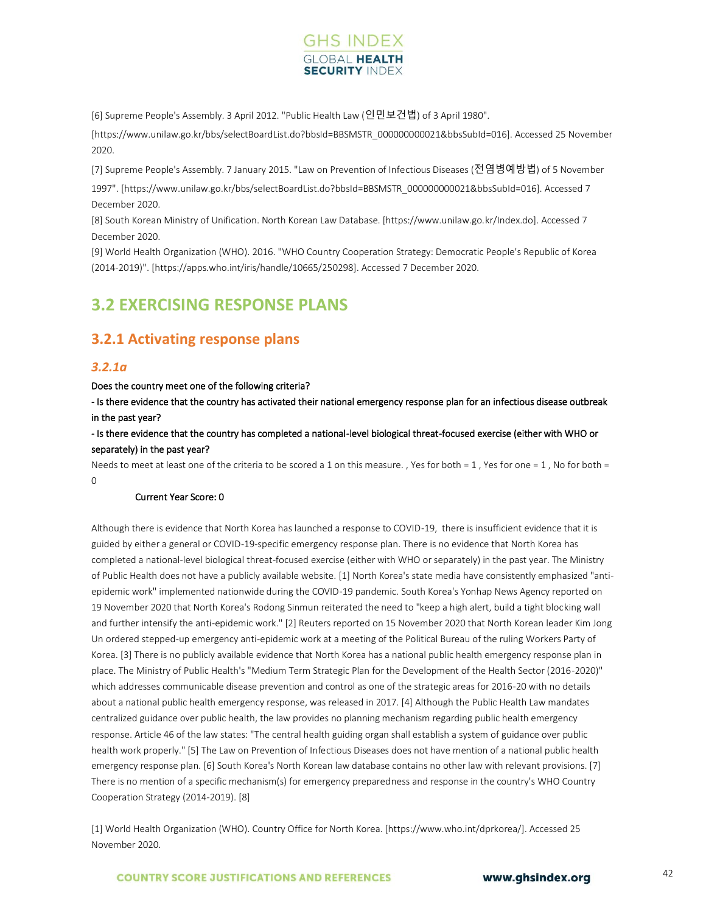

[6] Supreme People's Assembly. 3 April 2012. "Public Health Law (인민보건법) of 3 April 1980".

[https://www.unilaw.go.kr/bbs/selectBoardList.do?bbsId=BBSMSTR\_000000000021&bbsSubId=016]. Accessed 25 November 2020.

[7] Supreme People's Assembly. 7 January 2015. "Law on Prevention of Infectious Diseases (전염병예방법) of 5 November

1997". [https://www.unilaw.go.kr/bbs/selectBoardList.do?bbsId=BBSMSTR\_000000000021&bbsSubId=016]. Accessed 7 December 2020.

[8] South Korean Ministry of Unification. North Korean Law Database. [https://www.unilaw.go.kr/Index.do]. Accessed 7 December 2020.

[9] World Health Organization (WHO). 2016. "WHO Country Cooperation Strategy: Democratic People's Republic of Korea (2014-2019)". [https://apps.who.int/iris/handle/10665/250298]. Accessed 7 December 2020.

# **3.2 EXERCISING RESPONSE PLANS**

# **3.2.1 Activating response plans**

#### *3.2.1a*

Does the country meet one of the following criteria?

- Is there evidence that the country has activated their national emergency response plan for an infectious disease outbreak in the past year?

- Is there evidence that the country has completed a national-level biological threat-focused exercise (either with WHO or separately) in the past year?

Needs to meet at least one of the criteria to be scored a 1 on this measure. , Yes for both = 1, Yes for one = 1, No for both = 0

#### Current Year Score: 0

Although there is evidence that North Korea has launched a response to COVID-19, there is insufficient evidence that it is guided by either a general or COVID-19-specific emergency response plan. There is no evidence that North Korea has completed a national-level biological threat-focused exercise (either with WHO or separately) in the past year. The Ministry of Public Health does not have a publicly available website. [1] North Korea's state media have consistently emphasized "antiepidemic work" implemented nationwide during the COVID-19 pandemic. South Korea's Yonhap News Agency reported on 19 November 2020 that North Korea's Rodong Sinmun reiterated the need to "keep a high alert, build a tight blocking wall and further intensify the anti-epidemic work." [2] Reuters reported on 15 November 2020 that North Korean leader Kim Jong Un ordered stepped-up emergency anti-epidemic work at a meeting of the Political Bureau of the ruling Workers Party of Korea. [3] There is no publicly available evidence that North Korea has a national public health emergency response plan in place. The Ministry of Public Health's "Medium Term Strategic Plan for the Development of the Health Sector (2016-2020)" which addresses communicable disease prevention and control as one of the strategic areas for 2016-20 with no details about a national public health emergency response, was released in 2017. [4] Although the Public Health Law mandates centralized guidance over public health, the law provides no planning mechanism regarding public health emergency response. Article 46 of the law states: "The central health guiding organ shall establish a system of guidance over public health work properly." [5] The Law on Prevention of Infectious Diseases does not have mention of a national public health emergency response plan. [6] South Korea's North Korean law database contains no other law with relevant provisions. [7] There is no mention of a specific mechanism(s) for emergency preparedness and response in the country's WHO Country Cooperation Strategy (2014-2019). [8]

[1] World Health Organization (WHO). Country Office for North Korea. [https://www.who.int/dprkorea/]. Accessed 25 November 2020.

**COUNTRY SCORE JUSTIFICATIONS AND REFERENCES**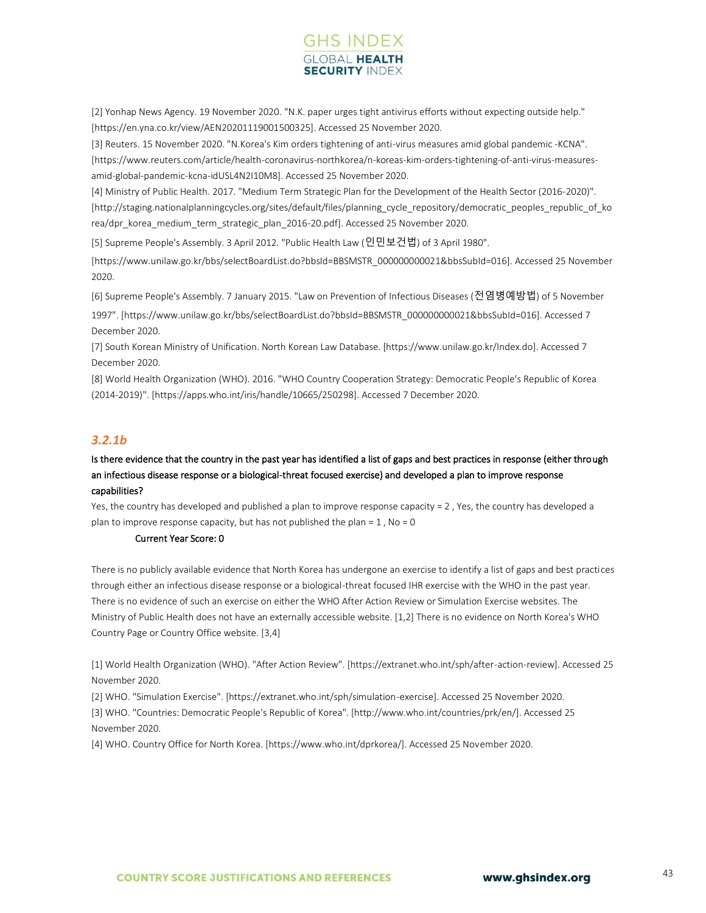

[2] Yonhap News Agency. 19 November 2020. "N.K. paper urges tight antivirus efforts without expecting outside help." [https://en.yna.co.kr/view/AEN20201119001500325]. Accessed 25 November 2020.

[3] Reuters. 15 November 2020. "N.Korea's Kim orders tightening of anti-virus measures amid global pandemic -KCNA".

[https://www.reuters.com/article/health-coronavirus-northkorea/n-koreas-kim-orders-tightening-of-anti-virus-measuresamid-global-pandemic-kcna-idUSL4N2I10M8]. Accessed 25 November 2020.

[4] Ministry of Public Health. 2017. "Medium Term Strategic Plan for the Development of the Health Sector (2016-2020)". [http://staging.nationalplanningcycles.org/sites/default/files/planning\_cycle\_repository/democratic\_peoples\_republic\_of\_ko rea/dpr\_korea\_medium\_term\_strategic\_plan\_2016-20.pdf]. Accessed 25 November 2020.

[5] Supreme People's Assembly. 3 April 2012. "Public Health Law (인민보건법) of 3 April 1980".

[https://www.unilaw.go.kr/bbs/selectBoardList.do?bbsId=BBSMSTR\_000000000021&bbsSubId=016]. Accessed 25 November 2020.

[6] Supreme People's Assembly. 7 January 2015. "Law on Prevention of Infectious Diseases (전염병예방법) of 5 November

1997". [https://www.unilaw.go.kr/bbs/selectBoardList.do?bbsId=BBSMSTR\_000000000021&bbsSubId=016]. Accessed 7 December 2020.

[7] South Korean Ministry of Unification. North Korean Law Database. [https://www.unilaw.go.kr/Index.do]. Accessed 7 December 2020.

[8] World Health Organization (WHO). 2016. "WHO Country Cooperation Strategy: Democratic People's Republic of Korea (2014-2019)". [https://apps.who.int/iris/handle/10665/250298]. Accessed 7 December 2020.

## *3.2.1b*

### Is there evidence that the country in the past year has identified a list of gaps and best practices in response (either through an infectious disease response or a biological-threat focused exercise) and developed a plan to improve response capabilities?

Yes, the country has developed and published a plan to improve response capacity = 2 , Yes, the country has developed a plan to improve response capacity, but has not published the plan =  $1$ , No = 0

#### Current Year Score: 0

There is no publicly available evidence that North Korea has undergone an exercise to identify a list of gaps and best practices through either an infectious disease response or a biological-threat focused IHR exercise with the WHO in the past year. There is no evidence of such an exercise on either the WHO After Action Review or Simulation Exercise websites. The Ministry of Public Health does not have an externally accessible website. [1,2] There is no evidence on North Korea's WHO Country Page or Country Office website. [3,4]

[1] World Health Organization (WHO). "After Action Review". [https://extranet.who.int/sph/after-action-review]. Accessed 25 November 2020.

[2] WHO. "Simulation Exercise". [https://extranet.who.int/sph/simulation-exercise]. Accessed 25 November 2020. [3] WHO. "Countries: Democratic People's Republic of Korea". [http://www.who.int/countries/prk/en/]. Accessed 25 November 2020.

[4] WHO. Country Office for North Korea. [https://www.who.int/dprkorea/]. Accessed 25 November 2020.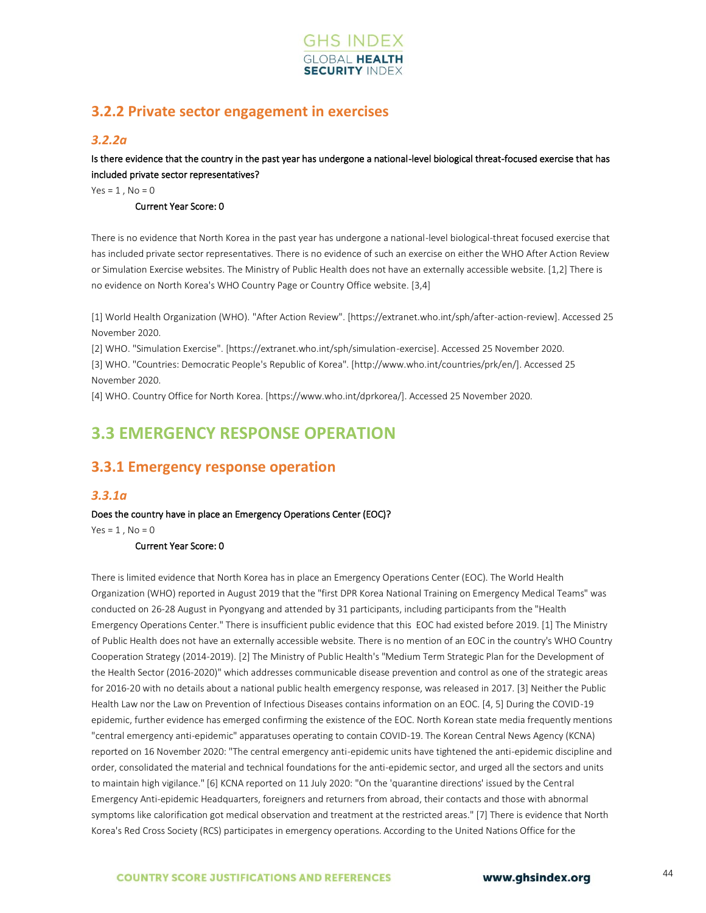

# **3.2.2 Private sector engagement in exercises**

### *3.2.2a*

Is there evidence that the country in the past year has undergone a national-level biological threat-focused exercise that has included private sector representatives?

 $Yes = 1, No = 0$ 

#### Current Year Score: 0

There is no evidence that North Korea in the past year has undergone a national-level biological-threat focused exercise that has included private sector representatives. There is no evidence of such an exercise on either the WHO After Action Review or Simulation Exercise websites. The Ministry of Public Health does not have an externally accessible website. [1,2] There is no evidence on North Korea's WHO Country Page or Country Office website. [3,4]

[1] World Health Organization (WHO). "After Action Review". [https://extranet.who.int/sph/after-action-review]. Accessed 25 November 2020.

[2] WHO. "Simulation Exercise". [https://extranet.who.int/sph/simulation-exercise]. Accessed 25 November 2020. [3] WHO. "Countries: Democratic People's Republic of Korea". [http://www.who.int/countries/prk/en/]. Accessed 25 November 2020.

[4] WHO. Country Office for North Korea. [https://www.who.int/dprkorea/]. Accessed 25 November 2020.

# **3.3 EMERGENCY RESPONSE OPERATION**

# **3.3.1 Emergency response operation**

### *3.3.1a*

Does the country have in place an Emergency Operations Center (EOC)?

 $Yes = 1$ .  $No = 0$ 

#### Current Year Score: 0

There is limited evidence that North Korea has in place an Emergency Operations Center (EOC). The World Health Organization (WHO) reported in August 2019 that the "first DPR Korea National Training on Emergency Medical Teams" was conducted on 26-28 August in Pyongyang and attended by 31 participants, including participants from the "Health Emergency Operations Center." There is insufficient public evidence that this EOC had existed before 2019. [1] The Ministry of Public Health does not have an externally accessible website. There is no mention of an EOC in the country's WHO Country Cooperation Strategy (2014-2019). [2] The Ministry of Public Health's "Medium Term Strategic Plan for the Development of the Health Sector (2016-2020)" which addresses communicable disease prevention and control as one of the strategic areas for 2016-20 with no details about a national public health emergency response, was released in 2017. [3] Neither the Public Health Law nor the Law on Prevention of Infectious Diseases contains information on an EOC. [4, 5] During the COVID-19 epidemic, further evidence has emerged confirming the existence of the EOC. North Korean state media frequently mentions "central emergency anti-epidemic" apparatuses operating to contain COVID-19. The Korean Central News Agency (KCNA) reported on 16 November 2020: "The central emergency anti-epidemic units have tightened the anti-epidemic discipline and order, consolidated the material and technical foundations for the anti-epidemic sector, and urged all the sectors and units to maintain high vigilance." [6] KCNA reported on 11 July 2020: "On the 'quarantine directions' issued by the Central Emergency Anti-epidemic Headquarters, foreigners and returners from abroad, their contacts and those with abnormal symptoms like calorification got medical observation and treatment at the restricted areas." [7] There is evidence that North Korea's Red Cross Society (RCS) participates in emergency operations. According to the United Nations Office for the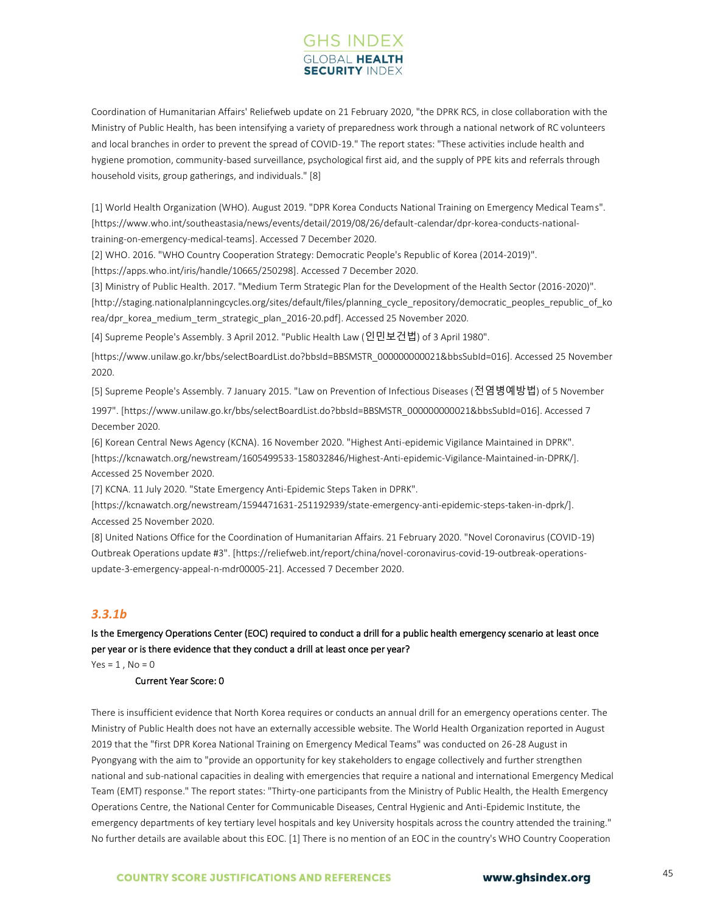# **GHS INDEX SECURITY INDE**

Coordination of Humanitarian Affairs' Reliefweb update on 21 February 2020, "the DPRK RCS, in close collaboration with the Ministry of Public Health, has been intensifying a variety of preparedness work through a national network of RC volunteers and local branches in order to prevent the spread of COVID-19." The report states: "These activities include health and hygiene promotion, community-based surveillance, psychological first aid, and the supply of PPE kits and referrals through household visits, group gatherings, and individuals." [8]

[1] World Health Organization (WHO). August 2019. "DPR Korea Conducts National Training on Emergency Medical Teams". [https://www.who.int/southeastasia/news/events/detail/2019/08/26/default-calendar/dpr-korea-conducts-nationaltraining-on-emergency-medical-teams]. Accessed 7 December 2020.

[2] WHO. 2016. "WHO Country Cooperation Strategy: Democratic People's Republic of Korea (2014-2019)".

[https://apps.who.int/iris/handle/10665/250298]. Accessed 7 December 2020.

[3] Ministry of Public Health. 2017. "Medium Term Strategic Plan for the Development of the Health Sector (2016-2020)". [http://staging.nationalplanningcycles.org/sites/default/files/planning\_cycle\_repository/democratic\_peoples\_republic\_of\_ko rea/dpr\_korea\_medium\_term\_strategic\_plan\_2016-20.pdf]. Accessed 25 November 2020.

[4] Supreme People's Assembly. 3 April 2012. "Public Health Law (인민보건법) of 3 April 1980".

[https://www.unilaw.go.kr/bbs/selectBoardList.do?bbsId=BBSMSTR\_000000000021&bbsSubId=016]. Accessed 25 November 2020.

[5] Supreme People's Assembly. 7 January 2015. "Law on Prevention of Infectious Diseases (전염병예방법) of 5 November

1997". [https://www.unilaw.go.kr/bbs/selectBoardList.do?bbsId=BBSMSTR\_000000000021&bbsSubId=016]. Accessed 7 December 2020.

[6] Korean Central News Agency (KCNA). 16 November 2020. "Highest Anti-epidemic Vigilance Maintained in DPRK". [https://kcnawatch.org/newstream/1605499533-158032846/Highest-Anti-epidemic-Vigilance-Maintained-in-DPRK/]. Accessed 25 November 2020.

[7] KCNA. 11 July 2020. "State Emergency Anti-Epidemic Steps Taken in DPRK".

[https://kcnawatch.org/newstream/1594471631-251192939/state-emergency-anti-epidemic-steps-taken-in-dprk/]. Accessed 25 November 2020.

[8] United Nations Office for the Coordination of Humanitarian Affairs. 21 February 2020. "Novel Coronavirus (COVID-19) Outbreak Operations update #3". [https://reliefweb.int/report/china/novel-coronavirus-covid-19-outbreak-operationsupdate-3-emergency-appeal-n-mdr00005-21]. Accessed 7 December 2020.

## *3.3.1b*

Is the Emergency Operations Center (EOC) required to conduct a drill for a public health emergency scenario at least once per year or is there evidence that they conduct a drill at least once per year?

 $Yes = 1, No = 0$ 

#### Current Year Score: 0

There is insufficient evidence that North Korea requires or conducts an annual drill for an emergency operations center. The Ministry of Public Health does not have an externally accessible website. The World Health Organization reported in August 2019 that the "first DPR Korea National Training on Emergency Medical Teams" was conducted on 26-28 August in Pyongyang with the aim to "provide an opportunity for key stakeholders to engage collectively and further strengthen national and sub-national capacities in dealing with emergencies that require a national and international Emergency Medical Team (EMT) response." The report states: "Thirty-one participants from the Ministry of Public Health, the Health Emergency Operations Centre, the National Center for Communicable Diseases, Central Hygienic and Anti-Epidemic Institute, the emergency departments of key tertiary level hospitals and key University hospitals across the country attended the training." No further details are available about this EOC. [1] There is no mention of an EOC in the country's WHO Country Cooperation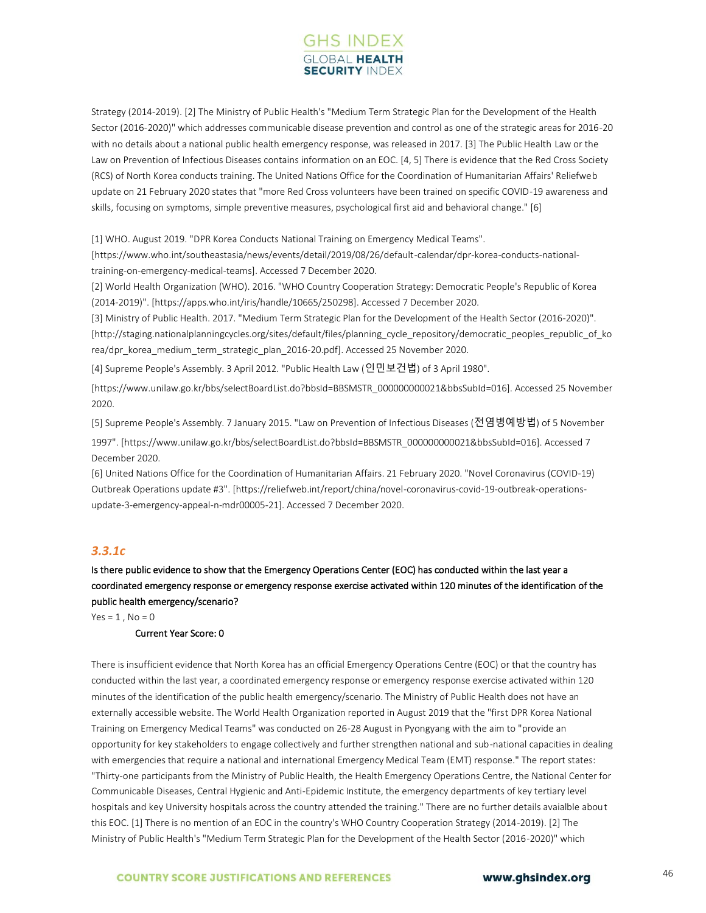# **GHS INDEX SECURITY INDE**

Strategy (2014-2019). [2] The Ministry of Public Health's "Medium Term Strategic Plan for the Development of the Health Sector (2016-2020)" which addresses communicable disease prevention and control as one of the strategic areas for 2016-20 with no details about a national public health emergency response, was released in 2017. [3] The Public Health Law or the Law on Prevention of Infectious Diseases contains information on an EOC. [4, 5] There is evidence that the Red Cross Society (RCS) of North Korea conducts training. The United Nations Office for the Coordination of Humanitarian Affairs' Reliefweb update on 21 February 2020 states that "more Red Cross volunteers have been trained on specific COVID-19 awareness and skills, focusing on symptoms, simple preventive measures, psychological first aid and behavioral change." [6]

[1] WHO. August 2019. "DPR Korea Conducts National Training on Emergency Medical Teams".

[https://www.who.int/southeastasia/news/events/detail/2019/08/26/default-calendar/dpr-korea-conducts-nationaltraining-on-emergency-medical-teams]. Accessed 7 December 2020.

[2] World Health Organization (WHO). 2016. "WHO Country Cooperation Strategy: Democratic People's Republic of Korea (2014-2019)". [https://apps.who.int/iris/handle/10665/250298]. Accessed 7 December 2020.

[3] Ministry of Public Health. 2017. "Medium Term Strategic Plan for the Development of the Health Sector (2016-2020)". [http://staging.nationalplanningcycles.org/sites/default/files/planning\_cycle\_repository/democratic\_peoples\_republic\_of\_ko rea/dpr\_korea\_medium\_term\_strategic\_plan\_2016-20.pdf]. Accessed 25 November 2020.

[4] Supreme People's Assembly. 3 April 2012. "Public Health Law (인민보건법) of 3 April 1980".

[https://www.unilaw.go.kr/bbs/selectBoardList.do?bbsId=BBSMSTR\_000000000021&bbsSubId=016]. Accessed 25 November 2020.

[5] Supreme People's Assembly. 7 January 2015. "Law on Prevention of Infectious Diseases (전염병예방법) of 5 November 1997". [https://www.unilaw.go.kr/bbs/selectBoardList.do?bbsId=BBSMSTR\_000000000021&bbsSubId=016]. Accessed 7 December 2020.

[6] United Nations Office for the Coordination of Humanitarian Affairs. 21 February 2020. "Novel Coronavirus (COVID-19) Outbreak Operations update #3". [https://reliefweb.int/report/china/novel-coronavirus-covid-19-outbreak-operationsupdate-3-emergency-appeal-n-mdr00005-21]. Accessed 7 December 2020.

## *3.3.1c*

Is there public evidence to show that the Emergency Operations Center (EOC) has conducted within the last year a coordinated emergency response or emergency response exercise activated within 120 minutes of the identification of the public health emergency/scenario?

 $Yes = 1, No = 0$ 

#### Current Year Score: 0

There is insufficient evidence that North Korea has an official Emergency Operations Centre (EOC) or that the country has conducted within the last year, a coordinated emergency response or emergency response exercise activated within 120 minutes of the identification of the public health emergency/scenario. The Ministry of Public Health does not have an externally accessible website. The World Health Organization reported in August 2019 that the "first DPR Korea National Training on Emergency Medical Teams" was conducted on 26-28 August in Pyongyang with the aim to "provide an opportunity for key stakeholders to engage collectively and further strengthen national and sub-national capacities in dealing with emergencies that require a national and international Emergency Medical Team (EMT) response." The report states: "Thirty-one participants from the Ministry of Public Health, the Health Emergency Operations Centre, the National Center for Communicable Diseases, Central Hygienic and Anti-Epidemic Institute, the emergency departments of key tertiary level hospitals and key University hospitals across the country attended the training." There are no further details avaialble about this EOC. [1] There is no mention of an EOC in the country's WHO Country Cooperation Strategy (2014-2019). [2] The Ministry of Public Health's "Medium Term Strategic Plan for the Development of the Health Sector (2016-2020)" which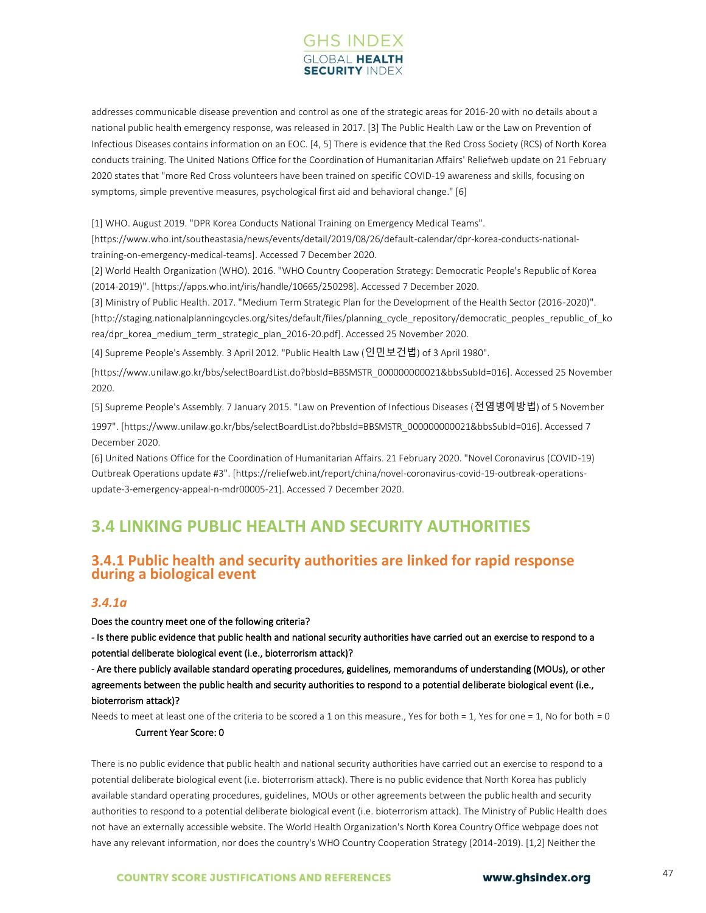

addresses communicable disease prevention and control as one of the strategic areas for 2016-20 with no details about a national public health emergency response, was released in 2017. [3] The Public Health Law or the Law on Prevention of Infectious Diseases contains information on an EOC. [4, 5] There is evidence that the Red Cross Society (RCS) of North Korea conducts training. The United Nations Office for the Coordination of Humanitarian Affairs' Reliefweb update on 21 February 2020 states that "more Red Cross volunteers have been trained on specific COVID-19 awareness and skills, focusing on symptoms, simple preventive measures, psychological first aid and behavioral change." [6]

[1] WHO. August 2019. "DPR Korea Conducts National Training on Emergency Medical Teams".

[https://www.who.int/southeastasia/news/events/detail/2019/08/26/default-calendar/dpr-korea-conducts-nationaltraining-on-emergency-medical-teams]. Accessed 7 December 2020.

[2] World Health Organization (WHO). 2016. "WHO Country Cooperation Strategy: Democratic People's Republic of Korea (2014-2019)". [https://apps.who.int/iris/handle/10665/250298]. Accessed 7 December 2020.

[3] Ministry of Public Health. 2017. "Medium Term Strategic Plan for the Development of the Health Sector (2016-2020)". [http://staging.nationalplanningcycles.org/sites/default/files/planning\_cycle\_repository/democratic\_peoples\_republic\_of\_ko rea/dpr\_korea\_medium\_term\_strategic\_plan\_2016-20.pdf]. Accessed 25 November 2020.

[4] Supreme People's Assembly. 3 April 2012. "Public Health Law (인민보건법) of 3 April 1980".

[https://www.unilaw.go.kr/bbs/selectBoardList.do?bbsId=BBSMSTR\_000000000021&bbsSubId=016]. Accessed 25 November 2020.

[5] Supreme People's Assembly. 7 January 2015. "Law on Prevention of Infectious Diseases (전염병예방법) of 5 November 1997". [https://www.unilaw.go.kr/bbs/selectBoardList.do?bbsId=BBSMSTR\_000000000021&bbsSubId=016]. Accessed 7 December 2020.

[6] United Nations Office for the Coordination of Humanitarian Affairs. 21 February 2020. "Novel Coronavirus (COVID-19) Outbreak Operations update #3". [https://reliefweb.int/report/china/novel-coronavirus-covid-19-outbreak-operationsupdate-3-emergency-appeal-n-mdr00005-21]. Accessed 7 December 2020.

# **3.4 LINKING PUBLIC HEALTH AND SECURITY AUTHORITIES**

# **3.4.1 Public health and security authorities are linked for rapid response during a biological event**

#### *3.4.1a*

Does the country meet one of the following criteria?

- Is there public evidence that public health and national security authorities have carried out an exercise to respond to a potential deliberate biological event (i.e., bioterrorism attack)?

- Are there publicly available standard operating procedures, guidelines, memorandums of understanding (MOUs), or other agreements between the public health and security authorities to respond to a potential deliberate biological event (i.e., bioterrorism attack)?

Needs to meet at least one of the criteria to be scored a 1 on this measure., Yes for both = 1, Yes for one = 1, No for both = 0

#### Current Year Score: 0

There is no public evidence that public health and national security authorities have carried out an exercise to respond to a potential deliberate biological event (i.e. bioterrorism attack). There is no public evidence that North Korea has publicly available standard operating procedures, guidelines, MOUs or other agreements between the public health and security authorities to respond to a potential deliberate biological event (i.e. bioterrorism attack). The Ministry of Public Health does not have an externally accessible website. The World Health Organization's North Korea Country Office webpage does not have any relevant information, nor does the country's WHO Country Cooperation Strategy (2014-2019). [1,2] Neither the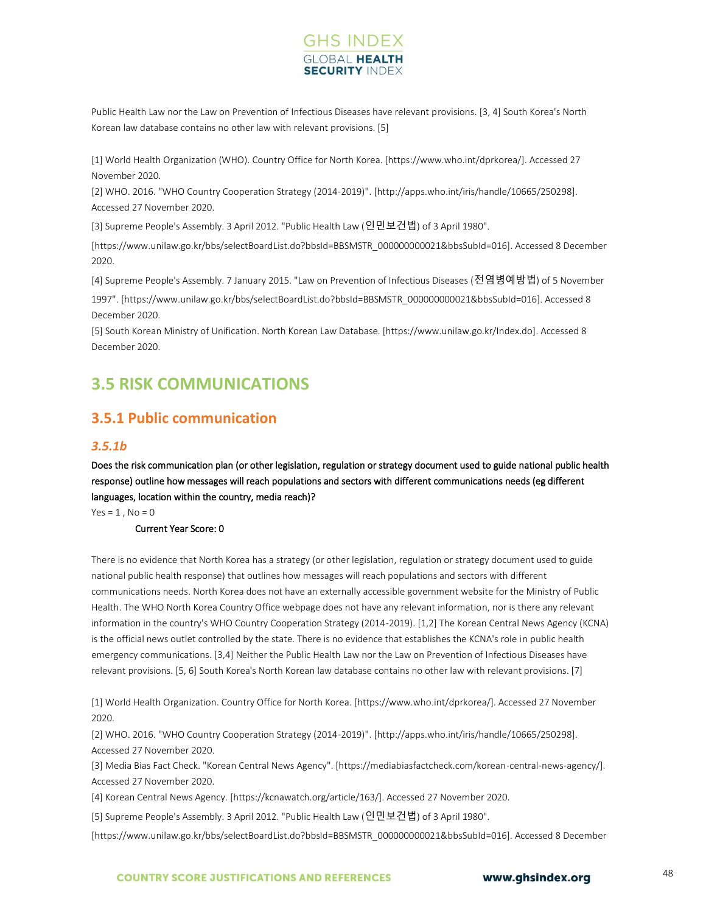# **GHS INDEX SECURITY INDI**

Public Health Law nor the Law on Prevention of Infectious Diseases have relevant provisions. [3, 4] South Korea's North Korean law database contains no other law with relevant provisions. [5]

[1] World Health Organization (WHO). Country Office for North Korea. [https://www.who.int/dprkorea/]. Accessed 27 November 2020.

[2] WHO. 2016. "WHO Country Cooperation Strategy (2014-2019)". [http://apps.who.int/iris/handle/10665/250298]. Accessed 27 November 2020.

[3] Supreme People's Assembly. 3 April 2012. "Public Health Law (인민보건법) of 3 April 1980".

[https://www.unilaw.go.kr/bbs/selectBoardList.do?bbsId=BBSMSTR\_000000000021&bbsSubId=016]. Accessed 8 December 2020.

[4] Supreme People's Assembly. 7 January 2015. "Law on Prevention of Infectious Diseases (전염병예방법) of 5 November

1997". [https://www.unilaw.go.kr/bbs/selectBoardList.do?bbsId=BBSMSTR\_000000000021&bbsSubId=016]. Accessed 8 December 2020.

[5] South Korean Ministry of Unification. North Korean Law Database. [https://www.unilaw.go.kr/Index.do]. Accessed 8 December 2020.

# **3.5 RISK COMMUNICATIONS**

# **3.5.1 Public communication**

### *3.5.1b*

Does the risk communication plan (or other legislation, regulation or strategy document used to guide national public health response) outline how messages will reach populations and sectors with different communications needs (eg different languages, location within the country, media reach)?

 $Yes = 1, No = 0$ 

Current Year Score: 0

There is no evidence that North Korea has a strategy (or other legislation, regulation or strategy document used to guide national public health response) that outlines how messages will reach populations and sectors with different communications needs. North Korea does not have an externally accessible government website for the Ministry of Public Health. The WHO North Korea Country Office webpage does not have any relevant information, nor is there any relevant information in the country's WHO Country Cooperation Strategy (2014-2019). [1,2] The Korean Central News Agency (KCNA) is the official news outlet controlled by the state. There is no evidence that establishes the KCNA's role in public health emergency communications. [3,4] Neither the Public Health Law nor the Law on Prevention of Infectious Diseases have relevant provisions. [5, 6] South Korea's North Korean law database contains no other law with relevant provisions. [7]

[1] World Health Organization. Country Office for North Korea. [https://www.who.int/dprkorea/]. Accessed 27 November 2020.

[2] WHO. 2016. "WHO Country Cooperation Strategy (2014-2019)". [http://apps.who.int/iris/handle/10665/250298]. Accessed 27 November 2020.

[3] Media Bias Fact Check. "Korean Central News Agency". [https://mediabiasfactcheck.com/korean-central-news-agency/]. Accessed 27 November 2020.

[4] Korean Central News Agency. [https://kcnawatch.org/article/163/]. Accessed 27 November 2020.

[5] Supreme People's Assembly. 3 April 2012. "Public Health Law (인민보건법) of 3 April 1980".

[https://www.unilaw.go.kr/bbs/selectBoardList.do?bbsId=BBSMSTR\_000000000021&bbsSubId=016]. Accessed 8 December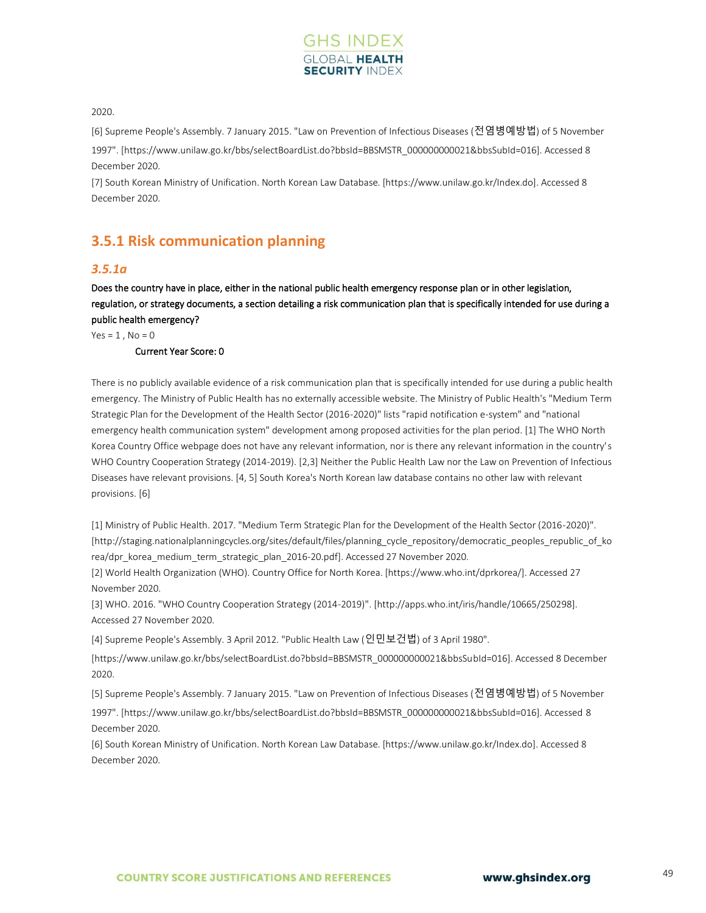

#### 2020.

[6] Supreme People's Assembly. 7 January 2015. "Law on Prevention of Infectious Diseases (전염병예방법) of 5 November

1997". [https://www.unilaw.go.kr/bbs/selectBoardList.do?bbsId=BBSMSTR\_000000000021&bbsSubId=016]. Accessed 8 December 2020.

[7] South Korean Ministry of Unification. North Korean Law Database. [https://www.unilaw.go.kr/Index.do]. Accessed 8 December 2020.

# **3.5.1 Risk communication planning**

#### *3.5.1a*

Does the country have in place, either in the national public health emergency response plan or in other legislation, regulation, or strategy documents, a section detailing a risk communication plan that is specifically intended for use during a public health emergency?

 $Yes = 1, No = 0$ 

#### Current Year Score: 0

There is no publicly available evidence of a risk communication plan that is specifically intended for use during a public health emergency. The Ministry of Public Health has no externally accessible website. The Ministry of Public Health's "Medium Term Strategic Plan for the Development of the Health Sector (2016-2020)" lists "rapid notification e-system" and "national emergency health communication system" development among proposed activities for the plan period. [1] The WHO North Korea Country Office webpage does not have any relevant information, nor is there any relevant information in the country's WHO Country Cooperation Strategy (2014-2019). [2,3] Neither the Public Health Law nor the Law on Prevention of Infectious Diseases have relevant provisions. [4, 5] South Korea's North Korean law database contains no other law with relevant provisions. [6]

[1] Ministry of Public Health. 2017. "Medium Term Strategic Plan for the Development of the Health Sector (2016-2020)". [http://staging.nationalplanningcycles.org/sites/default/files/planning cycle\_repository/democratic\_peoples\_republic\_of\_ko rea/dpr\_korea\_medium\_term\_strategic\_plan\_2016-20.pdf]. Accessed 27 November 2020.

[2] World Health Organization (WHO). Country Office for North Korea. [https://www.who.int/dprkorea/]. Accessed 27 November 2020.

[3] WHO. 2016. "WHO Country Cooperation Strategy (2014-2019)". [http://apps.who.int/iris/handle/10665/250298]. Accessed 27 November 2020.

[4] Supreme People's Assembly. 3 April 2012. "Public Health Law (인민보건법) of 3 April 1980".

[https://www.unilaw.go.kr/bbs/selectBoardList.do?bbsId=BBSMSTR\_000000000021&bbsSubId=016]. Accessed 8 December 2020.

[5] Supreme People's Assembly. 7 January 2015. "Law on Prevention of Infectious Diseases (전염병예방법) of 5 November

1997". [https://www.unilaw.go.kr/bbs/selectBoardList.do?bbsId=BBSMSTR\_000000000021&bbsSubId=016]. Accessed 8 December 2020.

[6] South Korean Ministry of Unification. North Korean Law Database. [https://www.unilaw.go.kr/Index.do]. Accessed 8 December 2020.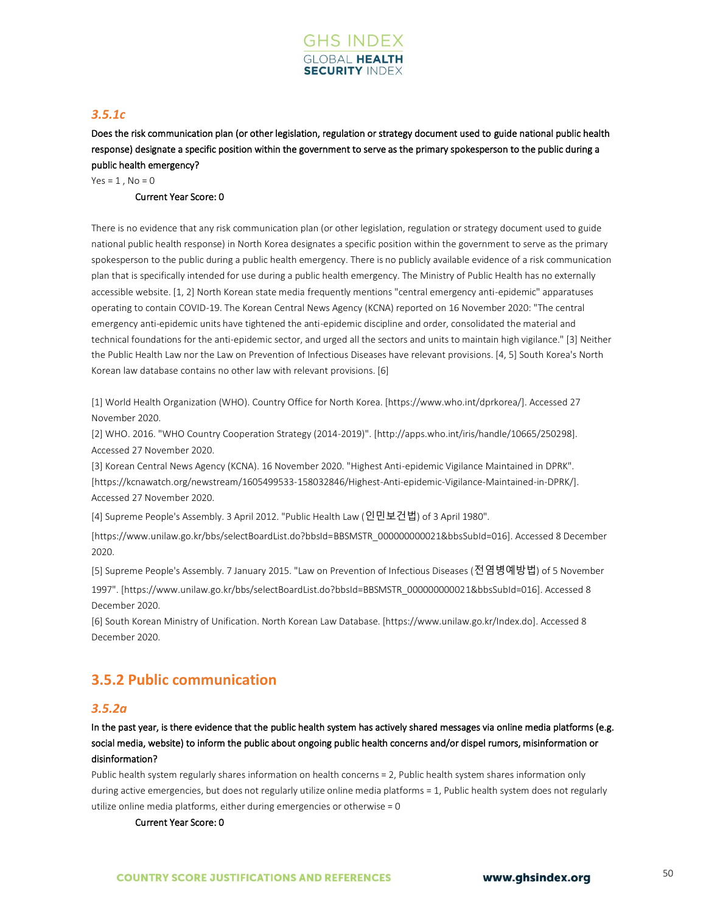

## *3.5.1c*

Does the risk communication plan (or other legislation, regulation or strategy document used to guide national public health response) designate a specific position within the government to serve as the primary spokesperson to the public during a public health emergency?

 $Yes = 1, No = 0$ 

### Current Year Score: 0

There is no evidence that any risk communication plan (or other legislation, regulation or strategy document used to guide national public health response) in North Korea designates a specific position within the government to serve as the primary spokesperson to the public during a public health emergency. There is no publicly available evidence of a risk communication plan that is specifically intended for use during a public health emergency. The Ministry of Public Health has no externally accessible website. [1, 2] North Korean state media frequently mentions "central emergency anti-epidemic" apparatuses operating to contain COVID-19. The Korean Central News Agency (KCNA) reported on 16 November 2020: "The central emergency anti-epidemic units have tightened the anti-epidemic discipline and order, consolidated the material and technical foundations for the anti-epidemic sector, and urged all the sectors and units to maintain high vigilance." [3] Neither the Public Health Law nor the Law on Prevention of Infectious Diseases have relevant provisions. [4, 5] South Korea's North Korean law database contains no other law with relevant provisions. [6]

[1] World Health Organization (WHO). Country Office for North Korea. [https://www.who.int/dprkorea/]. Accessed 27 November 2020.

[2] WHO. 2016. "WHO Country Cooperation Strategy (2014-2019)". [http://apps.who.int/iris/handle/10665/250298]. Accessed 27 November 2020.

[3] Korean Central News Agency (KCNA). 16 November 2020. "Highest Anti-epidemic Vigilance Maintained in DPRK". [https://kcnawatch.org/newstream/1605499533-158032846/Highest-Anti-epidemic-Vigilance-Maintained-in-DPRK/]. Accessed 27 November 2020.

[4] Supreme People's Assembly. 3 April 2012. "Public Health Law (인민보건법) of 3 April 1980".

[https://www.unilaw.go.kr/bbs/selectBoardList.do?bbsId=BBSMSTR\_000000000021&bbsSubId=016]. Accessed 8 December 2020.

[5] Supreme People's Assembly. 7 January 2015. "Law on Prevention of Infectious Diseases (전염병예방법) of 5 November

1997". [https://www.unilaw.go.kr/bbs/selectBoardList.do?bbsId=BBSMSTR\_000000000021&bbsSubId=016]. Accessed 8 December 2020.

[6] South Korean Ministry of Unification. North Korean Law Database. [https://www.unilaw.go.kr/Index.do]. Accessed 8 December 2020.

# **3.5.2 Public communication**

#### *3.5.2a*

In the past year, is there evidence that the public health system has actively shared messages via online media platforms (e.g. social media, website) to inform the public about ongoing public health concerns and/or dispel rumors, misinformation or disinformation?

Public health system regularly shares information on health concerns = 2, Public health system shares information only during active emergencies, but does not regularly utilize online media platforms = 1, Public health system does not regularly utilize online media platforms, either during emergencies or otherwise = 0

Current Year Score: 0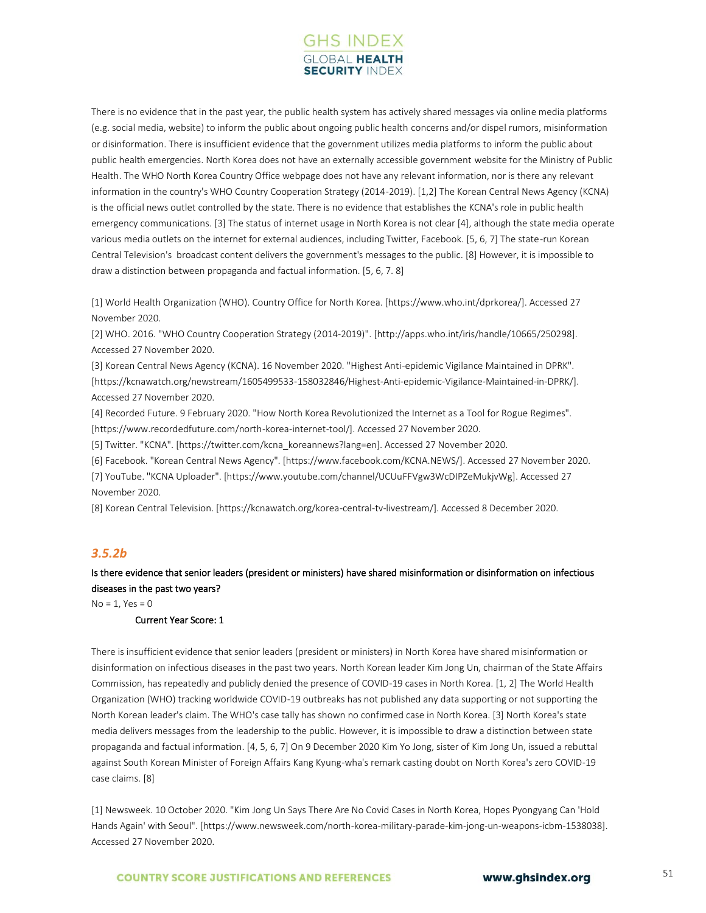

There is no evidence that in the past year, the public health system has actively shared messages via online media platforms (e.g. social media, website) to inform the public about ongoing public health concerns and/or dispel rumors, misinformation or disinformation. There is insufficient evidence that the government utilizes media platforms to inform the public about public health emergencies. North Korea does not have an externally accessible government website for the Ministry of Public Health. The WHO North Korea Country Office webpage does not have any relevant information, nor is there any relevant information in the country's WHO Country Cooperation Strategy (2014-2019). [1,2] The Korean Central News Agency (KCNA) is the official news outlet controlled by the state. There is no evidence that establishes the KCNA's role in public health emergency communications. [3] The status of internet usage in North Korea is not clear [4], although the state media operate various media outlets on the internet for external audiences, including Twitter, Facebook. [5, 6, 7] The state-run Korean Central Television's broadcast content delivers the government's messages to the public. [8] However, it is impossible to draw a distinction between propaganda and factual information. [5, 6, 7. 8]

[1] World Health Organization (WHO). Country Office for North Korea. [https://www.who.int/dprkorea/]. Accessed 27 November 2020.

[2] WHO. 2016. "WHO Country Cooperation Strategy (2014-2019)". [http://apps.who.int/iris/handle/10665/250298]. Accessed 27 November 2020.

[3] Korean Central News Agency (KCNA). 16 November 2020. "Highest Anti-epidemic Vigilance Maintained in DPRK". [https://kcnawatch.org/newstream/1605499533-158032846/Highest-Anti-epidemic-Vigilance-Maintained-in-DPRK/]. Accessed 27 November 2020.

[4] Recorded Future. 9 February 2020. "How North Korea Revolutionized the Internet as a Tool for Rogue Regimes". [https://www.recordedfuture.com/north-korea-internet-tool/]. Accessed 27 November 2020.

[5] Twitter. "KCNA". [https://twitter.com/kcna\_koreannews?lang=en]. Accessed 27 November 2020.

[6] Facebook. "Korean Central News Agency". [https://www.facebook.com/KCNA.NEWS/]. Accessed 27 November 2020.

[7] YouTube. "KCNA Uploader". [https://www.youtube.com/channel/UCUuFFVgw3WcDIPZeMukjvWg]. Accessed 27 November 2020.

[8] Korean Central Television. [https://kcnawatch.org/korea-central-tv-livestream/]. Accessed 8 December 2020.

#### *3.5.2b*

## Is there evidence that senior leaders (president or ministers) have shared misinformation or disinformation on infectious diseases in the past two years?

 $No = 1, Yes = 0$ 

#### Current Year Score: 1

There is insufficient evidence that senior leaders (president or ministers) in North Korea have shared misinformation or disinformation on infectious diseases in the past two years. North Korean leader Kim Jong Un, chairman of the State Affairs Commission, has repeatedly and publicly denied the presence of COVID-19 cases in North Korea. [1, 2] The World Health Organization (WHO) tracking worldwide COVID-19 outbreaks has not published any data supporting or not supporting the North Korean leader's claim. The WHO's case tally has shown no confirmed case in North Korea. [3] North Korea's state media delivers messages from the leadership to the public. However, it is impossible to draw a distinction between state propaganda and factual information. [4, 5, 6, 7] On 9 December 2020 Kim Yo Jong, sister of Kim Jong Un, issued a rebuttal against South Korean Minister of Foreign Affairs Kang Kyung-wha's remark casting doubt on North Korea's zero COVID-19 case claims. [8]

[1] Newsweek. 10 October 2020. "Kim Jong Un Says There Are No Covid Cases in North Korea, Hopes Pyongyang Can 'Hold Hands Again' with Seoul". [https://www.newsweek.com/north-korea-military-parade-kim-jong-un-weapons-icbm-1538038]. Accessed 27 November 2020.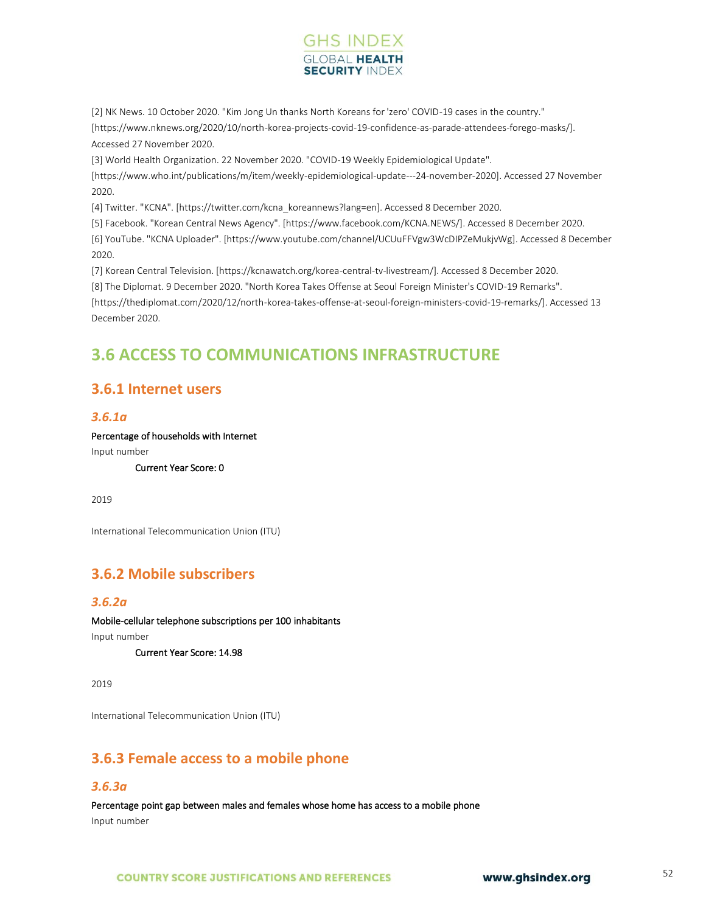

[2] NK News. 10 October 2020. "Kim Jong Un thanks North Koreans for 'zero' COVID-19 cases in the country." [https://www.nknews.org/2020/10/north-korea-projects-covid-19-confidence-as-parade-attendees-forego-masks/]. Accessed 27 November 2020.

[3] World Health Organization. 22 November 2020. "COVID-19 Weekly Epidemiological Update". [https://www.who.int/publications/m/item/weekly-epidemiological-update---24-november-2020]. Accessed 27 November 2020.

[4] Twitter. "KCNA". [https://twitter.com/kcna\_koreannews?lang=en]. Accessed 8 December 2020.

[5] Facebook. "Korean Central News Agency". [https://www.facebook.com/KCNA.NEWS/]. Accessed 8 December 2020. [6] YouTube. "KCNA Uploader". [https://www.youtube.com/channel/UCUuFFVgw3WcDIPZeMukjvWg]. Accessed 8 December 2020.

[7] Korean Central Television. [https://kcnawatch.org/korea-central-tv-livestream/]. Accessed 8 December 2020. [8] The Diplomat. 9 December 2020. "North Korea Takes Offense at Seoul Foreign Minister's COVID-19 Remarks". [https://thediplomat.com/2020/12/north-korea-takes-offense-at-seoul-foreign-ministers-covid-19-remarks/]. Accessed 13 December 2020.

# **3.6 ACCESS TO COMMUNICATIONS INFRASTRUCTURE**

# **3.6.1 Internet users**

## *3.6.1a*

Percentage of households with Internet

Input number

Current Year Score: 0

2019

International Telecommunication Union (ITU)

# **3.6.2 Mobile subscribers**

## *3.6.2a*

Mobile-cellular telephone subscriptions per 100 inhabitants

Input number

Current Year Score: 14.98

2019

International Telecommunication Union (ITU)

# **3.6.3 Female access to a mobile phone**

## *3.6.3a*

Percentage point gap between males and females whose home has access to a mobile phone Input number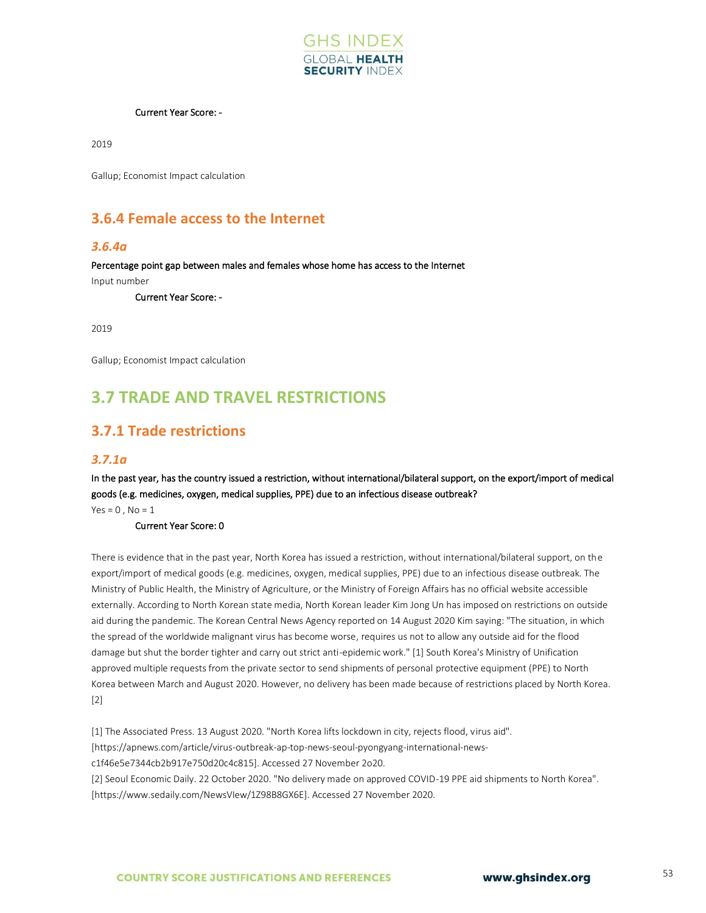

#### Current Year Score: -

2019

Gallup; Economist Impact calculation

# **3.6.4 Female access to the Internet**

#### *3.6.4a*

Percentage point gap between males and females whose home has access to the Internet Input number

Current Year Score: -

2019

Gallup; Economist Impact calculation

# **3.7 TRADE AND TRAVEL RESTRICTIONS**

# **3.7.1 Trade restrictions**

#### *3.7.1a*

In the past year, has the country issued a restriction, without international/bilateral support, on the export/import of medical goods (e.g. medicines, oxygen, medical supplies, PPE) due to an infectious disease outbreak?

 $Yes = 0, No = 1$ 

Current Year Score: 0

There is evidence that in the past year, North Korea has issued a restriction, without international/bilateral support, on the export/import of medical goods (e.g. medicines, oxygen, medical supplies, PPE) due to an infectious disease outbreak. The Ministry of Public Health, the Ministry of Agriculture, or the Ministry of Foreign Affairs has no official website accessible externally. According to North Korean state media, North Korean leader Kim Jong Un has imposed on restrictions on outside aid during the pandemic. The Korean Central News Agency reported on 14 August 2020 Kim saying: "The situation, in which the spread of the worldwide malignant virus has become worse, requires us not to allow any outside aid for the flood damage but shut the border tighter and carry out strict anti-epidemic work." [1] South Korea's Ministry of Unification approved multiple requests from the private sector to send shipments of personal protective equipment (PPE) to North Korea between March and August 2020. However, no delivery has been made because of restrictions placed by North Korea. [2]

[1] The Associated Press. 13 August 2020. "North Korea lifts lockdown in city, rejects flood, virus aid". [https://apnews.com/article/virus-outbreak-ap-top-news-seoul-pyongyang-international-newsc1f46e5e7344cb2b917e750d20c4c815]. Accessed 27 November 2o20. [2] Seoul Economic Daily. 22 October 2020. "No delivery made on approved COVID-19 PPE aid shipments to North Korea". [https://www.sedaily.com/NewsVIew/1Z98B8GX6E]. Accessed 27 November 2020.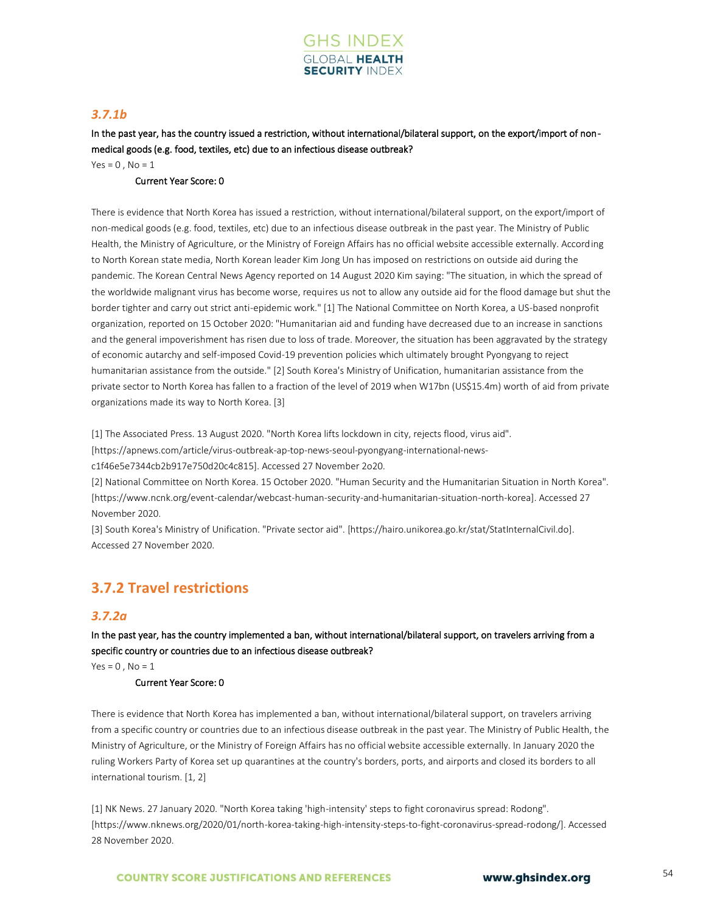

## *3.7.1b*

In the past year, has the country issued a restriction, without international/bilateral support, on the export/import of nonmedical goods (e.g. food, textiles, etc) due to an infectious disease outbreak?

 $Yes = 0$ ,  $No = 1$ 

#### Current Year Score: 0

There is evidence that North Korea has issued a restriction, without international/bilateral support, on the export/import of non-medical goods (e.g. food, textiles, etc) due to an infectious disease outbreak in the past year. The Ministry of Public Health, the Ministry of Agriculture, or the Ministry of Foreign Affairs has no official website accessible externally. According to North Korean state media, North Korean leader Kim Jong Un has imposed on restrictions on outside aid during the pandemic. The Korean Central News Agency reported on 14 August 2020 Kim saying: "The situation, in which the spread of the worldwide malignant virus has become worse, requires us not to allow any outside aid for the flood damage but shut the border tighter and carry out strict anti-epidemic work." [1] The National Committee on North Korea, a US-based nonprofit organization, reported on 15 October 2020: "Humanitarian aid and funding have decreased due to an increase in sanctions and the general impoverishment has risen due to loss of trade. Moreover, the situation has been aggravated by the strategy of economic autarchy and self-imposed Covid-19 prevention policies which ultimately brought Pyongyang to reject humanitarian assistance from the outside." [2] South Korea's Ministry of Unification, humanitarian assistance from the private sector to North Korea has fallen to a fraction of the level of 2019 when W17bn (US\$15.4m) worth of aid from private organizations made its way to North Korea. [3]

[1] The Associated Press. 13 August 2020. "North Korea lifts lockdown in city, rejects flood, virus aid".

[https://apnews.com/article/virus-outbreak-ap-top-news-seoul-pyongyang-international-news-

c1f46e5e7344cb2b917e750d20c4c815]. Accessed 27 November 2o20.

[2] National Committee on North Korea. 15 October 2020. "Human Security and the Humanitarian Situation in North Korea". [https://www.ncnk.org/event-calendar/webcast-human-security-and-humanitarian-situation-north-korea]. Accessed 27 November 2020.

[3] South Korea's Ministry of Unification. "Private sector aid". [https://hairo.unikorea.go.kr/stat/StatInternalCivil.do]. Accessed 27 November 2020.

# **3.7.2 Travel restrictions**

## *3.7.2a*

In the past year, has the country implemented a ban, without international/bilateral support, on travelers arriving from a specific country or countries due to an infectious disease outbreak?

 $Yes = 0$ ,  $No = 1$ 

#### Current Year Score: 0

There is evidence that North Korea has implemented a ban, without international/bilateral support, on travelers arriving from a specific country or countries due to an infectious disease outbreak in the past year. The Ministry of Public Health, the Ministry of Agriculture, or the Ministry of Foreign Affairs has no official website accessible externally. In January 2020 the ruling Workers Party of Korea set up quarantines at the country's borders, ports, and airports and closed its borders to all international tourism. [1, 2]

[1] NK News. 27 January 2020. "North Korea taking 'high-intensity' steps to fight coronavirus spread: Rodong". [https://www.nknews.org/2020/01/north-korea-taking-high-intensity-steps-to-fight-coronavirus-spread-rodong/]. Accessed 28 November 2020.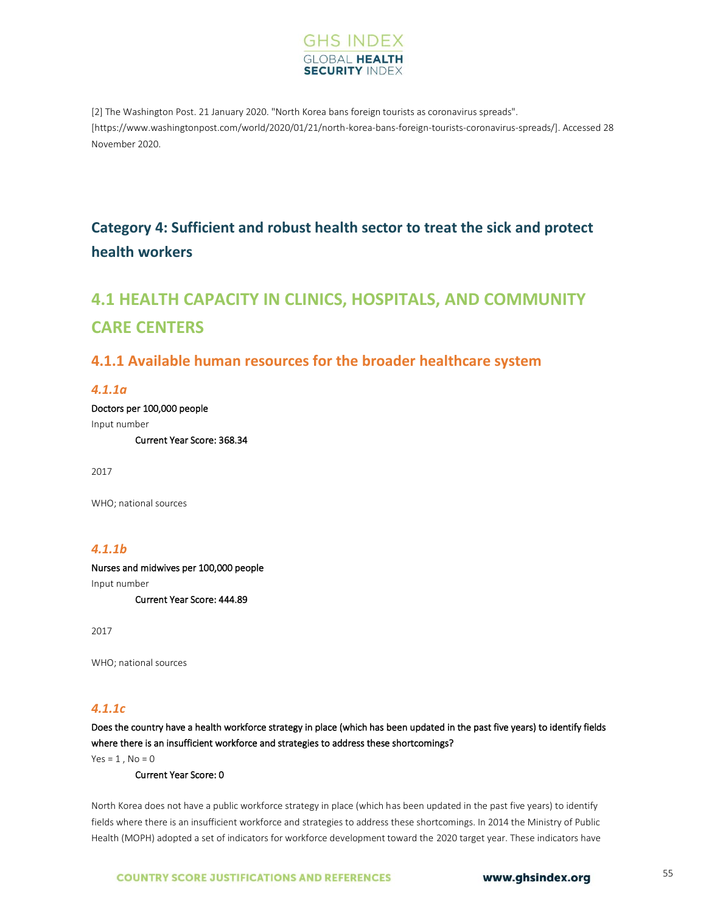

[2] The Washington Post. 21 January 2020. "North Korea bans foreign tourists as coronavirus spreads". [https://www.washingtonpost.com/world/2020/01/21/north-korea-bans-foreign-tourists-coronavirus-spreads/]. Accessed 28 November 2020.

# **Category 4: Sufficient and robust health sector to treat the sick and protect health workers**

# **4.1 HEALTH CAPACITY IN CLINICS, HOSPITALS, AND COMMUNITY CARE CENTERS**

# **4.1.1 Available human resources for the broader healthcare system**

### *4.1.1a*

Doctors per 100,000 people Input number

Current Year Score: 368.34

2017

WHO; national sources

## *4.1.1b*

Nurses and midwives per 100,000 people Input number Current Year Score: 444.89

2017

WHO; national sources

## *4.1.1c*

Does the country have a health workforce strategy in place (which has been updated in the past five years) to identify fields where there is an insufficient workforce and strategies to address these shortcomings?

 $Yes = 1, No = 0$ 

Current Year Score: 0

North Korea does not have a public workforce strategy in place (which has been updated in the past five years) to identify fields where there is an insufficient workforce and strategies to address these shortcomings. In 2014 the Ministry of Public Health (MOPH) adopted a set of indicators for workforce development toward the 2020 target year. These indicators have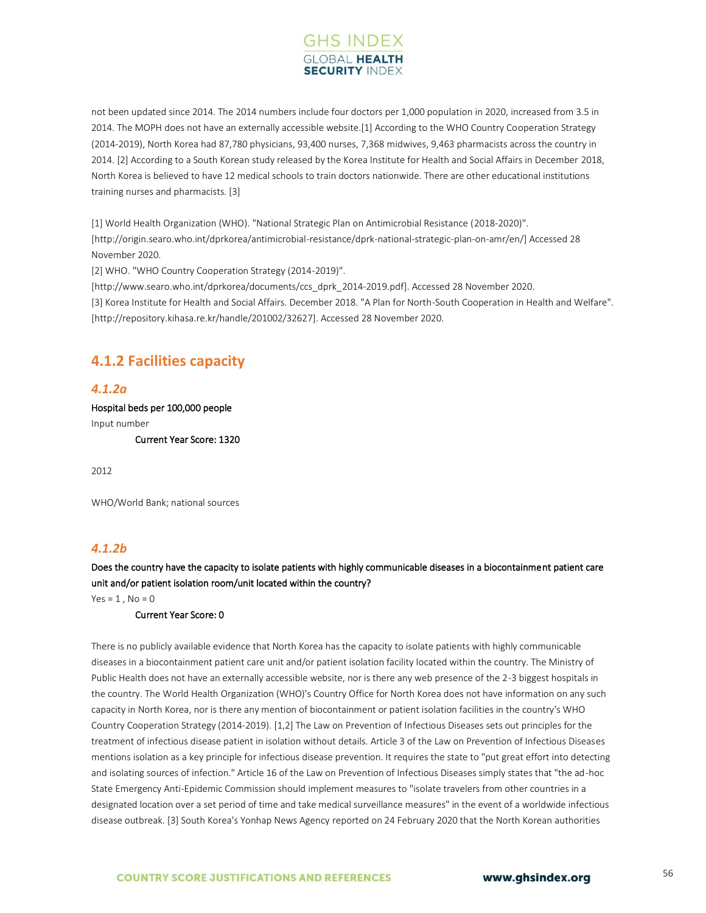

not been updated since 2014. The 2014 numbers include four doctors per 1,000 population in 2020, increased from 3.5 in 2014. The MOPH does not have an externally accessible website.[1] According to the WHO Country Cooperation Strategy (2014-2019), North Korea had 87,780 physicians, 93,400 nurses, 7,368 midwives, 9,463 pharmacists across the country in 2014. [2] According to a South Korean study released by the Korea Institute for Health and Social Affairs in December 2018, North Korea is believed to have 12 medical schools to train doctors nationwide. There are other educational institutions training nurses and pharmacists. [3]

[1] World Health Organization (WHO). "National Strategic Plan on Antimicrobial Resistance (2018-2020)". [http://origin.searo.who.int/dprkorea/antimicrobial-resistance/dprk-national-strategic-plan-on-amr/en/] Accessed 28 November 2020.

[2] WHO. "WHO Country Cooperation Strategy (2014-2019)".

[http://www.searo.who.int/dprkorea/documents/ccs\_dprk\_2014-2019.pdf]. Accessed 28 November 2020. [3] Korea Institute for Health and Social Affairs. December 2018. "A Plan for North-South Cooperation in Health and Welfare". [http://repository.kihasa.re.kr/handle/201002/32627]. Accessed 28 November 2020.

# **4.1.2 Facilities capacity**

### *4.1.2a*

Hospital beds per 100,000 people Input number Current Year Score: 1320

2012

WHO/World Bank; national sources

## *4.1.2b*

Does the country have the capacity to isolate patients with highly communicable diseases in a biocontainment patient care unit and/or patient isolation room/unit located within the country?

 $Yes = 1$ ,  $No = 0$ 

Current Year Score: 0

There is no publicly available evidence that North Korea has the capacity to isolate patients with highly communicable diseases in a biocontainment patient care unit and/or patient isolation facility located within the country. The Ministry of Public Health does not have an externally accessible website, nor is there any web presence of the 2-3 biggest hospitals in the country. The World Health Organization (WHO)'s Country Office for North Korea does not have information on any such capacity in North Korea, nor is there any mention of biocontainment or patient isolation facilities in the country's WHO Country Cooperation Strategy (2014-2019). [1,2] The Law on Prevention of Infectious Diseases sets out principles for the treatment of infectious disease patient in isolation without details. Article 3 of the Law on Prevention of Infectious Diseases mentions isolation as a key principle for infectious disease prevention. It requires the state to "put great effort into detecting and isolating sources of infection." Article 16 of the Law on Prevention of Infectious Diseases simply states that "the ad-hoc State Emergency Anti-Epidemic Commission should implement measures to "isolate travelers from other countries in a designated location over a set period of time and take medical surveillance measures" in the event of a worldwide infectious disease outbreak. [3] South Korea's Yonhap News Agency reported on 24 February 2020 that the North Korean authorities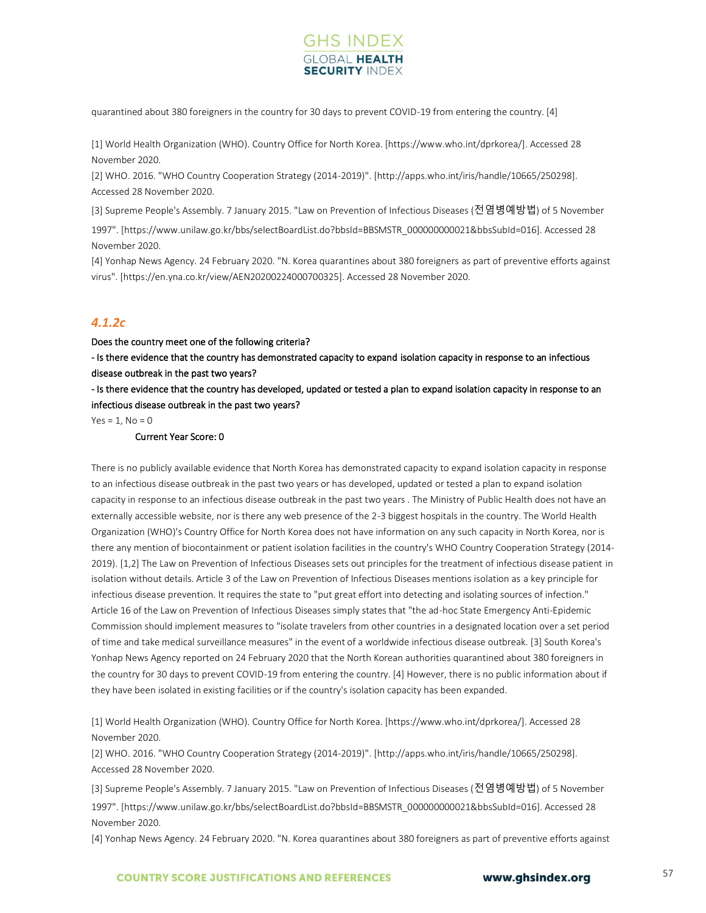

quarantined about 380 foreigners in the country for 30 days to prevent COVID-19 from entering the country. [4]

[1] World Health Organization (WHO). Country Office for North Korea. [https://www.who.int/dprkorea/]. Accessed 28 November 2020.

[2] WHO. 2016. "WHO Country Cooperation Strategy (2014-2019)". [http://apps.who.int/iris/handle/10665/250298]. Accessed 28 November 2020.

[3] Supreme People's Assembly. 7 January 2015. "Law on Prevention of Infectious Diseases (전염병예방법) of 5 November

1997". [https://www.unilaw.go.kr/bbs/selectBoardList.do?bbsId=BBSMSTR\_000000000021&bbsSubId=016]. Accessed 28 November 2020.

[4] Yonhap News Agency. 24 February 2020. "N. Korea quarantines about 380 foreigners as part of preventive efforts against virus". [https://en.yna.co.kr/view/AEN20200224000700325]. Accessed 28 November 2020.

## *4.1.2c*

Does the country meet one of the following criteria?

- Is there evidence that the country has demonstrated capacity to expand isolation capacity in response to an infectious disease outbreak in the past two years?

- Is there evidence that the country has developed, updated or tested a plan to expand isolation capacity in response to an infectious disease outbreak in the past two years?

 $Yes = 1, No = 0$ 

#### Current Year Score: 0

There is no publicly available evidence that North Korea has demonstrated capacity to expand isolation capacity in response to an infectious disease outbreak in the past two years or has developed, updated or tested a plan to expand isolation capacity in response to an infectious disease outbreak in the past two years . The Ministry of Public Health does not have an externally accessible website, nor is there any web presence of the 2-3 biggest hospitals in the country. The World Health Organization (WHO)'s Country Office for North Korea does not have information on any such capacity in North Korea, nor is there any mention of biocontainment or patient isolation facilities in the country's WHO Country Cooperation Strategy (2014- 2019). [1,2] The Law on Prevention of Infectious Diseases sets out principles for the treatment of infectious disease patient in isolation without details. Article 3 of the Law on Prevention of Infectious Diseases mentions isolation as a key principle for infectious disease prevention. It requires the state to "put great effort into detecting and isolating sources of infection." Article 16 of the Law on Prevention of Infectious Diseases simply states that "the ad-hoc State Emergency Anti-Epidemic Commission should implement measures to "isolate travelers from other countries in a designated location over a set period of time and take medical surveillance measures" in the event of a worldwide infectious disease outbreak. [3] South Korea's Yonhap News Agency reported on 24 February 2020 that the North Korean authorities quarantined about 380 foreigners in the country for 30 days to prevent COVID-19 from entering the country. [4] However, there is no public information about if they have been isolated in existing facilities or if the country's isolation capacity has been expanded.

[1] World Health Organization (WHO). Country Office for North Korea. [https://www.who.int/dprkorea/]. Accessed 28 November 2020.

[2] WHO. 2016. "WHO Country Cooperation Strategy (2014-2019)". [http://apps.who.int/iris/handle/10665/250298]. Accessed 28 November 2020.

[3] Supreme People's Assembly. 7 January 2015. "Law on Prevention of Infectious Diseases (전염병예방법) of 5 November 1997". [https://www.unilaw.go.kr/bbs/selectBoardList.do?bbsId=BBSMSTR\_000000000021&bbsSubId=016]. Accessed 28 November 2020.

[4] Yonhap News Agency. 24 February 2020. "N. Korea quarantines about 380 foreigners as part of preventive efforts against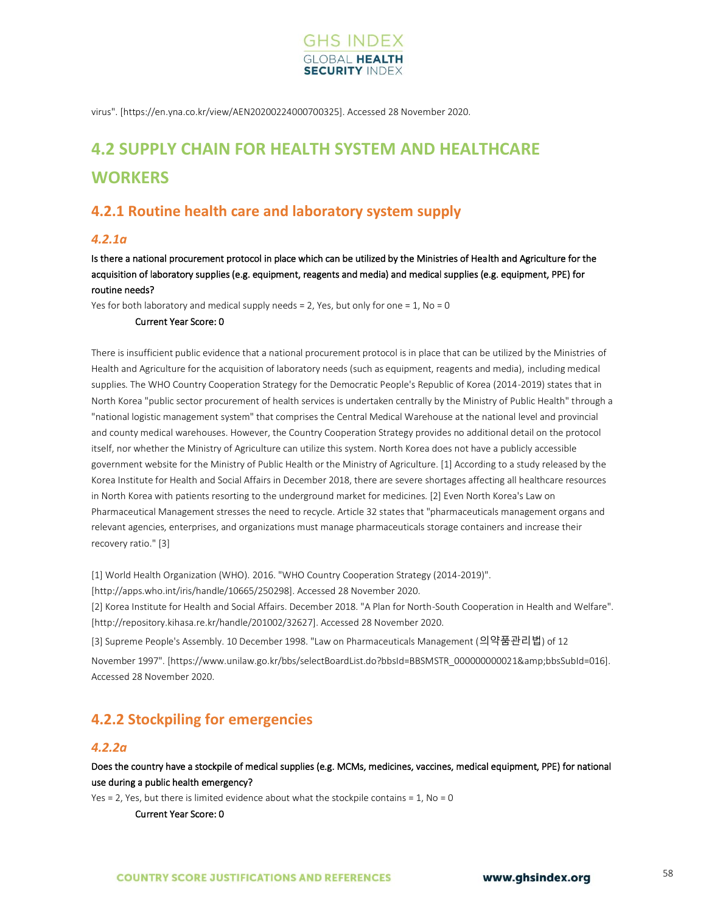

virus". [https://en.yna.co.kr/view/AEN20200224000700325]. Accessed 28 November 2020.

# **4.2 SUPPLY CHAIN FOR HEALTH SYSTEM AND HEALTHCARE WORKERS**

# **4.2.1 Routine health care and laboratory system supply**

### *4.2.1a*

Is there a national procurement protocol in place which can be utilized by the Ministries of Health and Agriculture for the acquisition of laboratory supplies (e.g. equipment, reagents and media) and medical supplies (e.g. equipment, PPE) for routine needs?

Yes for both laboratory and medical supply needs = 2, Yes, but only for one = 1, No = 0

#### Current Year Score: 0

There is insufficient public evidence that a national procurement protocol is in place that can be utilized by the Ministries of Health and Agriculture for the acquisition of laboratory needs (such as equipment, reagents and media), including medical supplies. The WHO Country Cooperation Strategy for the Democratic People's Republic of Korea (2014-2019) states that in North Korea "public sector procurement of health services is undertaken centrally by the Ministry of Public Health" through a "national logistic management system" that comprises the Central Medical Warehouse at the national level and provincial and county medical warehouses. However, the Country Cooperation Strategy provides no additional detail on the protocol itself, nor whether the Ministry of Agriculture can utilize this system. North Korea does not have a publicly accessible government website for the Ministry of Public Health or the Ministry of Agriculture. [1] According to a study released by the Korea Institute for Health and Social Affairs in December 2018, there are severe shortages affecting all healthcare resources in North Korea with patients resorting to the underground market for medicines. [2] Even North Korea's Law on Pharmaceutical Management stresses the need to recycle. Article 32 states that "pharmaceuticals management organs and relevant agencies, enterprises, and organizations must manage pharmaceuticals storage containers and increase their recovery ratio." [3]

[1] World Health Organization (WHO). 2016. "WHO Country Cooperation Strategy (2014-2019)".

[http://apps.who.int/iris/handle/10665/250298]. Accessed 28 November 2020.

[2] Korea Institute for Health and Social Affairs. December 2018. "A Plan for North-South Cooperation in Health and Welfare". [http://repository.kihasa.re.kr/handle/201002/32627]. Accessed 28 November 2020.

[3] Supreme People's Assembly. 10 December 1998. "Law on Pharmaceuticals Management (의약품관리법) of 12

November 1997". [https://www.unilaw.go.kr/bbs/selectBoardList.do?bbsId=BBSMSTR\_00000000021&bbsSubId=016]. Accessed 28 November 2020.

# **4.2.2 Stockpiling for emergencies**

### *4.2.2a*

Does the country have a stockpile of medical supplies (e.g. MCMs, medicines, vaccines, medical equipment, PPE) for national use during a public health emergency?

Yes = 2, Yes, but there is limited evidence about what the stockpile contains =  $1$ , No = 0

Current Year Score: 0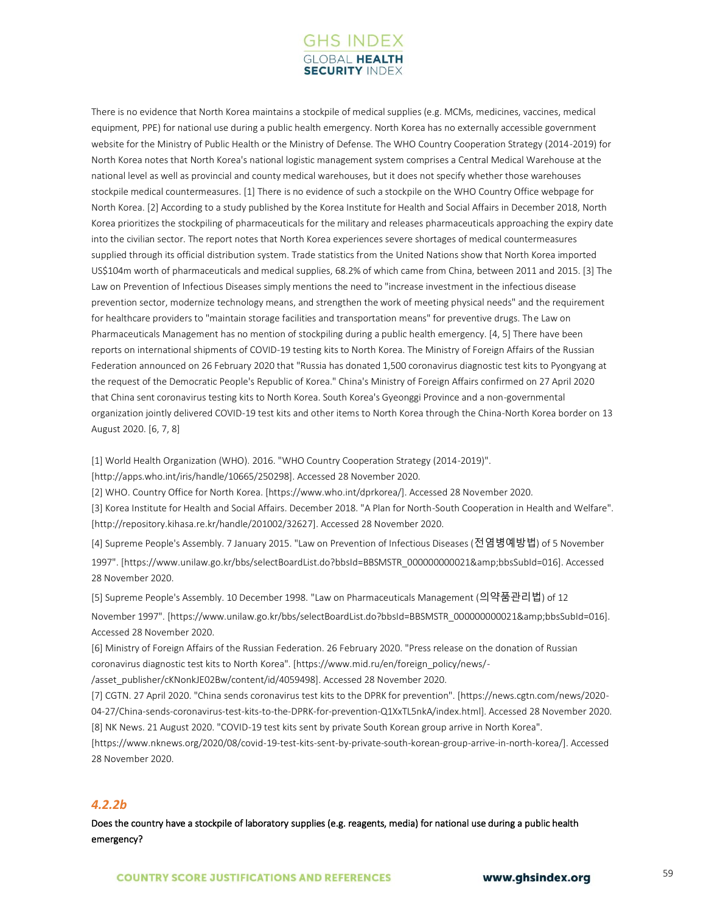

There is no evidence that North Korea maintains a stockpile of medical supplies (e.g. MCMs, medicines, vaccines, medical equipment, PPE) for national use during a public health emergency. North Korea has no externally accessible government website for the Ministry of Public Health or the Ministry of Defense. The WHO Country Cooperation Strategy (2014-2019) for North Korea notes that North Korea's national logistic management system comprises a Central Medical Warehouse at the national level as well as provincial and county medical warehouses, but it does not specify whether those warehouses stockpile medical countermeasures. [1] There is no evidence of such a stockpile on the WHO Country Office webpage for North Korea. [2] According to a study published by the Korea Institute for Health and Social Affairs in December 2018, North Korea prioritizes the stockpiling of pharmaceuticals for the military and releases pharmaceuticals approaching the expiry date into the civilian sector. The report notes that North Korea experiences severe shortages of medical countermeasures supplied through its official distribution system. Trade statistics from the United Nations show that North Korea imported US\$104m worth of pharmaceuticals and medical supplies, 68.2% of which came from China, between 2011 and 2015. [3] The Law on Prevention of Infectious Diseases simply mentions the need to "increase investment in the infectious disease prevention sector, modernize technology means, and strengthen the work of meeting physical needs" and the requirement for healthcare providers to "maintain storage facilities and transportation means" for preventive drugs. The Law on Pharmaceuticals Management has no mention of stockpiling during a public health emergency. [4, 5] There have been reports on international shipments of COVID-19 testing kits to North Korea. The Ministry of Foreign Affairs of the Russian Federation announced on 26 February 2020 that "Russia has donated 1,500 coronavirus diagnostic test kits to Pyongyang at the request of the Democratic People's Republic of Korea." China's Ministry of Foreign Affairs confirmed on 27 April 2020 that China sent coronavirus testing kits to North Korea. South Korea's Gyeonggi Province and a non-governmental organization jointly delivered COVID-19 test kits and other items to North Korea through the China-North Korea border on 13 August 2020. [6, 7, 8]

[1] World Health Organization (WHO). 2016. "WHO Country Cooperation Strategy (2014-2019)".

[http://apps.who.int/iris/handle/10665/250298]. Accessed 28 November 2020.

[2] WHO. Country Office for North Korea. [https://www.who.int/dprkorea/]. Accessed 28 November 2020.

[3] Korea Institute for Health and Social Affairs. December 2018. "A Plan for North-South Cooperation in Health and Welfare". [http://repository.kihasa.re.kr/handle/201002/32627]. Accessed 28 November 2020.

[4] Supreme People's Assembly. 7 January 2015. "Law on Prevention of Infectious Diseases (전염병예방법) of 5 November 1997". [https://www.unilaw.go.kr/bbs/selectBoardList.do?bbsId=BBSMSTR\_000000000021&bbsSubId=016]. Accessed 28 November 2020.

[5] Supreme People's Assembly. 10 December 1998. "Law on Pharmaceuticals Management (의약품관리법) of 12

November 1997". [https://www.unilaw.go.kr/bbs/selectBoardList.do?bbsId=BBSMSTR\_00000000021&bbsSubId=016]. Accessed 28 November 2020.

[6] Ministry of Foreign Affairs of the Russian Federation. 26 February 2020. "Press release on the donation of Russian coronavirus diagnostic test kits to North Korea". [https://www.mid.ru/en/foreign\_policy/news/-

/asset\_publisher/cKNonkJE02Bw/content/id/4059498]. Accessed 28 November 2020.

[7] CGTN. 27 April 2020. "China sends coronavirus test kits to the DPRK for prevention". [https://news.cgtn.com/news/2020- 04-27/China-sends-coronavirus-test-kits-to-the-DPRK-for-prevention-Q1XxTL5nkA/index.html]. Accessed 28 November 2020. [8] NK News. 21 August 2020. "COVID-19 test kits sent by private South Korean group arrive in North Korea".

[https://www.nknews.org/2020/08/covid-19-test-kits-sent-by-private-south-korean-group-arrive-in-north-korea/]. Accessed 28 November 2020.

### *4.2.2b*

Does the country have a stockpile of laboratory supplies (e.g. reagents, media) for national use during a public health emergency?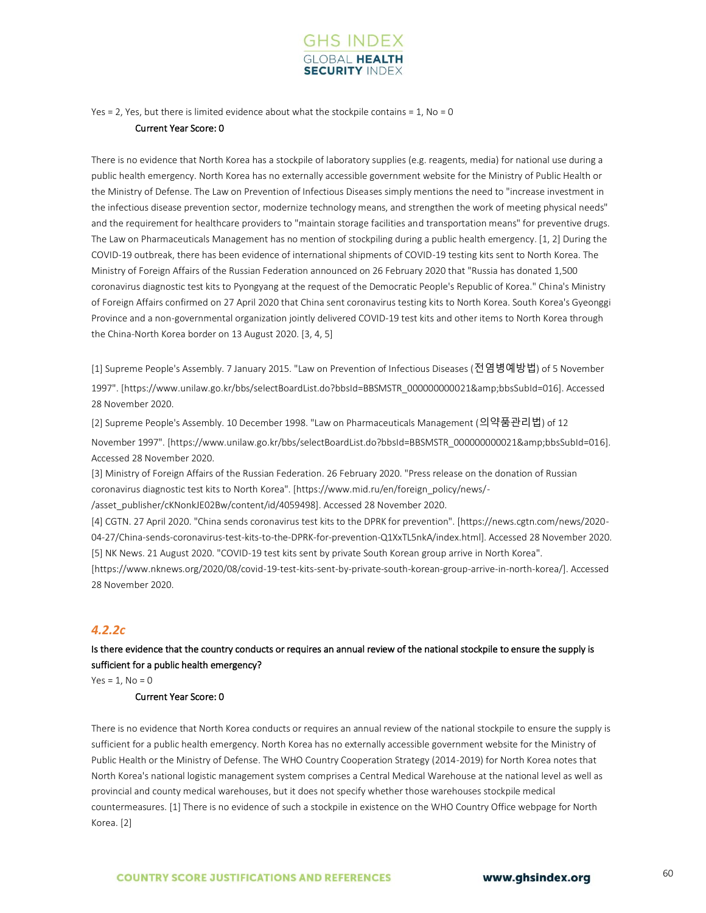

Yes = 2, Yes, but there is limited evidence about what the stockpile contains =  $1$ , No = 0

#### Current Year Score: 0

There is no evidence that North Korea has a stockpile of laboratory supplies (e.g. reagents, media) for national use during a public health emergency. North Korea has no externally accessible government website for the Ministry of Public Health or the Ministry of Defense. The Law on Prevention of Infectious Diseases simply mentions the need to "increase investment in the infectious disease prevention sector, modernize technology means, and strengthen the work of meeting physical needs" and the requirement for healthcare providers to "maintain storage facilities and transportation means" for preventive drugs. The Law on Pharmaceuticals Management has no mention of stockpiling during a public health emergency. [1, 2] During the COVID-19 outbreak, there has been evidence of international shipments of COVID-19 testing kits sent to North Korea. The Ministry of Foreign Affairs of the Russian Federation announced on 26 February 2020 that "Russia has donated 1,500 coronavirus diagnostic test kits to Pyongyang at the request of the Democratic People's Republic of Korea." China's Ministry of Foreign Affairs confirmed on 27 April 2020 that China sent coronavirus testing kits to North Korea. South Korea's Gyeonggi Province and a non-governmental organization jointly delivered COVID-19 test kits and other items to North Korea through the China-North Korea border on 13 August 2020. [3, 4, 5]

[1] Supreme People's Assembly. 7 January 2015. "Law on Prevention of Infectious Diseases (전염병예방법) of 5 November 1997". [https://www.unilaw.go.kr/bbs/selectBoardList.do?bbsId=BBSMSTR\_000000000021&bbsSubId=016]. Accessed 28 November 2020.

[2] Supreme People's Assembly. 10 December 1998. "Law on Pharmaceuticals Management (의약품관리법) of 12 November 1997". [https://www.unilaw.go.kr/bbs/selectBoardList.do?bbsId=BBSMSTR\_000000000021&bbsSubId=016]. Accessed 28 November 2020.

[3] Ministry of Foreign Affairs of the Russian Federation. 26 February 2020. "Press release on the donation of Russian coronavirus diagnostic test kits to North Korea". [https://www.mid.ru/en/foreign\_policy/news/-

/asset\_publisher/cKNonkJE02Bw/content/id/4059498]. Accessed 28 November 2020.

[4] CGTN. 27 April 2020. "China sends coronavirus test kits to the DPRK for prevention". [https://news.cgtn.com/news/2020- 04-27/China-sends-coronavirus-test-kits-to-the-DPRK-for-prevention-Q1XxTL5nkA/index.html]. Accessed 28 November 2020. [5] NK News. 21 August 2020. "COVID-19 test kits sent by private South Korean group arrive in North Korea".

[https://www.nknews.org/2020/08/covid-19-test-kits-sent-by-private-south-korean-group-arrive-in-north-korea/]. Accessed 28 November 2020.

### *4.2.2c*

Is there evidence that the country conducts or requires an annual review of the national stockpile to ensure the supply is sufficient for a public health emergency?

 $Yes = 1, No = 0$ 

#### Current Year Score: 0

There is no evidence that North Korea conducts or requires an annual review of the national stockpile to ensure the supply is sufficient for a public health emergency. North Korea has no externally accessible government website for the Ministry of Public Health or the Ministry of Defense. The WHO Country Cooperation Strategy (2014-2019) for North Korea notes that North Korea's national logistic management system comprises a Central Medical Warehouse at the national level as well as provincial and county medical warehouses, but it does not specify whether those warehouses stockpile medical countermeasures. [1] There is no evidence of such a stockpile in existence on the WHO Country Office webpage for North Korea. [2]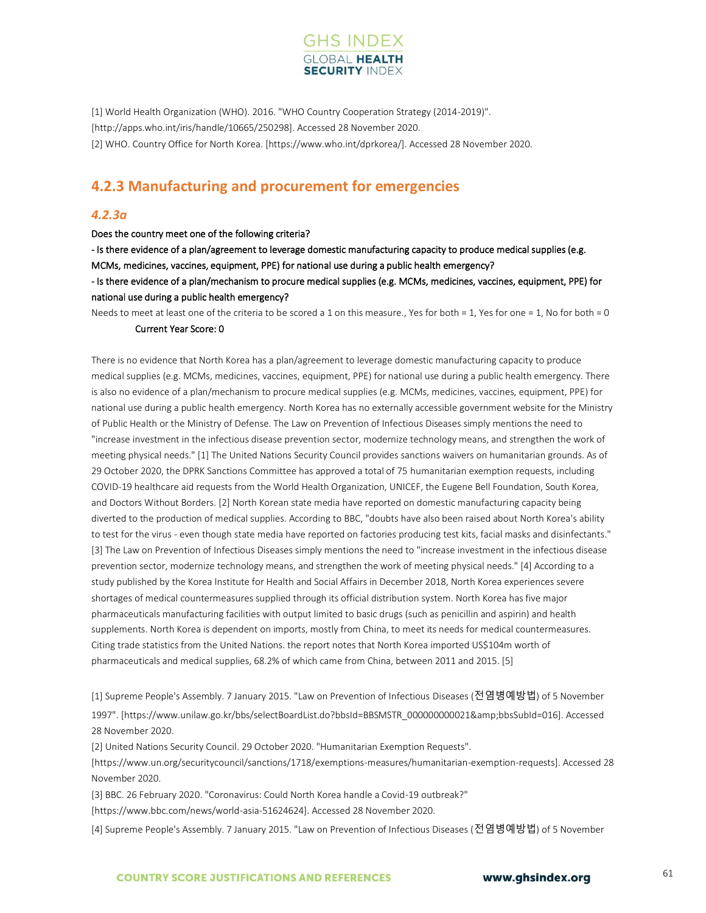

[1] World Health Organization (WHO). 2016. "WHO Country Cooperation Strategy (2014-2019)". [http://apps.who.int/iris/handle/10665/250298]. Accessed 28 November 2020. [2] WHO. Country Office for North Korea. [https://www.who.int/dprkorea/]. Accessed 28 November 2020.

# **4.2.3 Manufacturing and procurement for emergencies**

#### *4.2.3a*

Does the country meet one of the following criteria?

- Is there evidence of a plan/agreement to leverage domestic manufacturing capacity to produce medical supplies (e.g. MCMs, medicines, vaccines, equipment, PPE) for national use during a public health emergency?

- Is there evidence of a plan/mechanism to procure medical supplies (e.g. MCMs, medicines, vaccines, equipment, PPE) for national use during a public health emergency?

Needs to meet at least one of the criteria to be scored a 1 on this measure., Yes for both = 1, Yes for one = 1, No for both = 0

#### Current Year Score: 0

There is no evidence that North Korea has a plan/agreement to leverage domestic manufacturing capacity to produce medical supplies (e.g. MCMs, medicines, vaccines, equipment, PPE) for national use during a public health emergency. There is also no evidence of a plan/mechanism to procure medical supplies (e.g. MCMs, medicines, vaccines, equipment, PPE) for national use during a public health emergency. North Korea has no externally accessible government website for the Ministry of Public Health or the Ministry of Defense. The Law on Prevention of Infectious Diseases simply mentions the need to "increase investment in the infectious disease prevention sector, modernize technology means, and strengthen the work of meeting physical needs." [1] The United Nations Security Council provides sanctions waivers on humanitarian grounds. As of 29 October 2020, the DPRK Sanctions Committee has approved a total of 75 humanitarian exemption requests, including COVID-19 healthcare aid requests from the World Health Organization, UNICEF, the Eugene Bell Foundation, South Korea, and Doctors Without Borders. [2] North Korean state media have reported on domestic manufacturing capacity being diverted to the production of medical supplies. According to BBC, "doubts have also been raised about North Korea's ability to test for the virus - even though state media have reported on factories producing test kits, facial masks and disinfectants." [3] The Law on Prevention of Infectious Diseases simply mentions the need to "increase investment in the infectious disease prevention sector, modernize technology means, and strengthen the work of meeting physical needs." [4] According to a study published by the Korea Institute for Health and Social Affairs in December 2018, North Korea experiences severe shortages of medical countermeasures supplied through its official distribution system. North Korea has five major pharmaceuticals manufacturing facilities with output limited to basic drugs (such as penicillin and aspirin) and health supplements. North Korea is dependent on imports, mostly from China, to meet its needs for medical countermeasures. Citing trade statistics from the United Nations. the report notes that North Korea imported US\$104m worth of pharmaceuticals and medical supplies, 68.2% of which came from China, between 2011 and 2015. [5]

[1] Supreme People's Assembly. 7 January 2015. "Law on Prevention of Infectious Diseases (전염병예방법) of 5 November 1997". [https://www.unilaw.go.kr/bbs/selectBoardList.do?bbsId=BBSMSTR\_000000000021&bbsSubId=016]. Accessed 28 November 2020.

[2] United Nations Security Council. 29 October 2020. "Humanitarian Exemption Requests".

[https://www.un.org/securitycouncil/sanctions/1718/exemptions-measures/humanitarian-exemption-requests]. Accessed 28 November 2020.

[3] BBC. 26 February 2020. "Coronavirus: Could North Korea handle a Covid-19 outbreak?"

[https://www.bbc.com/news/world-asia-51624624]. Accessed 28 November 2020.

[4] Supreme People's Assembly. 7 January 2015. "Law on Prevention of Infectious Diseases (전염병예방법) of 5 November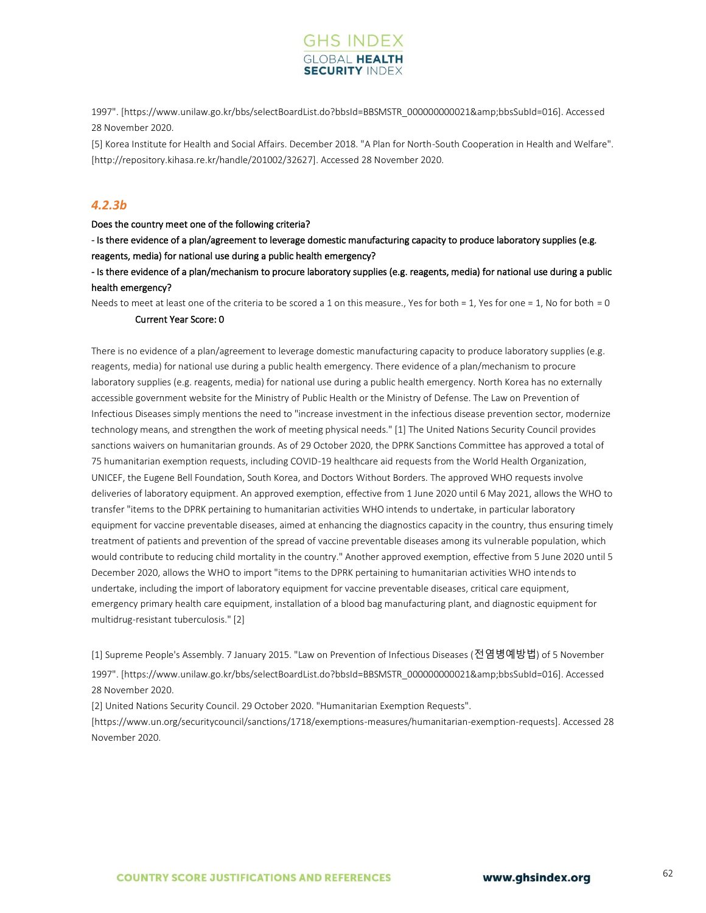

1997". [https://www.unilaw.go.kr/bbs/selectBoardList.do?bbsId=BBSMSTR\_000000000021&bbsSubId=016]. Accessed 28 November 2020.

[5] Korea Institute for Health and Social Affairs. December 2018. "A Plan for North-South Cooperation in Health and Welfare". [http://repository.kihasa.re.kr/handle/201002/32627]. Accessed 28 November 2020.

### *4.2.3b*

#### Does the country meet one of the following criteria?

- Is there evidence of a plan/agreement to leverage domestic manufacturing capacity to produce laboratory supplies (e.g. reagents, media) for national use during a public health emergency?

- Is there evidence of a plan/mechanism to procure laboratory supplies (e.g. reagents, media) for national use during a public health emergency?

Needs to meet at least one of the criteria to be scored a 1 on this measure., Yes for both = 1, Yes for one = 1, No for both = 0 Current Year Score: 0

There is no evidence of a plan/agreement to leverage domestic manufacturing capacity to produce laboratory supplies (e.g. reagents, media) for national use during a public health emergency. There evidence of a plan/mechanism to procure laboratory supplies (e.g. reagents, media) for national use during a public health emergency. North Korea has no externally accessible government website for the Ministry of Public Health or the Ministry of Defense. The Law on Prevention of Infectious Diseases simply mentions the need to "increase investment in the infectious disease prevention sector, modernize technology means, and strengthen the work of meeting physical needs." [1] The United Nations Security Council provides sanctions waivers on humanitarian grounds. As of 29 October 2020, the DPRK Sanctions Committee has approved a total of 75 humanitarian exemption requests, including COVID-19 healthcare aid requests from the World Health Organization, UNICEF, the Eugene Bell Foundation, South Korea, and Doctors Without Borders. The approved WHO requests involve deliveries of laboratory equipment. An approved exemption, effective from 1 June 2020 until 6 May 2021, allows the WHO to transfer "items to the DPRK pertaining to humanitarian activities WHO intends to undertake, in particular laboratory equipment for vaccine preventable diseases, aimed at enhancing the diagnostics capacity in the country, thus ensuring timely treatment of patients and prevention of the spread of vaccine preventable diseases among its vulnerable population, which would contribute to reducing child mortality in the country." Another approved exemption, effective from 5 June 2020 until 5 December 2020, allows the WHO to import "items to the DPRK pertaining to humanitarian activities WHO intends to undertake, including the import of laboratory equipment for vaccine preventable diseases, critical care equipment, emergency primary health care equipment, installation of a blood bag manufacturing plant, and diagnostic equipment for multidrug-resistant tuberculosis." [2]

[1] Supreme People's Assembly. 7 January 2015. "Law on Prevention of Infectious Diseases (전염병예방법) of 5 November 1997". [https://www.unilaw.go.kr/bbs/selectBoardList.do?bbsId=BBSMSTR\_000000000021&bbsSubId=016]. Accessed 28 November 2020.

[2] United Nations Security Council. 29 October 2020. "Humanitarian Exemption Requests".

[https://www.un.org/securitycouncil/sanctions/1718/exemptions-measures/humanitarian-exemption-requests]. Accessed 28 November 2020.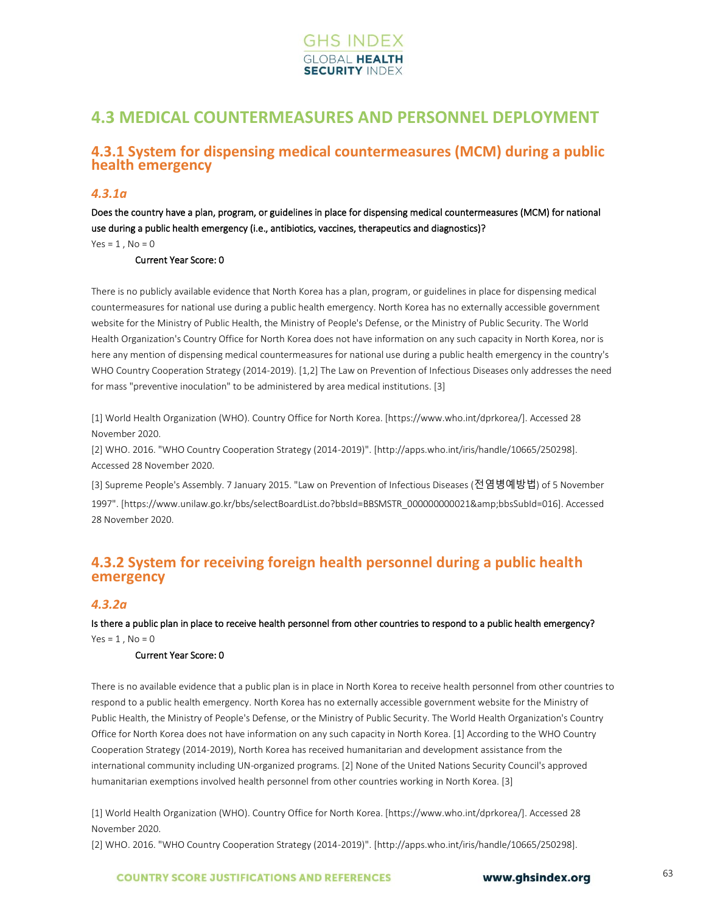

# **4.3 MEDICAL COUNTERMEASURES AND PERSONNEL DEPLOYMENT**

# **4.3.1 System for dispensing medical countermeasures (MCM) during a public health emergency**

### *4.3.1a*

Does the country have a plan, program, or guidelines in place for dispensing medical countermeasures (MCM) for national use during a public health emergency (i.e., antibiotics, vaccines, therapeutics and diagnostics)?

 $Yes = 1$ .  $No = 0$ 

### Current Year Score: 0

There is no publicly available evidence that North Korea has a plan, program, or guidelines in place for dispensing medical countermeasures for national use during a public health emergency. North Korea has no externally accessible government website for the Ministry of Public Health, the Ministry of People's Defense, or the Ministry of Public Security. The World Health Organization's Country Office for North Korea does not have information on any such capacity in North Korea, nor is here any mention of dispensing medical countermeasures for national use during a public health emergency in the country's WHO Country Cooperation Strategy (2014-2019). [1,2] The Law on Prevention of Infectious Diseases only addresses the need for mass "preventive inoculation" to be administered by area medical institutions. [3]

[1] World Health Organization (WHO). Country Office for North Korea. [https://www.who.int/dprkorea/]. Accessed 28 November 2020.

[2] WHO. 2016. "WHO Country Cooperation Strategy (2014-2019)". [http://apps.who.int/iris/handle/10665/250298]. Accessed 28 November 2020.

[3] Supreme People's Assembly. 7 January 2015. "Law on Prevention of Infectious Diseases (전염병예방법) of 5 November 1997". [https://www.unilaw.go.kr/bbs/selectBoardList.do?bbsId=BBSMSTR\_000000000021&bbsSubId=016]. Accessed 28 November 2020.

# **4.3.2 System for receiving foreign health personnel during a public health emergency**

#### *4.3.2a*

Is there a public plan in place to receive health personnel from other countries to respond to a public health emergency?  $Yes = 1, No = 0$ 

#### Current Year Score: 0

There is no available evidence that a public plan is in place in North Korea to receive health personnel from other countries to respond to a public health emergency. North Korea has no externally accessible government website for the Ministry of Public Health, the Ministry of People's Defense, or the Ministry of Public Security. The World Health Organization's Country Office for North Korea does not have information on any such capacity in North Korea. [1] According to the WHO Country Cooperation Strategy (2014-2019), North Korea has received humanitarian and development assistance from the international community including UN-organized programs. [2] None of the United Nations Security Council's approved humanitarian exemptions involved health personnel from other countries working in North Korea. [3]

[1] World Health Organization (WHO). Country Office for North Korea. [https://www.who.int/dprkorea/]. Accessed 28 November 2020.

[2] WHO. 2016. "WHO Country Cooperation Strategy (2014-2019)". [http://apps.who.int/iris/handle/10665/250298].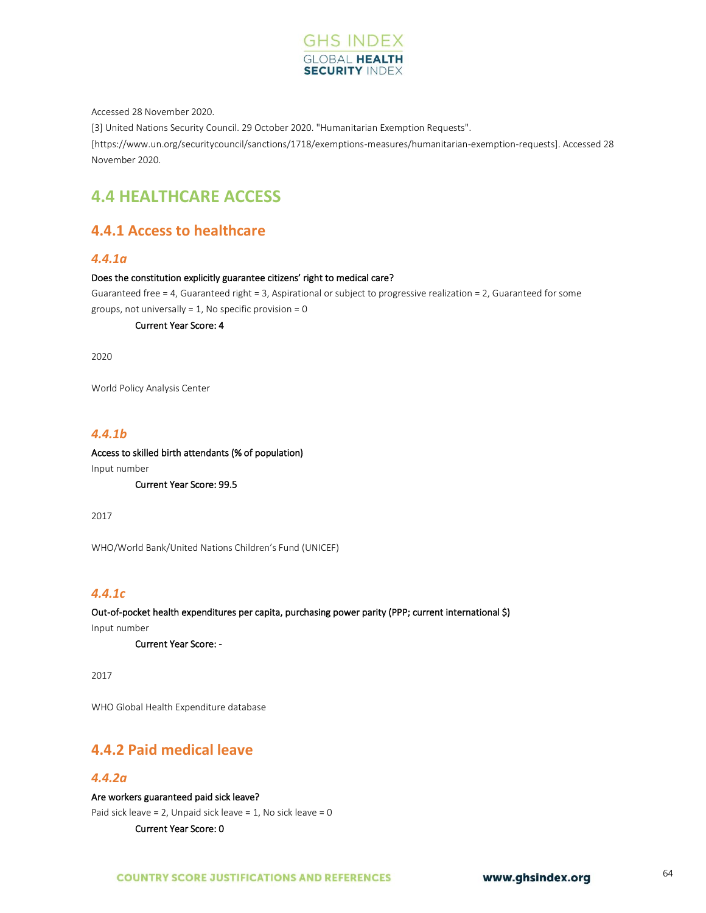

Accessed 28 November 2020.

[3] United Nations Security Council. 29 October 2020. "Humanitarian Exemption Requests".

[https://www.un.org/securitycouncil/sanctions/1718/exemptions-measures/humanitarian-exemption-requests]. Accessed 28 November 2020.

# **4.4 HEALTHCARE ACCESS**

# **4.4.1 Access to healthcare**

### *4.4.1a*

#### Does the constitution explicitly guarantee citizens' right to medical care?

Guaranteed free = 4, Guaranteed right = 3, Aspirational or subject to progressive realization = 2, Guaranteed for some groups, not universally =  $1$ , No specific provision = 0

Current Year Score: 4

2020

World Policy Analysis Center

### *4.4.1b*

# Access to skilled birth attendants (% of population)

Input number

Current Year Score: 99.5

2017

WHO/World Bank/United Nations Children's Fund (UNICEF)

### *4.4.1c*

Out-of-pocket health expenditures per capita, purchasing power parity (PPP; current international \$) Input number

Current Year Score: -

2017

WHO Global Health Expenditure database

# **4.4.2 Paid medical leave**

## *4.4.2a*

Are workers guaranteed paid sick leave?

Paid sick leave = 2, Unpaid sick leave = 1, No sick leave = 0

Current Year Score: 0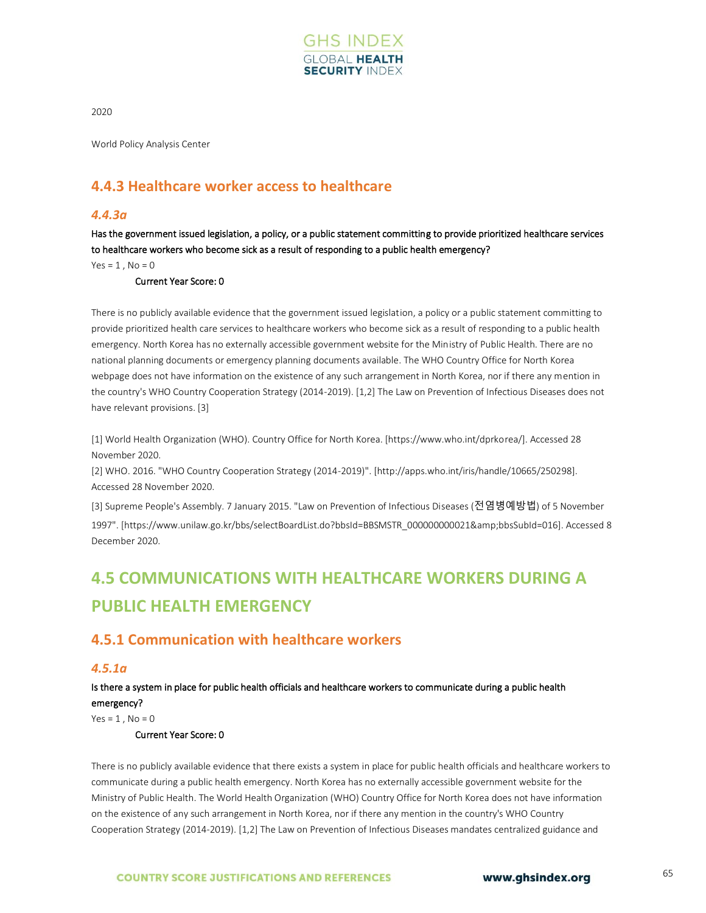

2020

World Policy Analysis Center

# **4.4.3 Healthcare worker access to healthcare**

### *4.4.3a*

Has the government issued legislation, a policy, or a public statement committing to provide prioritized healthcare services to healthcare workers who become sick as a result of responding to a public health emergency?

 $Yes = 1$ .  $No = 0$ 

Current Year Score: 0

There is no publicly available evidence that the government issued legislation, a policy or a public statement committing to provide prioritized health care services to healthcare workers who become sick as a result of responding to a public health emergency. North Korea has no externally accessible government website for the Ministry of Public Health. There are no national planning documents or emergency planning documents available. The WHO Country Office for North Korea webpage does not have information on the existence of any such arrangement in North Korea, nor if there any mention in the country's WHO Country Cooperation Strategy (2014-2019). [1,2] The Law on Prevention of Infectious Diseases does not have relevant provisions. [3]

[1] World Health Organization (WHO). Country Office for North Korea. [https://www.who.int/dprkorea/]. Accessed 28 November 2020.

[2] WHO. 2016. "WHO Country Cooperation Strategy (2014-2019)". [http://apps.who.int/iris/handle/10665/250298]. Accessed 28 November 2020.

[3] Supreme People's Assembly. 7 January 2015. "Law on Prevention of Infectious Diseases (전염병예방법) of 5 November 1997". [https://www.unilaw.go.kr/bbs/selectBoardList.do?bbsId=BBSMSTR\_000000000021&bbsSubId=016]. Accessed 8 December 2020.

# **4.5 COMMUNICATIONS WITH HEALTHCARE WORKERS DURING A PUBLIC HEALTH EMERGENCY**

# **4.5.1 Communication with healthcare workers**

### *4.5.1a*

Is there a system in place for public health officials and healthcare workers to communicate during a public health emergency?

 $Yes = 1$ ,  $No = 0$ 

Current Year Score: 0

There is no publicly available evidence that there exists a system in place for public health officials and healthcare workers to communicate during a public health emergency. North Korea has no externally accessible government website for the Ministry of Public Health. The World Health Organization (WHO) Country Office for North Korea does not have information on the existence of any such arrangement in North Korea, nor if there any mention in the country's WHO Country Cooperation Strategy (2014-2019). [1,2] The Law on Prevention of Infectious Diseases mandates centralized guidance and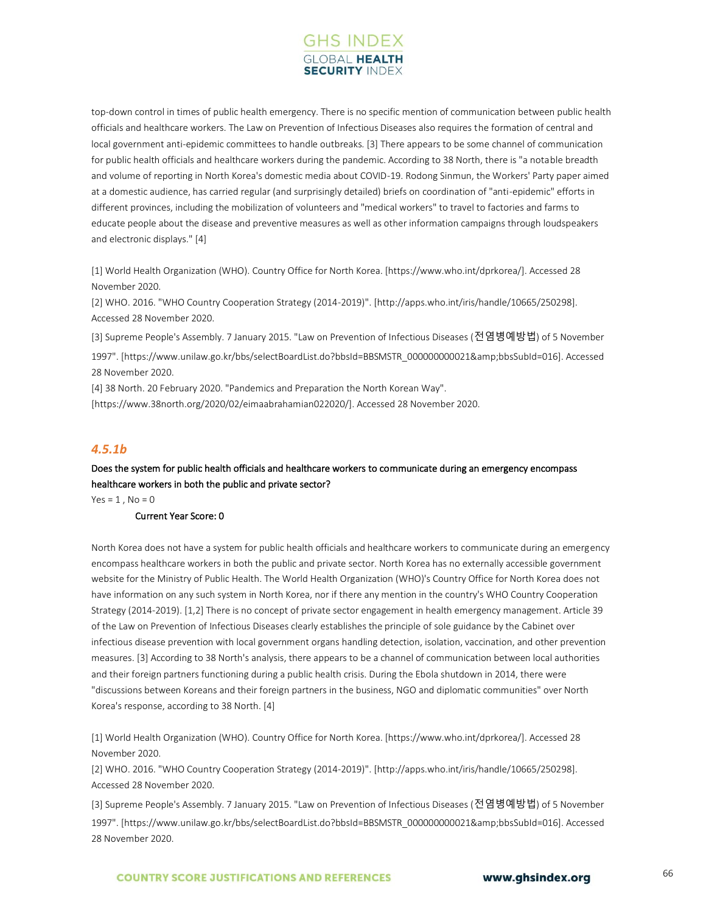

top-down control in times of public health emergency. There is no specific mention of communication between public health officials and healthcare workers. The Law on Prevention of Infectious Diseases also requires the formation of central and local government anti-epidemic committees to handle outbreaks. [3] There appears to be some channel of communication for public health officials and healthcare workers during the pandemic. According to 38 North, there is "a notable breadth and volume of reporting in North Korea's domestic media about COVID-19. Rodong Sinmun, the Workers' Party paper aimed at a domestic audience, has carried regular (and surprisingly detailed) briefs on coordination of "anti-epidemic" efforts in different provinces, including the mobilization of volunteers and "medical workers" to travel to factories and farms to educate people about the disease and preventive measures as well as other information campaigns through loudspeakers and electronic displays." [4]

[1] World Health Organization (WHO). Country Office for North Korea. [https://www.who.int/dprkorea/]. Accessed 28 November 2020.

[2] WHO. 2016. "WHO Country Cooperation Strategy (2014-2019)". [http://apps.who.int/iris/handle/10665/250298]. Accessed 28 November 2020.

[3] Supreme People's Assembly. 7 January 2015. "Law on Prevention of Infectious Diseases (전염병예방법) of 5 November 1997". [https://www.unilaw.go.kr/bbs/selectBoardList.do?bbsId=BBSMSTR\_000000000021&bbsSubId=016]. Accessed 28 November 2020.

[4] 38 North. 20 February 2020. "Pandemics and Preparation the North Korean Way".

[https://www.38north.org/2020/02/eimaabrahamian022020/]. Accessed 28 November 2020.

### *4.5.1b*

## Does the system for public health officials and healthcare workers to communicate during an emergency encompass healthcare workers in both the public and private sector?

 $Yes = 1$ .  $No = 0$ 

#### Current Year Score: 0

North Korea does not have a system for public health officials and healthcare workers to communicate during an emergency encompass healthcare workers in both the public and private sector. North Korea has no externally accessible government website for the Ministry of Public Health. The World Health Organization (WHO)'s Country Office for North Korea does not have information on any such system in North Korea, nor if there any mention in the country's WHO Country Cooperation Strategy (2014-2019). [1,2] There is no concept of private sector engagement in health emergency management. Article 39 of the Law on Prevention of Infectious Diseases clearly establishes the principle of sole guidance by the Cabinet over infectious disease prevention with local government organs handling detection, isolation, vaccination, and other prevention measures. [3] According to 38 North's analysis, there appears to be a channel of communication between local authorities and their foreign partners functioning during a public health crisis. During the Ebola shutdown in 2014, there were "discussions between Koreans and their foreign partners in the business, NGO and diplomatic communities" over North Korea's response, according to 38 North. [4]

[1] World Health Organization (WHO). Country Office for North Korea. [https://www.who.int/dprkorea/]. Accessed 28 November 2020.

[2] WHO. 2016. "WHO Country Cooperation Strategy (2014-2019)". [http://apps.who.int/iris/handle/10665/250298]. Accessed 28 November 2020.

[3] Supreme People's Assembly. 7 January 2015. "Law on Prevention of Infectious Diseases (전염병예방법) of 5 November 1997". [https://www.unilaw.go.kr/bbs/selectBoardList.do?bbsId=BBSMSTR\_000000000021&bbsSubId=016]. Accessed 28 November 2020.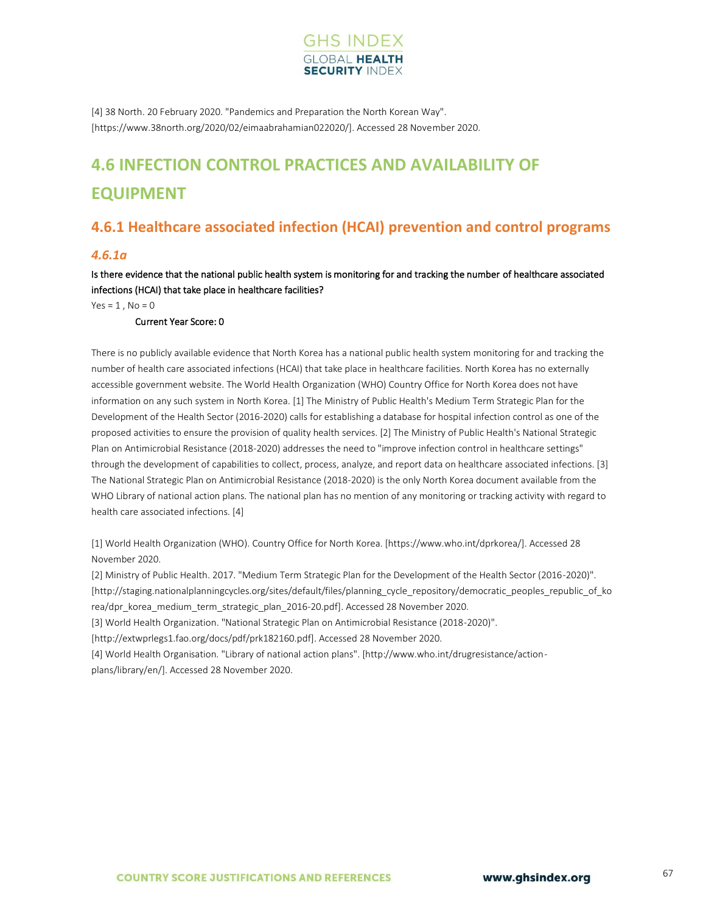

[4] 38 North. 20 February 2020. "Pandemics and Preparation the North Korean Way". [https://www.38north.org/2020/02/eimaabrahamian022020/]. Accessed 28 November 2020.

# **4.6 INFECTION CONTROL PRACTICES AND AVAILABILITY OF EQUIPMENT**

# **4.6.1 Healthcare associated infection (HCAI) prevention and control programs**

## *4.6.1a*

Is there evidence that the national public health system is monitoring for and tracking the number of healthcare associated infections (HCAI) that take place in healthcare facilities?

 $Yes = 1$ ,  $No = 0$ 

#### Current Year Score: 0

There is no publicly available evidence that North Korea has a national public health system monitoring for and tracking the number of health care associated infections (HCAI) that take place in healthcare facilities. North Korea has no externally accessible government website. The World Health Organization (WHO) Country Office for North Korea does not have information on any such system in North Korea. [1] The Ministry of Public Health's Medium Term Strategic Plan for the Development of the Health Sector (2016-2020) calls for establishing a database for hospital infection control as one of the proposed activities to ensure the provision of quality health services. [2] The Ministry of Public Health's National Strategic Plan on Antimicrobial Resistance (2018-2020) addresses the need to "improve infection control in healthcare settings" through the development of capabilities to collect, process, analyze, and report data on healthcare associated infections. [3] The National Strategic Plan on Antimicrobial Resistance (2018-2020) is the only North Korea document available from the WHO Library of national action plans. The national plan has no mention of any monitoring or tracking activity with regard to health care associated infections. [4]

[1] World Health Organization (WHO). Country Office for North Korea. [https://www.who.int/dprkorea/]. Accessed 28 November 2020.

[2] Ministry of Public Health. 2017. "Medium Term Strategic Plan for the Development of the Health Sector (2016-2020)". [http://staging.nationalplanningcycles.org/sites/default/files/planning\_cycle\_repository/democratic\_peoples\_republic\_of\_ko rea/dpr\_korea\_medium\_term\_strategic\_plan\_2016-20.pdf]. Accessed 28 November 2020.

[3] World Health Organization. "National Strategic Plan on Antimicrobial Resistance (2018-2020)".

[http://extwprlegs1.fao.org/docs/pdf/prk182160.pdf]. Accessed 28 November 2020.

[4] World Health Organisation. "Library of national action plans". [http://www.who.int/drugresistance/actionplans/library/en/]. Accessed 28 November 2020.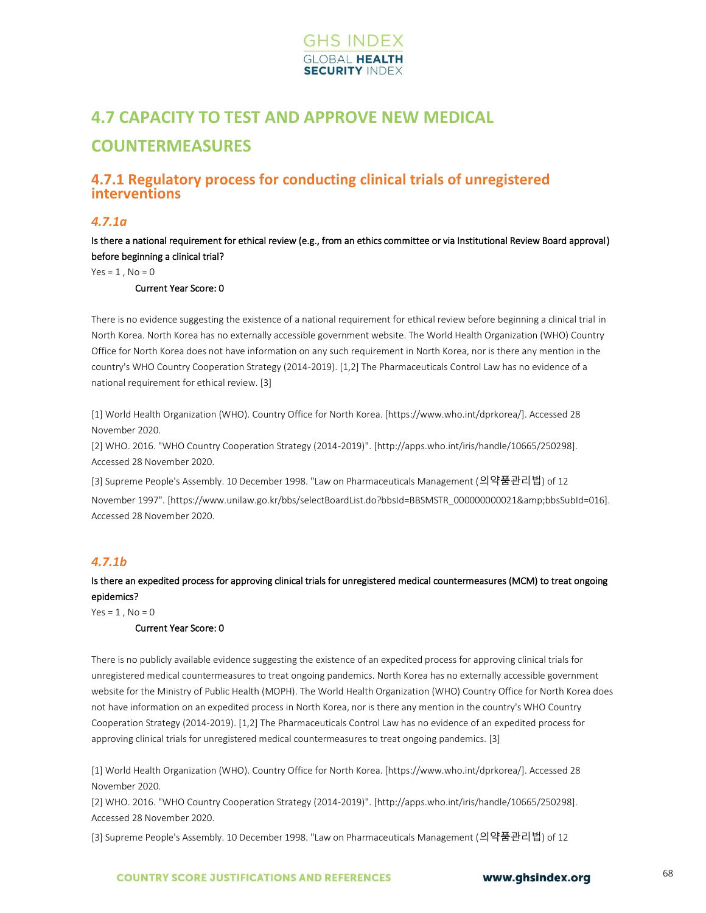

# **4.7 CAPACITY TO TEST AND APPROVE NEW MEDICAL COUNTERMEASURES**

# **4.7.1 Regulatory process for conducting clinical trials of unregistered interventions**

### *4.7.1a*

Is there a national requirement for ethical review (e.g., from an ethics committee or via Institutional Review Board approval) before beginning a clinical trial?

 $Yes = 1, No = 0$ 

#### Current Year Score: 0

There is no evidence suggesting the existence of a national requirement for ethical review before beginning a clinical trial in North Korea. North Korea has no externally accessible government website. The World Health Organization (WHO) Country Office for North Korea does not have information on any such requirement in North Korea, nor is there any mention in the country's WHO Country Cooperation Strategy (2014-2019). [1,2] The Pharmaceuticals Control Law has no evidence of a national requirement for ethical review. [3]

[1] World Health Organization (WHO). Country Office for North Korea. [https://www.who.int/dprkorea/]. Accessed 28 November 2020.

[2] WHO. 2016. "WHO Country Cooperation Strategy (2014-2019)". [http://apps.who.int/iris/handle/10665/250298]. Accessed 28 November 2020.

[3] Supreme People's Assembly. 10 December 1998. "Law on Pharmaceuticals Management (의약품관리법) of 12 November 1997". [https://www.unilaw.go.kr/bbs/selectBoardList.do?bbsId=BBSMSTR\_00000000021&bbsSubId=016]. Accessed 28 November 2020.

## *4.7.1b*

### Is there an expedited process for approving clinical trials for unregistered medical countermeasures (MCM) to treat ongoing epidemics?

 $Yes = 1$ .  $No = 0$ 

#### Current Year Score: 0

There is no publicly available evidence suggesting the existence of an expedited process for approving clinical trials for unregistered medical countermeasures to treat ongoing pandemics. North Korea has no externally accessible government website for the Ministry of Public Health (MOPH). The World Health Organization (WHO) Country Office for North Korea does not have information on an expedited process in North Korea, nor is there any mention in the country's WHO Country Cooperation Strategy (2014-2019). [1,2] The Pharmaceuticals Control Law has no evidence of an expedited process for approving clinical trials for unregistered medical countermeasures to treat ongoing pandemics. [3]

[1] World Health Organization (WHO). Country Office for North Korea. [https://www.who.int/dprkorea/]. Accessed 28 November 2020.

[2] WHO. 2016. "WHO Country Cooperation Strategy (2014-2019)". [http://apps.who.int/iris/handle/10665/250298]. Accessed 28 November 2020.

[3] Supreme People's Assembly. 10 December 1998. "Law on Pharmaceuticals Management (의약품관리법) of 12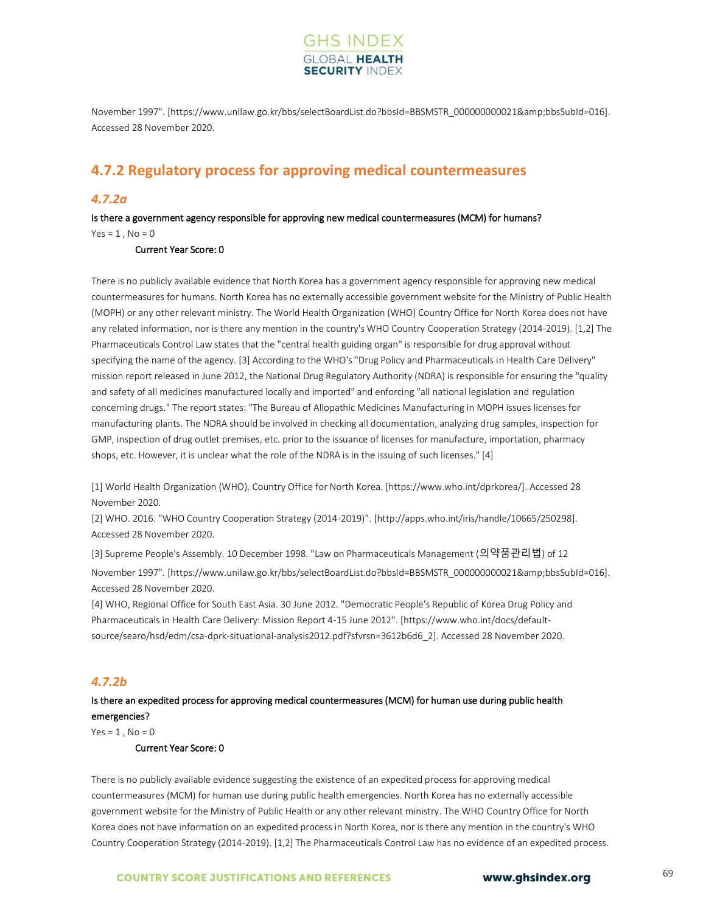

November 1997". [https://www.unilaw.go.kr/bbs/selectBoardList.do?bbsId=BBSMSTR\_000000000021&bbsSubId=016]. Accessed 28 November 2020.

# **4.7.2 Regulatory process for approving medical countermeasures**

### *4.7.2a*

Is there a government agency responsible for approving new medical countermeasures (MCM) for humans?  $Yes = 1, No = 0$ 

#### Current Year Score: 0

There is no publicly available evidence that North Korea has a government agency responsible for approving new medical countermeasures for humans. North Korea has no externally accessible government website for the Ministry of Public Health (MOPH) or any other relevant ministry. The World Health Organization (WHO) Country Office for North Korea does not have any related information, nor is there any mention in the country's WHO Country Cooperation Strategy (2014-2019). [1,2] The Pharmaceuticals Control Law states that the "central health guiding organ" is responsible for drug approval without specifying the name of the agency. [3] According to the WHO's "Drug Policy and Pharmaceuticals in Health Care Delivery" mission report released in June 2012, the National Drug Regulatory Authority (NDRA) is responsible for ensuring the "quality and safety of all medicines manufactured locally and imported" and enforcing "all national legislation and regulation concerning drugs." The report states: "The Bureau of Allopathic Medicines Manufacturing in MOPH issues licenses for manufacturing plants. The NDRA should be involved in checking all documentation, analyzing drug samples, inspection for GMP, inspection of drug outlet premises, etc. prior to the issuance of licenses for manufacture, importation, pharmacy shops, etc. However, it is unclear what the role of the NDRA is in the issuing of such licenses." [4]

[1] World Health Organization (WHO). Country Office for North Korea. [https://www.who.int/dprkorea/]. Accessed 28 November 2020.

[2] WHO. 2016. "WHO Country Cooperation Strategy (2014-2019)". [http://apps.who.int/iris/handle/10665/250298]. Accessed 28 November 2020.

[3] Supreme People's Assembly. 10 December 1998. "Law on Pharmaceuticals Management (의약품관리법) of 12 November 1997". [https://www.unilaw.go.kr/bbs/selectBoardList.do?bbsId=BBSMSTR\_000000000021&bbsSubId=016]. Accessed 28 November 2020.

[4] WHO, Regional Office for South East Asia. 30 June 2012. "Democratic People's Republic of Korea Drug Policy and Pharmaceuticals in Health Care Delivery: Mission Report 4-15 June 2012". [https://www.who.int/docs/defaultsource/searo/hsd/edm/csa-dprk-situational-analysis2012.pdf?sfvrsn=3612b6d6\_2]. Accessed 28 November 2020.

### *4.7.2b*

## Is there an expedited process for approving medical countermeasures (MCM) for human use during public health emergencies?

 $Yes = 1, No = 0$ 

#### Current Year Score: 0

There is no publicly available evidence suggesting the existence of an expedited process for approving medical countermeasures (MCM) for human use during public health emergencies. North Korea has no externally accessible government website for the Ministry of Public Health or any other relevant ministry. The WHO Country Office for North Korea does not have information on an expedited process in North Korea, nor is there any mention in the country's WHO Country Cooperation Strategy (2014-2019). [1,2] The Pharmaceuticals Control Law has no evidence of an expedited process.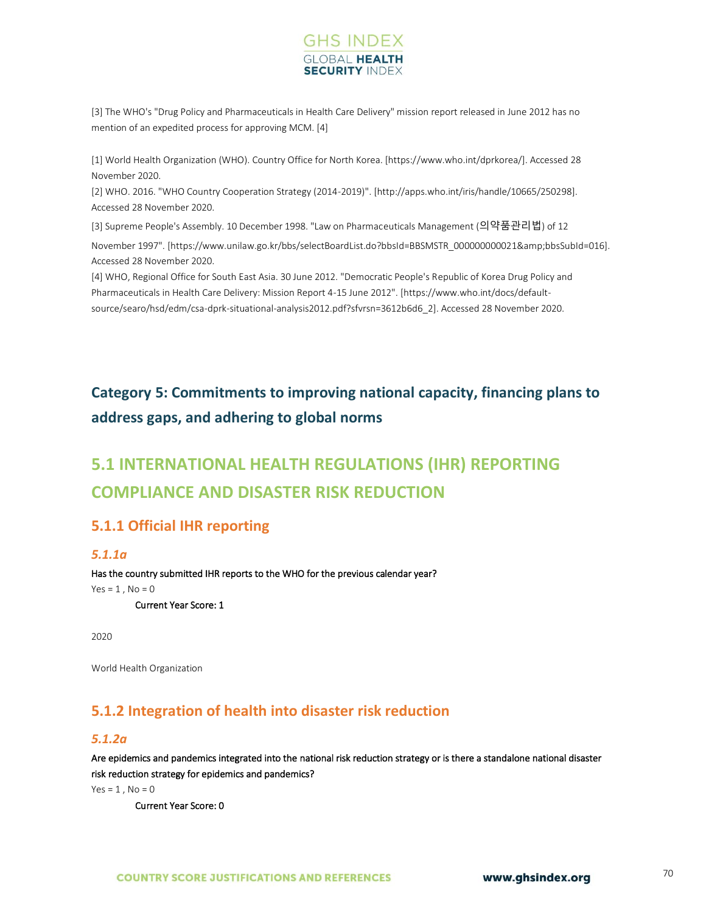

[3] The WHO's "Drug Policy and Pharmaceuticals in Health Care Delivery" mission report released in June 2012 has no mention of an expedited process for approving MCM. [4]

[1] World Health Organization (WHO). Country Office for North Korea. [https://www.who.int/dprkorea/]. Accessed 28 November 2020.

[2] WHO. 2016. "WHO Country Cooperation Strategy (2014-2019)". [http://apps.who.int/iris/handle/10665/250298]. Accessed 28 November 2020.

[3] Supreme People's Assembly. 10 December 1998. "Law on Pharmaceuticals Management (의약품관리법) of 12

November 1997". [https://www.unilaw.go.kr/bbs/selectBoardList.do?bbsId=BBSMSTR\_00000000021&bbsSubId=016]. Accessed 28 November 2020.

[4] WHO, Regional Office for South East Asia. 30 June 2012. "Democratic People's Republic of Korea Drug Policy and Pharmaceuticals in Health Care Delivery: Mission Report 4-15 June 2012". [https://www.who.int/docs/defaultsource/searo/hsd/edm/csa-dprk-situational-analysis2012.pdf?sfvrsn=3612b6d6\_2]. Accessed 28 November 2020.

# **Category 5: Commitments to improving national capacity, financing plans to address gaps, and adhering to global norms**

# **5.1 INTERNATIONAL HEALTH REGULATIONS (IHR) REPORTING COMPLIANCE AND DISASTER RISK REDUCTION**

# **5.1.1 Official IHR reporting**

### *5.1.1a*

Has the country submitted IHR reports to the WHO for the previous calendar year?  $Yes = 1, No = 0$ 

Current Year Score: 1

2020

World Health Organization

# **5.1.2 Integration of health into disaster risk reduction**

### *5.1.2a*

Are epidemics and pandemics integrated into the national risk reduction strategy or is there a standalone national disaster risk reduction strategy for epidemics and pandemics?

 $Yes = 1$ .  $No = 0$ 

Current Year Score: 0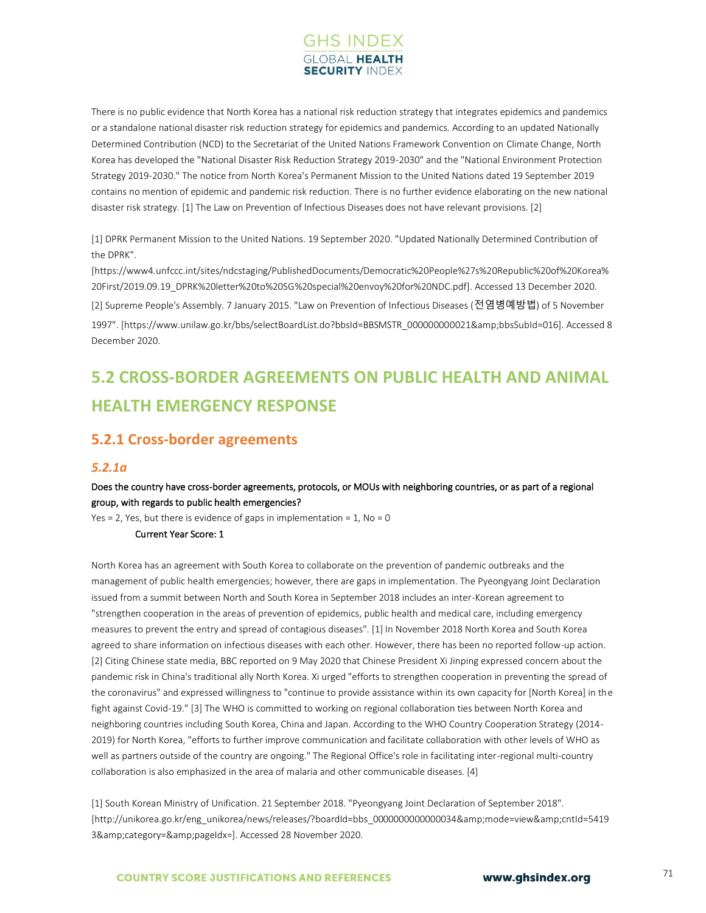

There is no public evidence that North Korea has a national risk reduction strategy that integrates epidemics and pandemics or a standalone national disaster risk reduction strategy for epidemics and pandemics. According to an updated Nationally Determined Contribution (NCD) to the Secretariat of the United Nations Framework Convention on Climate Change, North Korea has developed the "National Disaster Risk Reduction Strategy 2019-2030" and the "National Environment Protection Strategy 2019-2030." The notice from North Korea's Permanent Mission to the United Nations dated 19 September 2019 contains no mention of epidemic and pandemic risk reduction. There is no further evidence elaborating on the new national disaster risk strategy. [1] The Law on Prevention of Infectious Diseases does not have relevant provisions. [2]

[1] DPRK Permanent Mission to the United Nations. 19 September 2020. "Updated Nationally Determined Contribution of the DPRK".

[https://www4.unfccc.int/sites/ndcstaging/PublishedDocuments/Democratic%20People%27s%20Republic%20of%20Korea% 20First/2019.09.19\_DPRK%20letter%20to%20SG%20special%20envoy%20for%20NDC.pdf]. Accessed 13 December 2020.

[2] Supreme People's Assembly. 7 January 2015. "Law on Prevention of Infectious Diseases (전염병예방법) of 5 November 1997". [https://www.unilaw.go.kr/bbs/selectBoardList.do?bbsId=BBSMSTR\_000000000021&bbsSubId=016]. Accessed 8 December 2020.

# **5.2 CROSS-BORDER AGREEMENTS ON PUBLIC HEALTH AND ANIMAL HEALTH EMERGENCY RESPONSE**

# **5.2.1 Cross-border agreements**

### *5.2.1a*

### Does the country have cross-border agreements, protocols, or MOUs with neighboring countries, or as part of a regional group, with regards to public health emergencies?

Yes = 2, Yes, but there is evidence of gaps in implementation =  $1$ , No = 0

#### Current Year Score: 1

North Korea has an agreement with South Korea to collaborate on the prevention of pandemic outbreaks and the management of public health emergencies; however, there are gaps in implementation. The Pyeongyang Joint Declaration issued from a summit between North and South Korea in September 2018 includes an inter-Korean agreement to "strengthen cooperation in the areas of prevention of epidemics, public health and medical care, including emergency measures to prevent the entry and spread of contagious diseases". [1] In November 2018 North Korea and South Korea agreed to share information on infectious diseases with each other. However, there has been no reported follow-up action. [2] Citing Chinese state media, BBC reported on 9 May 2020 that Chinese President Xi Jinping expressed concern about the pandemic risk in China's traditional ally North Korea. Xi urged "efforts to strengthen cooperation in preventing the spread of the coronavirus" and expressed willingness to "continue to provide assistance within its own capacity for [North Korea] in the fight against Covid-19." [3] The WHO is committed to working on regional collaboration ties between North Korea and neighboring countries including South Korea, China and Japan. According to the WHO Country Cooperation Strategy (2014- 2019) for North Korea, "efforts to further improve communication and facilitate collaboration with other levels of WHO as well as partners outside of the country are ongoing." The Regional Office's role in facilitating inter-regional multi-country collaboration is also emphasized in the area of malaria and other communicable diseases. [4]

[1] South Korean Ministry of Unification. 21 September 2018. "Pyeongyang Joint Declaration of September 2018". [http://unikorea.go.kr/eng\_unikorea/news/releases/?boardId=bbs\_0000000000000034&mode=view&cntId=5419 3&category=&pageIdx=]. Accessed 28 November 2020.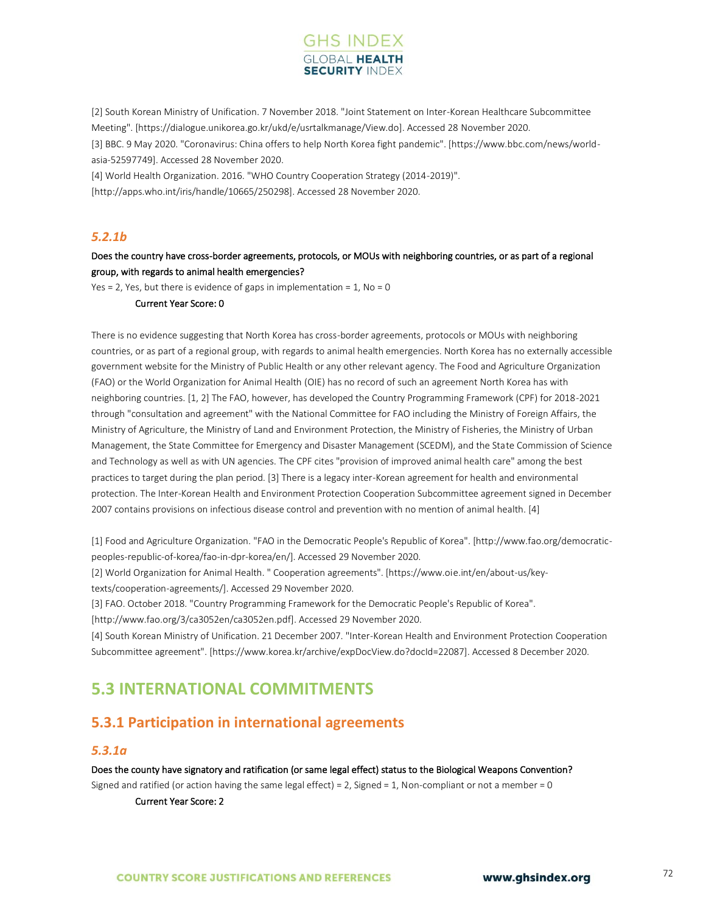

[2] South Korean Ministry of Unification. 7 November 2018. "Joint Statement on Inter-Korean Healthcare Subcommittee Meeting". [https://dialogue.unikorea.go.kr/ukd/e/usrtalkmanage/View.do]. Accessed 28 November 2020. [3] BBC. 9 May 2020. "Coronavirus: China offers to help North Korea fight pandemic". [https://www.bbc.com/news/worldasia-52597749]. Accessed 28 November 2020. [4] World Health Organization. 2016. "WHO Country Cooperation Strategy (2014-2019)".

[http://apps.who.int/iris/handle/10665/250298]. Accessed 28 November 2020.

### *5.2.1b*

### Does the country have cross-border agreements, protocols, or MOUs with neighboring countries, or as part of a regional group, with regards to animal health emergencies?

Yes = 2, Yes, but there is evidence of gaps in implementation =  $1$ , No = 0

#### Current Year Score: 0

There is no evidence suggesting that North Korea has cross-border agreements, protocols or MOUs with neighboring countries, or as part of a regional group, with regards to animal health emergencies. North Korea has no externally accessible government website for the Ministry of Public Health or any other relevant agency. The Food and Agriculture Organization (FAO) or the World Organization for Animal Health (OIE) has no record of such an agreement North Korea has with neighboring countries. [1, 2] The FAO, however, has developed the Country Programming Framework (CPF) for 2018-2021 through "consultation and agreement" with the National Committee for FAO including the Ministry of Foreign Affairs, the Ministry of Agriculture, the Ministry of Land and Environment Protection, the Ministry of Fisheries, the Ministry of Urban Management, the State Committee for Emergency and Disaster Management (SCEDM), and the State Commission of Science and Technology as well as with UN agencies. The CPF cites "provision of improved animal health care" among the best practices to target during the plan period. [3] There is a legacy inter-Korean agreement for health and environmental protection. The Inter-Korean Health and Environment Protection Cooperation Subcommittee agreement signed in December 2007 contains provisions on infectious disease control and prevention with no mention of animal health. [4]

[1] Food and Agriculture Organization. "FAO in the Democratic People's Republic of Korea". [http://www.fao.org/democraticpeoples-republic-of-korea/fao-in-dpr-korea/en/]. Accessed 29 November 2020.

[2] World Organization for Animal Health. " Cooperation agreements". [https://www.oie.int/en/about-us/key-

texts/cooperation-agreements/]. Accessed 29 November 2020.

[3] FAO. October 2018. "Country Programming Framework for the Democratic People's Republic of Korea".

[http://www.fao.org/3/ca3052en/ca3052en.pdf]. Accessed 29 November 2020.

[4] South Korean Ministry of Unification. 21 December 2007. "Inter-Korean Health and Environment Protection Cooperation Subcommittee agreement". [https://www.korea.kr/archive/expDocView.do?docId=22087]. Accessed 8 December 2020.

# **5.3 INTERNATIONAL COMMITMENTS**

# **5.3.1 Participation in international agreements**

### *5.3.1a*

#### Does the county have signatory and ratification (or same legal effect) status to the Biological Weapons Convention?

Signed and ratified (or action having the same legal effect) = 2, Signed = 1, Non-compliant or not a member = 0

Current Year Score: 2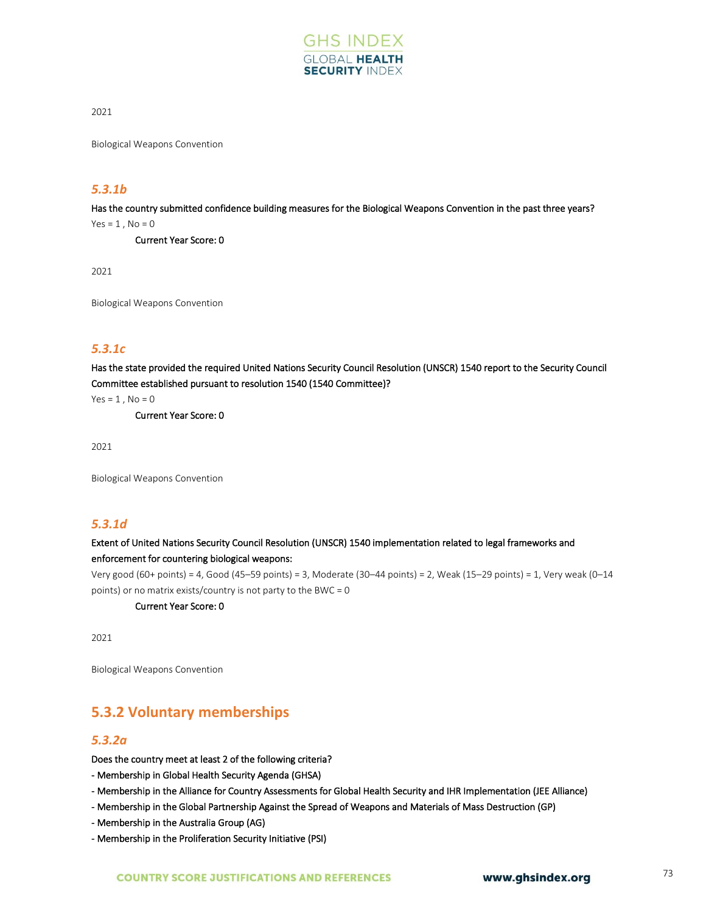

2021

Biological Weapons Convention

## *5.3.1b*

Has the country submitted confidence building measures for the Biological Weapons Convention in the past three years?

 $Yes = 1, No = 0$ 

Current Year Score: 0

2021

Biological Weapons Convention

# *5.3.1c*

Has the state provided the required United Nations Security Council Resolution (UNSCR) 1540 report to the Security Council Committee established pursuant to resolution 1540 (1540 Committee)?

 $Yes = 1, No = 0$ 

Current Year Score: 0

2021

Biological Weapons Convention

## *5.3.1d*

### Extent of United Nations Security Council Resolution (UNSCR) 1540 implementation related to legal frameworks and enforcement for countering biological weapons:

Very good (60+ points) = 4, Good (45–59 points) = 3, Moderate (30–44 points) = 2, Weak (15–29 points) = 1, Very weak (0–14 points) or no matrix exists/country is not party to the BWC = 0

Current Year Score: 0

2021

Biological Weapons Convention

# **5.3.2 Voluntary memberships**

### *5.3.2a*

Does the country meet at least 2 of the following criteria?

- Membership in Global Health Security Agenda (GHSA)

- Membership in the Alliance for Country Assessments for Global Health Security and IHR Implementation (JEE Alliance)

- Membership in the Global Partnership Against the Spread of Weapons and Materials of Mass Destruction (GP)
- Membership in the Australia Group (AG)
- Membership in the Proliferation Security Initiative (PSI)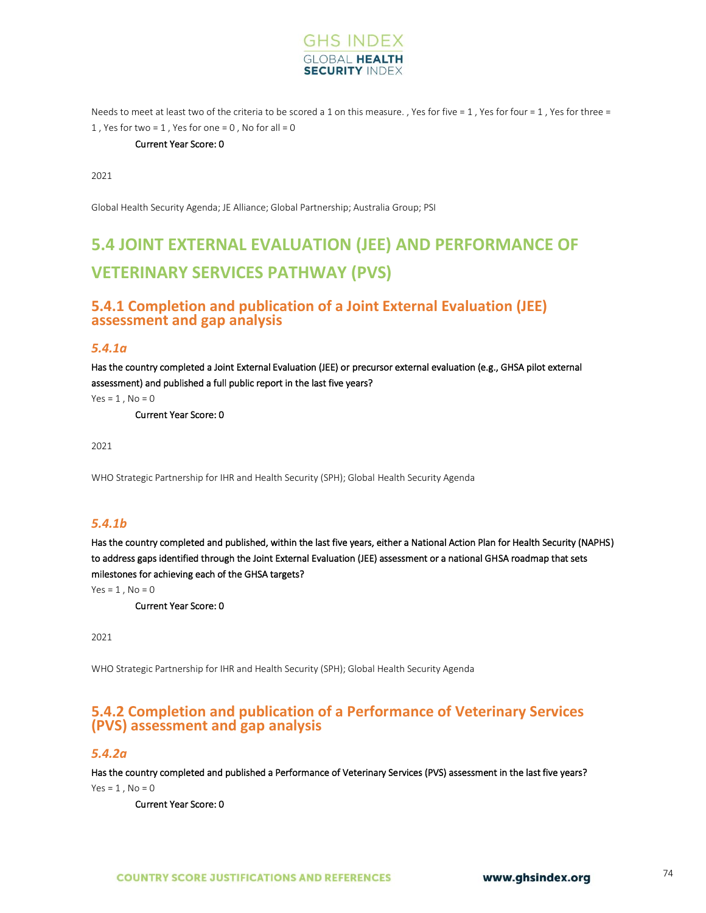

Needs to meet at least two of the criteria to be scored a 1 on this measure. , Yes for five = 1, Yes for four = 1, Yes for three = 1, Yes for two =  $1$ , Yes for one =  $0$ , No for all =  $0$ 

#### Current Year Score: 0

2021

Global Health Security Agenda; JE Alliance; Global Partnership; Australia Group; PSI

# **5.4 JOINT EXTERNAL EVALUATION (JEE) AND PERFORMANCE OF VETERINARY SERVICES PATHWAY (PVS)**

### **5.4.1 Completion and publication of a Joint External Evaluation (JEE) assessment and gap analysis**

#### *5.4.1a*

Has the country completed a Joint External Evaluation (JEE) or precursor external evaluation (e.g., GHSA pilot external assessment) and published a full public report in the last five years?

 $Yes = 1, No = 0$ 

Current Year Score: 0

2021

WHO Strategic Partnership for IHR and Health Security (SPH); Global Health Security Agenda

#### *5.4.1b*

Has the country completed and published, within the last five years, either a National Action Plan for Health Security (NAPHS) to address gaps identified through the Joint External Evaluation (JEE) assessment or a national GHSA roadmap that sets milestones for achieving each of the GHSA targets?

 $Yes = 1, No = 0$ 

Current Year Score: 0

2021

WHO Strategic Partnership for IHR and Health Security (SPH); Global Health Security Agenda

# **5.4.2 Completion and publication of a Performance of Veterinary Services (PVS) assessment and gap analysis**

#### *5.4.2a*

Has the country completed and published a Performance of Veterinary Services (PVS) assessment in the last five years?

 $Yes = 1$ ,  $No = 0$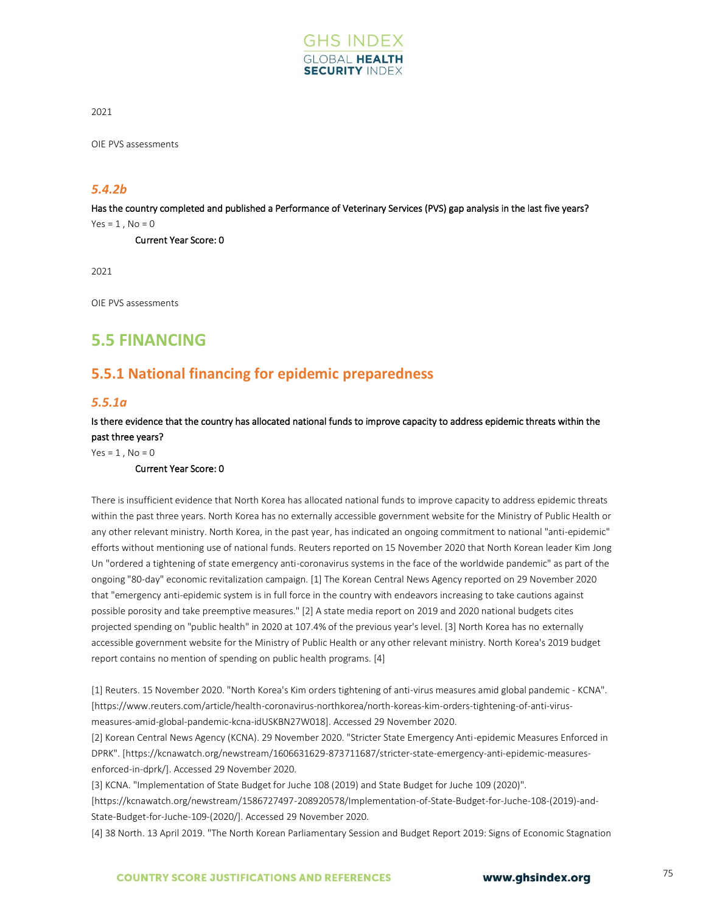

OIE PVS assessments

### *5.4.2b*

Has the country completed and published a Performance of Veterinary Services (PVS) gap analysis in the last five years?

 $Yes = 1, No = 0$ 

Current Year Score: 0

2021

OIE PVS assessments

# **5.5 FINANCING**

# **5.5.1 National financing for epidemic preparedness**

### *5.5.1a*

Is there evidence that the country has allocated national funds to improve capacity to address epidemic threats within the past three years?

 $Yes = 1$ ,  $No = 0$ 

#### Current Year Score: 0

There is insufficient evidence that North Korea has allocated national funds to improve capacity to address epidemic threats within the past three years. North Korea has no externally accessible government website for the Ministry of Public Health or any other relevant ministry. North Korea, in the past year, has indicated an ongoing commitment to national "anti-epidemic" efforts without mentioning use of national funds. Reuters reported on 15 November 2020 that North Korean leader Kim Jong Un "ordered a tightening of state emergency anti-coronavirus systems in the face of the worldwide pandemic" as part of the ongoing "80-day" economic revitalization campaign. [1] The Korean Central News Agency reported on 29 November 2020 that "emergency anti-epidemic system is in full force in the country with endeavors increasing to take cautions against possible porosity and take preemptive measures." [2] A state media report on 2019 and 2020 national budgets cites projected spending on "public health" in 2020 at 107.4% of the previous year's level. [3] North Korea has no externally accessible government website for the Ministry of Public Health or any other relevant ministry. North Korea's 2019 budget report contains no mention of spending on public health programs. [4]

[1] Reuters. 15 November 2020. "North Korea's Kim orders tightening of anti-virus measures amid global pandemic - KCNA". [https://www.reuters.com/article/health-coronavirus-northkorea/north-koreas-kim-orders-tightening-of-anti-virusmeasures-amid-global-pandemic-kcna-idUSKBN27W018]. Accessed 29 November 2020.

[2] Korean Central News Agency (KCNA). 29 November 2020. "Stricter State Emergency Anti-epidemic Measures Enforced in DPRK". [https://kcnawatch.org/newstream/1606631629-873711687/stricter-state-emergency-anti-epidemic-measuresenforced-in-dprk/]. Accessed 29 November 2020.

[3] KCNA. "Implementation of State Budget for Juche 108 (2019) and State Budget for Juche 109 (2020)".

[https://kcnawatch.org/newstream/1586727497-208920578/Implementation-of-State-Budget-for-Juche-108-(2019)-and-State-Budget-for-Juche-109-(2020/]. Accessed 29 November 2020.

[4] 38 North. 13 April 2019. "The North Korean Parliamentary Session and Budget Report 2019: Signs of Economic Stagnation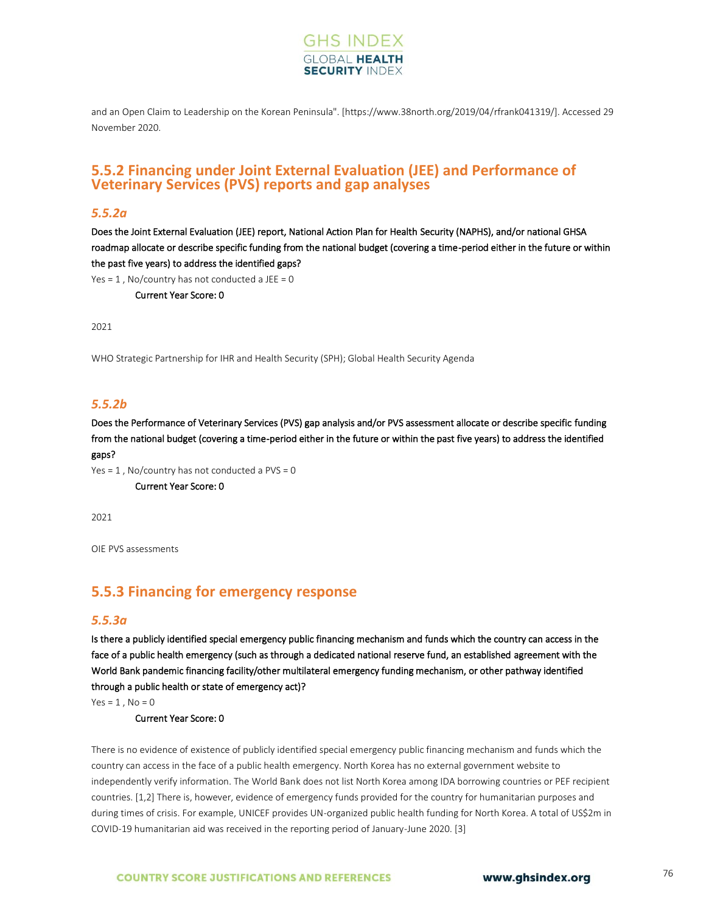

and an Open Claim to Leadership on the Korean Peninsula". [https://www.38north.org/2019/04/rfrank041319/]. Accessed 29 November 2020.

### **5.5.2 Financing under Joint External Evaluation (JEE) and Performance of Veterinary Services (PVS) reports and gap analyses**

#### *5.5.2a*

Does the Joint External Evaluation (JEE) report, National Action Plan for Health Security (NAPHS), and/or national GHSA roadmap allocate or describe specific funding from the national budget (covering a time-period either in the future or within the past five years) to address the identified gaps?

Yes =  $1$ , No/country has not conducted a JEE =  $0$ 

Current Year Score: 0

2021

WHO Strategic Partnership for IHR and Health Security (SPH); Global Health Security Agenda

#### *5.5.2b*

Does the Performance of Veterinary Services (PVS) gap analysis and/or PVS assessment allocate or describe specific funding from the national budget (covering a time-period either in the future or within the past five years) to address the identified gaps?

```
Yes = 1, No/country has not conducted a PVS = 0 Current Year Score: 0
```
2021

OIE PVS assessments

# **5.5.3 Financing for emergency response**

#### *5.5.3a*

Is there a publicly identified special emergency public financing mechanism and funds which the country can access in the face of a public health emergency (such as through a dedicated national reserve fund, an established agreement with the World Bank pandemic financing facility/other multilateral emergency funding mechanism, or other pathway identified through a public health or state of emergency act)?

 $Yes = 1$ ,  $No = 0$ 

Current Year Score: 0

There is no evidence of existence of publicly identified special emergency public financing mechanism and funds which the country can access in the face of a public health emergency. North Korea has no external government website to independently verify information. The World Bank does not list North Korea among IDA borrowing countries or PEF recipient countries. [1,2] There is, however, evidence of emergency funds provided for the country for humanitarian purposes and during times of crisis. For example, UNICEF provides UN-organized public health funding for North Korea. A total of US\$2m in COVID-19 humanitarian aid was received in the reporting period of January-June 2020. [3]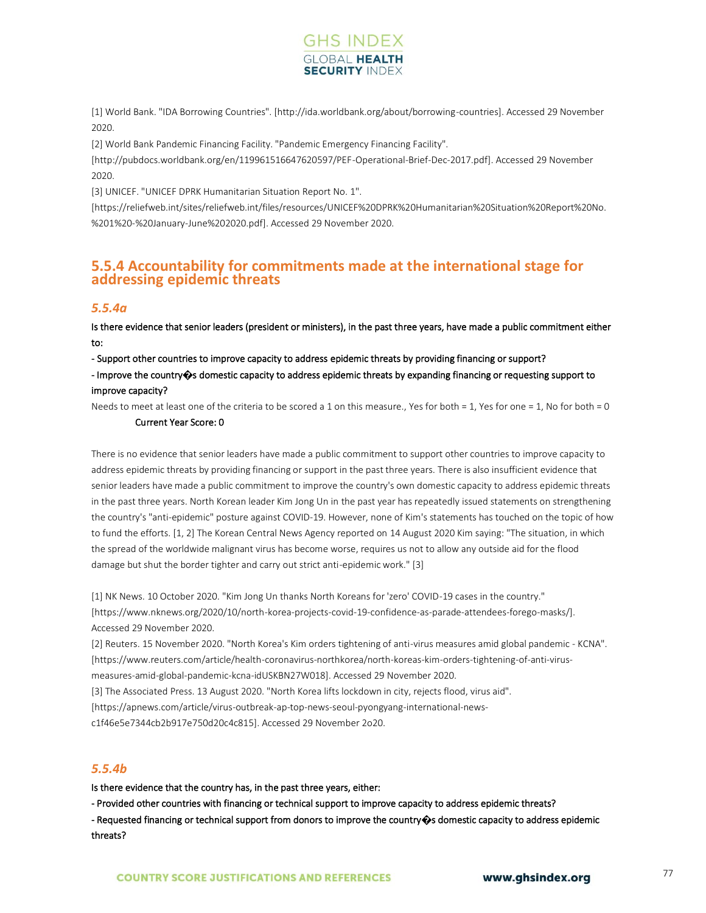

[1] World Bank. "IDA Borrowing Countries". [http://ida.worldbank.org/about/borrowing-countries]. Accessed 29 November 2020.

[2] World Bank Pandemic Financing Facility. "Pandemic Emergency Financing Facility".

[http://pubdocs.worldbank.org/en/119961516647620597/PEF-Operational-Brief-Dec-2017.pdf]. Accessed 29 November 2020.

[3] UNICEF. "UNICEF DPRK Humanitarian Situation Report No. 1".

[https://reliefweb.int/sites/reliefweb.int/files/resources/UNICEF%20DPRK%20Humanitarian%20Situation%20Report%20No. %201%20-%20January-June%202020.pdf]. Accessed 29 November 2020.

### **5.5.4 Accountability for commitments made at the international stage for addressing epidemic threats**

#### *5.5.4a*

Is there evidence that senior leaders (president or ministers), in the past three years, have made a public commitment either to:

- Support other countries to improve capacity to address epidemic threats by providing financing or support?

- Improve the country**�**s domestic capacity to address epidemic threats by expanding financing or requesting support to improve capacity?

Needs to meet at least one of the criteria to be scored a 1 on this measure., Yes for both = 1, Yes for one = 1, No for both = 0

#### Current Year Score: 0

There is no evidence that senior leaders have made a public commitment to support other countries to improve capacity to address epidemic threats by providing financing or support in the past three years. There is also insufficient evidence that senior leaders have made a public commitment to improve the country's own domestic capacity to address epidemic threats in the past three years. North Korean leader Kim Jong Un in the past year has repeatedly issued statements on strengthening the country's "anti-epidemic" posture against COVID-19. However, none of Kim's statements has touched on the topic of how to fund the efforts. [1, 2] The Korean Central News Agency reported on 14 August 2020 Kim saying: "The situation, in which the spread of the worldwide malignant virus has become worse, requires us not to allow any outside aid for the flood damage but shut the border tighter and carry out strict anti-epidemic work." [3]

[1] NK News. 10 October 2020. "Kim Jong Un thanks North Koreans for 'zero' COVID-19 cases in the country." [https://www.nknews.org/2020/10/north-korea-projects-covid-19-confidence-as-parade-attendees-forego-masks/]. Accessed 29 November 2020.

[2] Reuters. 15 November 2020. "North Korea's Kim orders tightening of anti-virus measures amid global pandemic - KCNA". [https://www.reuters.com/article/health-coronavirus-northkorea/north-koreas-kim-orders-tightening-of-anti-virusmeasures-amid-global-pandemic-kcna-idUSKBN27W018]. Accessed 29 November 2020.

[3] The Associated Press. 13 August 2020. "North Korea lifts lockdown in city, rejects flood, virus aid".

[https://apnews.com/article/virus-outbreak-ap-top-news-seoul-pyongyang-international-news-

c1f46e5e7344cb2b917e750d20c4c815]. Accessed 29 November 2o20.

### *5.5.4b*

Is there evidence that the country has, in the past three years, either:

- Provided other countries with financing or technical support to improve capacity to address epidemic threats? - Requested financing or technical support from donors to improve the country**�**s domestic capacity to address epidemic threats?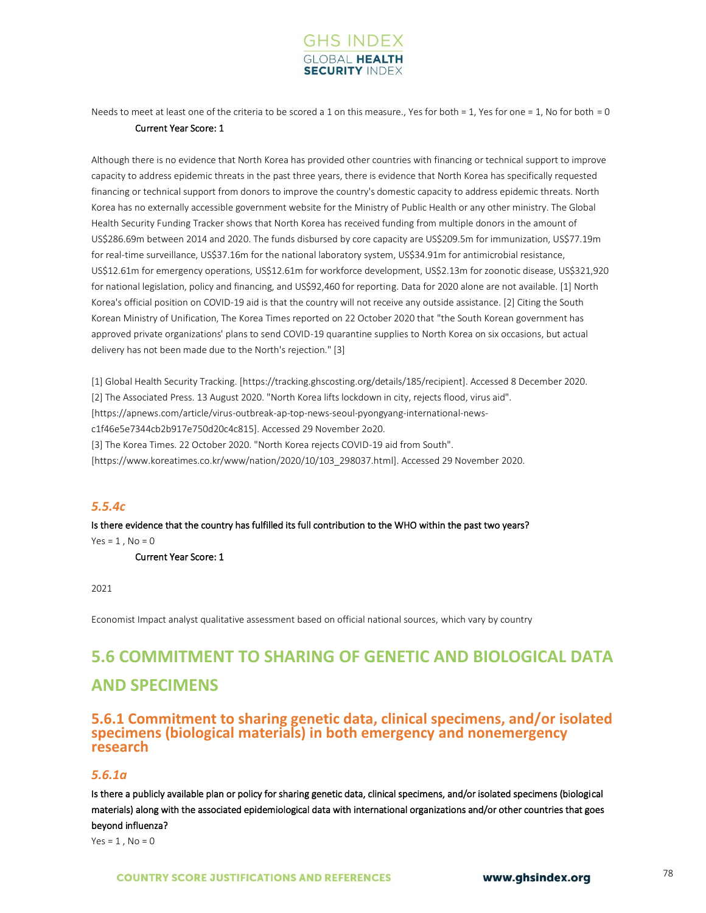

Needs to meet at least one of the criteria to be scored a 1 on this measure., Yes for both = 1, Yes for one = 1, No for both = 0 Current Year Score: 1

Although there is no evidence that North Korea has provided other countries with financing or technical support to improve capacity to address epidemic threats in the past three years, there is evidence that North Korea has specifically requested financing or technical support from donors to improve the country's domestic capacity to address epidemic threats. North Korea has no externally accessible government website for the Ministry of Public Health or any other ministry. The Global Health Security Funding Tracker shows that North Korea has received funding from multiple donors in the amount of US\$286.69m between 2014 and 2020. The funds disbursed by core capacity are US\$209.5m for immunization, US\$77.19m for real-time surveillance, US\$37.16m for the national laboratory system, US\$34.91m for antimicrobial resistance, US\$12.61m for emergency operations, US\$12.61m for workforce development, US\$2.13m for zoonotic disease, US\$321,920 for national legislation, policy and financing, and US\$92,460 for reporting. Data for 2020 alone are not available. [1] North Korea's official position on COVID-19 aid is that the country will not receive any outside assistance. [2] Citing the South Korean Ministry of Unification, The Korea Times reported on 22 October 2020 that "the South Korean government has approved private organizations' plans to send COVID-19 quarantine supplies to North Korea on six occasions, but actual delivery has not been made due to the North's rejection." [3]

[1] Global Health Security Tracking. [https://tracking.ghscosting.org/details/185/recipient]. Accessed 8 December 2020. [2] The Associated Press. 13 August 2020. "North Korea lifts lockdown in city, rejects flood, virus aid". [https://apnews.com/article/virus-outbreak-ap-top-news-seoul-pyongyang-international-newsc1f46e5e7344cb2b917e750d20c4c815]. Accessed 29 November 2o20. [3] The Korea Times. 22 October 2020. "North Korea rejects COVID-19 aid from South". [https://www.koreatimes.co.kr/www/nation/2020/10/103\_298037.html]. Accessed 29 November 2020.

#### *5.5.4c*

Is there evidence that the country has fulfilled its full contribution to the WHO within the past two years?  $Yes = 1$ ,  $No = 0$ 

Current Year Score: 1

2021

Economist Impact analyst qualitative assessment based on official national sources, which vary by country

# **5.6 COMMITMENT TO SHARING OF GENETIC AND BIOLOGICAL DATA AND SPECIMENS**

### **5.6.1 Commitment to sharing genetic data, clinical specimens, and/or isolated specimens (biological materials) in both emergency and nonemergency research**

#### *5.6.1a*

Is there a publicly available plan or policy for sharing genetic data, clinical specimens, and/or isolated specimens (biological materials) along with the associated epidemiological data with international organizations and/or other countries that goes beyond influenza?

 $Yes = 1, No = 0$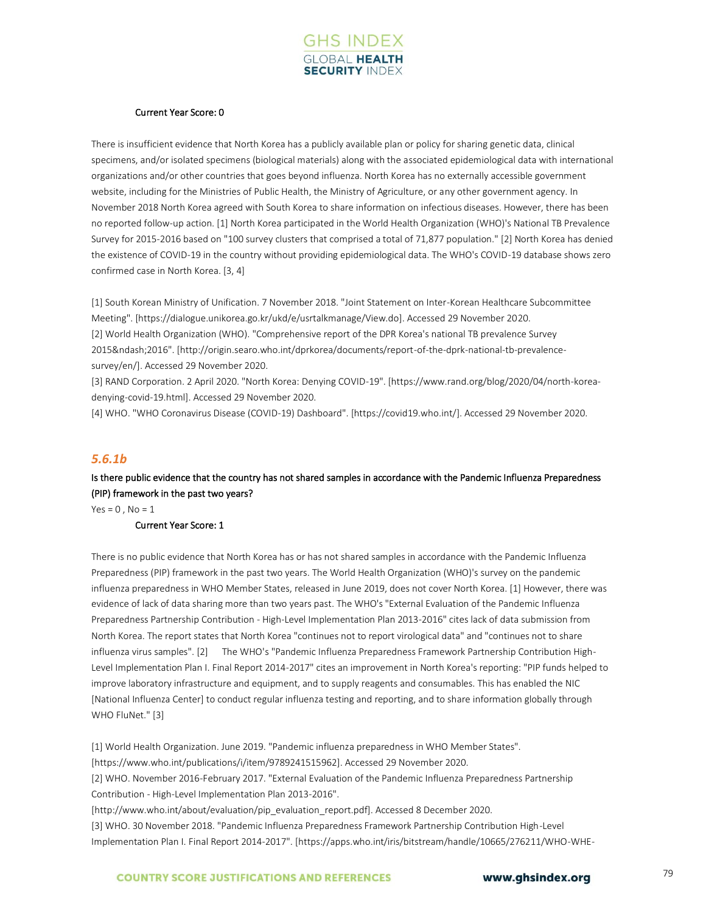

#### Current Year Score: 0

There is insufficient evidence that North Korea has a publicly available plan or policy for sharing genetic data, clinical specimens, and/or isolated specimens (biological materials) along with the associated epidemiological data with international organizations and/or other countries that goes beyond influenza. North Korea has no externally accessible government website, including for the Ministries of Public Health, the Ministry of Agriculture, or any other government agency. In November 2018 North Korea agreed with South Korea to share information on infectious diseases. However, there has been no reported follow-up action. [1] North Korea participated in the World Health Organization (WHO)'s National TB Prevalence Survey for 2015-2016 based on "100 survey clusters that comprised a total of 71,877 population." [2] North Korea has denied the existence of COVID-19 in the country without providing epidemiological data. The WHO's COVID-19 database shows zero confirmed case in North Korea. [3, 4]

[1] South Korean Ministry of Unification. 7 November 2018. "Joint Statement on Inter-Korean Healthcare Subcommittee Meeting". [https://dialogue.unikorea.go.kr/ukd/e/usrtalkmanage/View.do]. Accessed 29 November 2020. [2] World Health Organization (WHO). "Comprehensive report of the DPR Korea's national TB prevalence Survey 2015–2016". [http://origin.searo.who.int/dprkorea/documents/report-of-the-dprk-national-tb-prevalencesurvey/en/]. Accessed 29 November 2020.

[3] RAND Corporation. 2 April 2020. "North Korea: Denying COVID-19". [https://www.rand.org/blog/2020/04/north-koreadenying-covid-19.html]. Accessed 29 November 2020.

[4] WHO. "WHO Coronavirus Disease (COVID-19) Dashboard". [https://covid19.who.int/]. Accessed 29 November 2020.

#### *5.6.1b*

### Is there public evidence that the country has not shared samples in accordance with the Pandemic Influenza Preparedness (PIP) framework in the past two years?

 $Yes = 0$ .  $No = 1$ 

#### Current Year Score: 1

There is no public evidence that North Korea has or has not shared samples in accordance with the Pandemic Influenza Preparedness (PIP) framework in the past two years. The World Health Organization (WHO)'s survey on the pandemic influenza preparedness in WHO Member States, released in June 2019, does not cover North Korea. [1] However, there was evidence of lack of data sharing more than two years past. The WHO's "External Evaluation of the Pandemic Influenza Preparedness Partnership Contribution - High-Level Implementation Plan 2013-2016" cites lack of data submission from North Korea. The report states that North Korea "continues not to report virological data" and "continues not to share influenza virus samples". [2] The WHO's "Pandemic Influenza Preparedness Framework Partnership Contribution High-Level Implementation Plan I. Final Report 2014-2017" cites an improvement in North Korea's reporting: "PIP funds helped to improve laboratory infrastructure and equipment, and to supply reagents and consumables. This has enabled the NIC [National Influenza Center] to conduct regular influenza testing and reporting, and to share information globally through WHO FluNet." [3]

[1] World Health Organization. June 2019. "Pandemic influenza preparedness in WHO Member States". [https://www.who.int/publications/i/item/9789241515962]. Accessed 29 November 2020. [2] WHO. November 2016-February 2017. "External Evaluation of the Pandemic Influenza Preparedness Partnership Contribution - High-Level Implementation Plan 2013-2016". [http://www.who.int/about/evaluation/pip\_evaluation\_report.pdf]. Accessed 8 December 2020. [3] WHO. 30 November 2018. "Pandemic Influenza Preparedness Framework Partnership Contribution High-Level Implementation Plan I. Final Report 2014-2017". [https://apps.who.int/iris/bitstream/handle/10665/276211/WHO-WHE-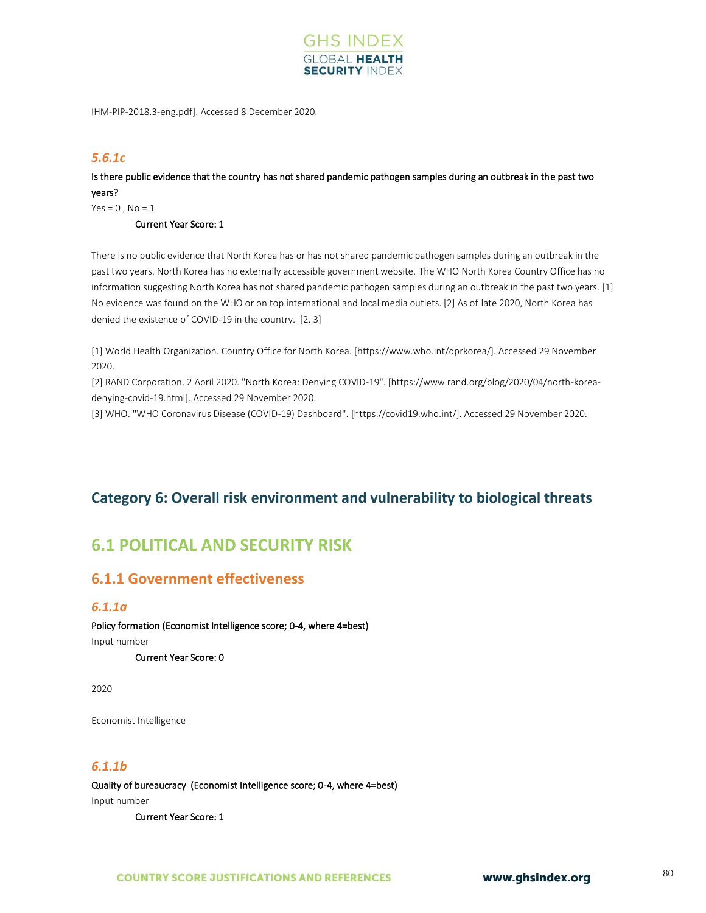

IHM-PIP-2018.3-eng.pdf]. Accessed 8 December 2020.

### *5.6.1c*

Is there public evidence that the country has not shared pandemic pathogen samples during an outbreak in the past two years?

 $Yes = 0, No = 1$ 

Current Year Score: 1

There is no public evidence that North Korea has or has not shared pandemic pathogen samples during an outbreak in the past two years. North Korea has no externally accessible government website. The WHO North Korea Country Office has no information suggesting North Korea has not shared pandemic pathogen samples during an outbreak in the past two years. [1] No evidence was found on the WHO or on top international and local media outlets. [2] As of late 2020, North Korea has denied the existence of COVID-19 in the country. [2. 3]

[1] World Health Organization. Country Office for North Korea. [https://www.who.int/dprkorea/]. Accessed 29 November 2020.

[2] RAND Corporation. 2 April 2020. "North Korea: Denying COVID-19". [https://www.rand.org/blog/2020/04/north-koreadenying-covid-19.html]. Accessed 29 November 2020.

[3] WHO. "WHO Coronavirus Disease (COVID-19) Dashboard". [https://covid19.who.int/]. Accessed 29 November 2020.

# **Category 6: Overall risk environment and vulnerability to biological threats**

# **6.1 POLITICAL AND SECURITY RISK**

# **6.1.1 Government effectiveness**

#### *6.1.1a*

Policy formation (Economist Intelligence score; 0-4, where 4=best) Input number Current Year Score: 0

2020

Economist Intelligence

### *6.1.1b*

Quality of bureaucracy (Economist Intelligence score; 0-4, where 4=best) Input number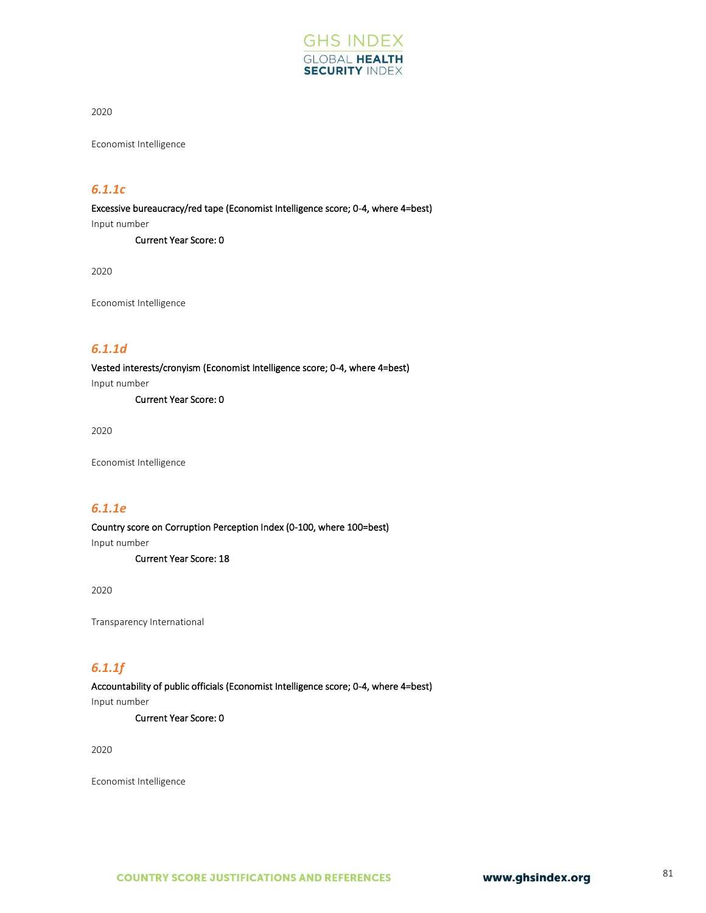

Economist Intelligence

### *6.1.1c*

Excessive bureaucracy/red tape (Economist Intelligence score; 0-4, where 4=best) Input number Current Year Score: 0

2020

Economist Intelligence

# *6.1.1d*

Vested interests/cronyism (Economist Intelligence score; 0-4, where 4=best) Input number

Current Year Score: 0

2020

Economist Intelligence

#### *6.1.1e*

Country score on Corruption Perception Index (0-100, where 100=best) Input number

Current Year Score: 18

2020

Transparency International

### *6.1.1f*

Accountability of public officials (Economist Intelligence score; 0-4, where 4=best)

Input number

Current Year Score: 0

2020

Economist Intelligence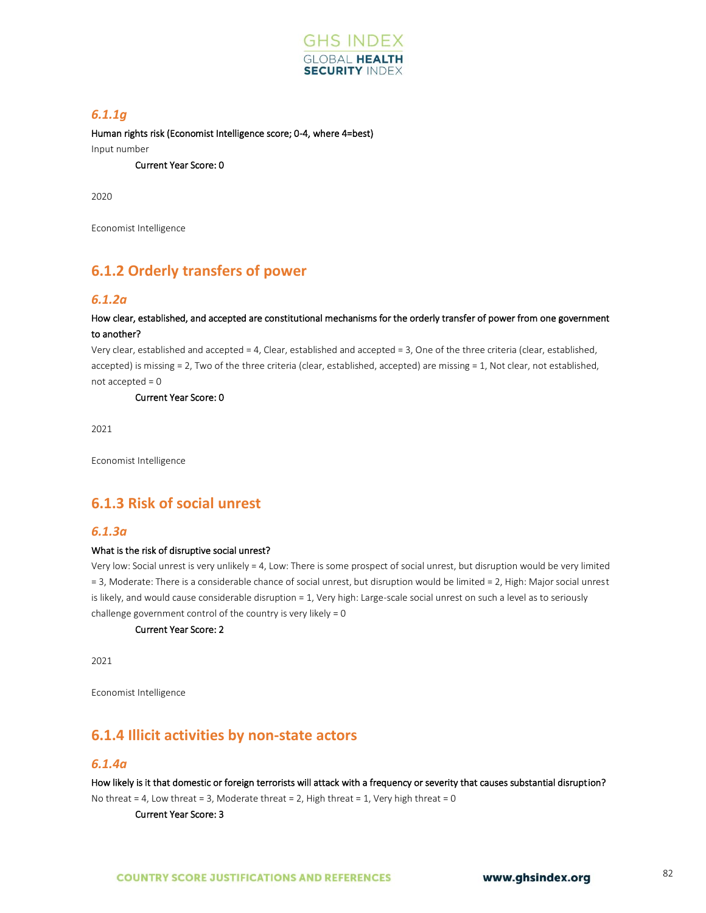

### *6.1.1g*

Human rights risk (Economist Intelligence score; 0-4, where 4=best) Input number

Current Year Score: 0

2020

Economist Intelligence

# **6.1.2 Orderly transfers of power**

#### *6.1.2a*

#### How clear, established, and accepted are constitutional mechanisms for the orderly transfer of power from one government to another?

Very clear, established and accepted = 4, Clear, established and accepted = 3, One of the three criteria (clear, established, accepted) is missing = 2, Two of the three criteria (clear, established, accepted) are missing = 1, Not clear, not established, not accepted = 0

Current Year Score: 0

2021

Economist Intelligence

# **6.1.3 Risk of social unrest**

#### *6.1.3a*

#### What is the risk of disruptive social unrest?

Very low: Social unrest is very unlikely = 4, Low: There is some prospect of social unrest, but disruption would be very limited = 3, Moderate: There is a considerable chance of social unrest, but disruption would be limited = 2, High: Major social unrest is likely, and would cause considerable disruption = 1, Very high: Large-scale social unrest on such a level as to seriously challenge government control of the country is very likely = 0

#### Current Year Score: 2

2021

Economist Intelligence

### **6.1.4 Illicit activities by non-state actors**

#### *6.1.4a*

How likely is it that domestic or foreign terrorists will attack with a frequency or severity that causes substantial disruption? No threat = 4, Low threat = 3, Moderate threat = 2, High threat = 1, Very high threat = 0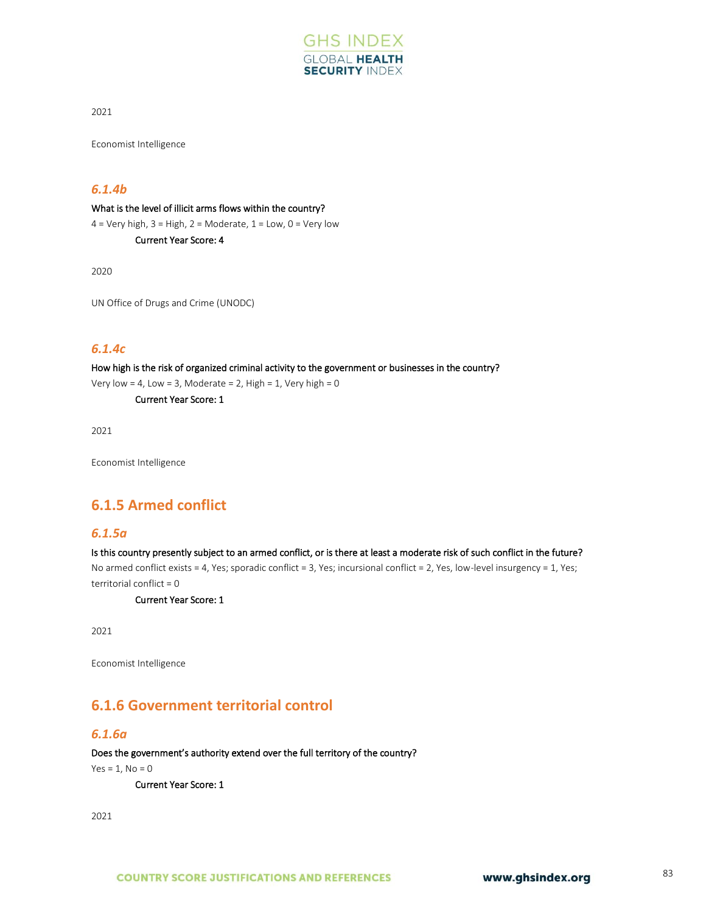

Economist Intelligence

### *6.1.4b*

What is the level of illicit arms flows within the country?

 $4 =$  Very high,  $3 =$  High,  $2 =$  Moderate,  $1 =$  Low,  $0 =$  Very low Current Year Score: 4

2020

UN Office of Drugs and Crime (UNODC)

### *6.1.4c*

How high is the risk of organized criminal activity to the government or businesses in the country? Very low = 4, Low = 3, Moderate = 2, High = 1, Very high =  $0$ 

Current Year Score: 1

2021

Economist Intelligence

# **6.1.5 Armed conflict**

#### *6.1.5a*

Is this country presently subject to an armed conflict, or is there at least a moderate risk of such conflict in the future? No armed conflict exists = 4, Yes; sporadic conflict = 3, Yes; incursional conflict = 2, Yes, low-level insurgency = 1, Yes; territorial conflict = 0

Current Year Score: 1

2021

Economist Intelligence

# **6.1.6 Government territorial control**

#### *6.1.6a*

Does the government's authority extend over the full territory of the country?

 $Yes = 1, No = 0$ 

Current Year Score: 1

2021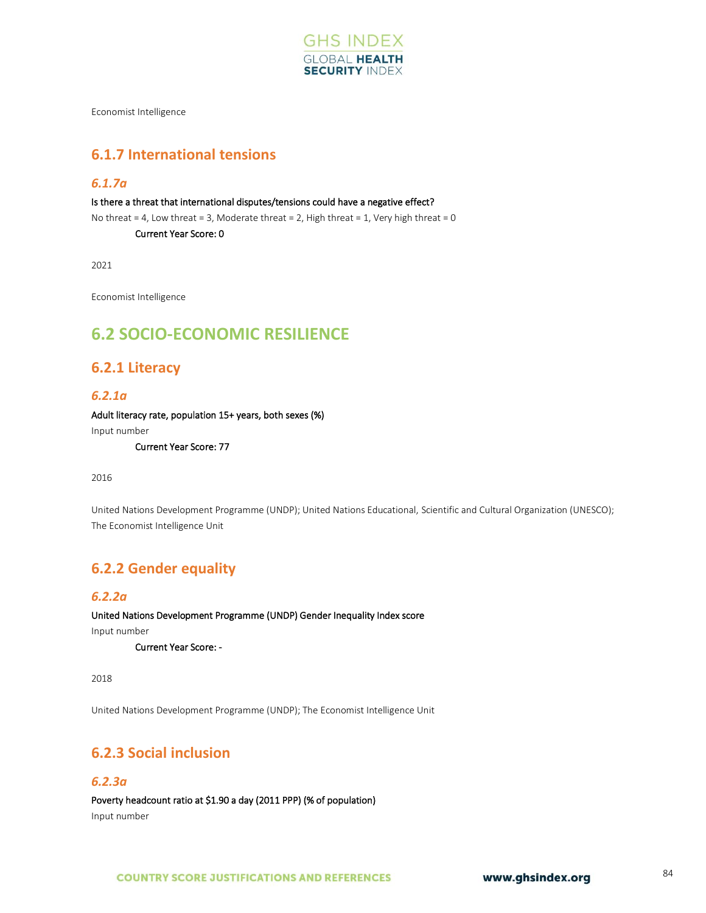

Economist Intelligence

# **6.1.7 International tensions**

#### *6.1.7a*

Is there a threat that international disputes/tensions could have a negative effect?

No threat = 4, Low threat = 3, Moderate threat = 2, High threat = 1, Very high threat = 0

Current Year Score: 0

2021

Economist Intelligence

# **6.2 SOCIO-ECONOMIC RESILIENCE**

### **6.2.1 Literacy**

#### *6.2.1a*

Adult literacy rate, population 15+ years, both sexes (%)

Input number

Current Year Score: 77

2016

United Nations Development Programme (UNDP); United Nations Educational, Scientific and Cultural Organization (UNESCO); The Economist Intelligence Unit

# **6.2.2 Gender equality**

### *6.2.2a*

United Nations Development Programme (UNDP) Gender Inequality Index score

Input number

Current Year Score: -

2018

United Nations Development Programme (UNDP); The Economist Intelligence Unit

# **6.2.3 Social inclusion**

#### *6.2.3a*

Poverty headcount ratio at \$1.90 a day (2011 PPP) (% of population) Input number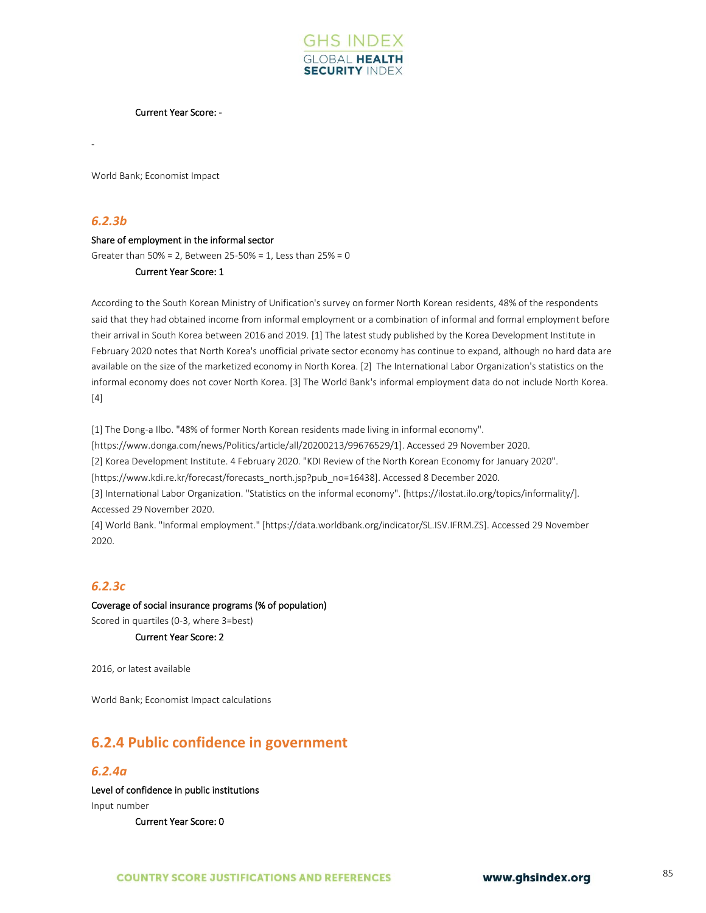

#### Current Year Score: -

World Bank; Economist Impact

#### *6.2.3b*

-

#### Share of employment in the informal sector

Greater than 50% = 2, Between 25-50% = 1, Less than 25% = 0

#### Current Year Score: 1

According to the South Korean Ministry of Unification's survey on former North Korean residents, 48% of the respondents said that they had obtained income from informal employment or a combination of informal and formal employment before their arrival in South Korea between 2016 and 2019. [1] The latest study published by the Korea Development Institute in February 2020 notes that North Korea's unofficial private sector economy has continue to expand, although no hard data are available on the size of the marketized economy in North Korea. [2] The International Labor Organization's statistics on the informal economy does not cover North Korea. [3] The World Bank's informal employment data do not include North Korea. [4]

[1] The Dong-a Ilbo. "48% of former North Korean residents made living in informal economy". [https://www.donga.com/news/Politics/article/all/20200213/99676529/1]. Accessed 29 November 2020. [2] Korea Development Institute. 4 February 2020. "KDI Review of the North Korean Economy for January 2020". [https://www.kdi.re.kr/forecast/forecasts\_north.jsp?pub\_no=16438]. Accessed 8 December 2020. [3] International Labor Organization. "Statistics on the informal economy". [https://ilostat.ilo.org/topics/informality/]. Accessed 29 November 2020. [4] World Bank. "Informal employment." [https://data.worldbank.org/indicator/SL.ISV.IFRM.ZS]. Accessed 29 November

#### *6.2.3c*

2020.

Coverage of social insurance programs (% of population) Scored in quartiles (0-3, where 3=best) Current Year Score: 2

2016, or latest available

World Bank; Economist Impact calculations

# **6.2.4 Public confidence in government**

#### *6.2.4a*

Level of confidence in public institutions Input number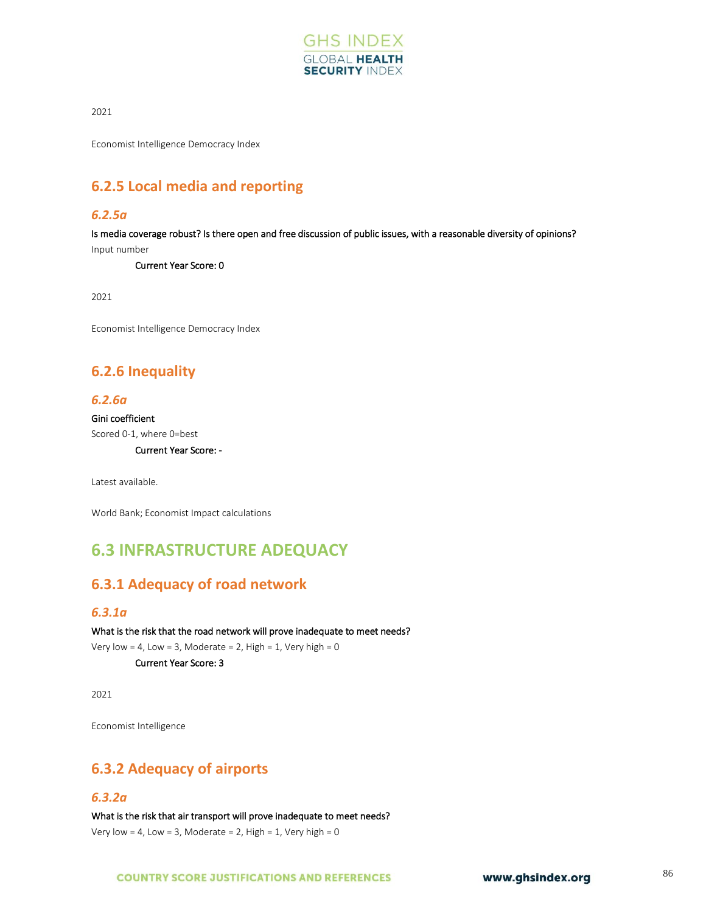

Economist Intelligence Democracy Index

# **6.2.5 Local media and reporting**

#### *6.2.5a*

Is media coverage robust? Is there open and free discussion of public issues, with a reasonable diversity of opinions? Input number

Current Year Score: 0

2021

Economist Intelligence Democracy Index

# **6.2.6 Inequality**

#### *6.2.6a*

Gini coefficient Scored 0-1, where 0=best

Current Year Score: -

Latest available.

World Bank; Economist Impact calculations

# **6.3 INFRASTRUCTURE ADEQUACY**

# **6.3.1 Adequacy of road network**

#### *6.3.1a*

What is the risk that the road network will prove inadequate to meet needs? Very low = 4, Low = 3, Moderate = 2, High = 1, Very high =  $0$ 

Current Year Score: 3

2021

Economist Intelligence

# **6.3.2 Adequacy of airports**

#### *6.3.2a*

What is the risk that air transport will prove inadequate to meet needs? Very low = 4, Low = 3, Moderate = 2, High = 1, Very high =  $0$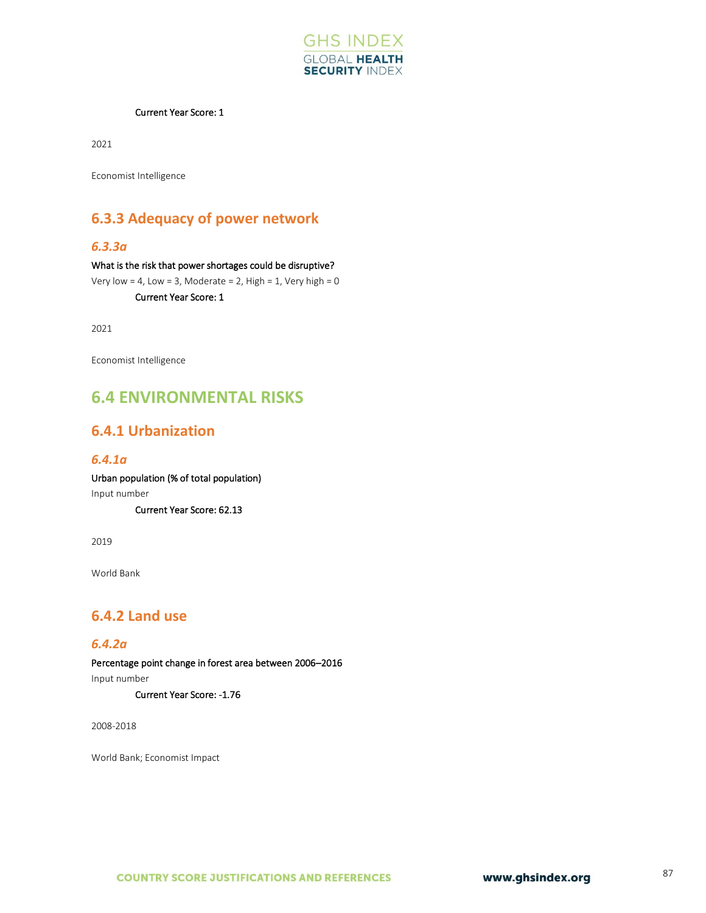

#### Current Year Score: 1

2021

Economist Intelligence

# **6.3.3 Adequacy of power network**

#### *6.3.3a*

What is the risk that power shortages could be disruptive? Very low = 4, Low = 3, Moderate = 2, High = 1, Very high =  $0$ Current Year Score: 1

2021

Economist Intelligence

# **6.4 ENVIRONMENTAL RISKS**

### **6.4.1 Urbanization**

### *6.4.1a*

Urban population (% of total population) Input number

Current Year Score: 62.13

2019

World Bank

# **6.4.2 Land use**

#### *6.4.2a*

Percentage point change in forest area between 2006–2016 Input number Current Year Score: -1.76

2008-2018

World Bank; Economist Impact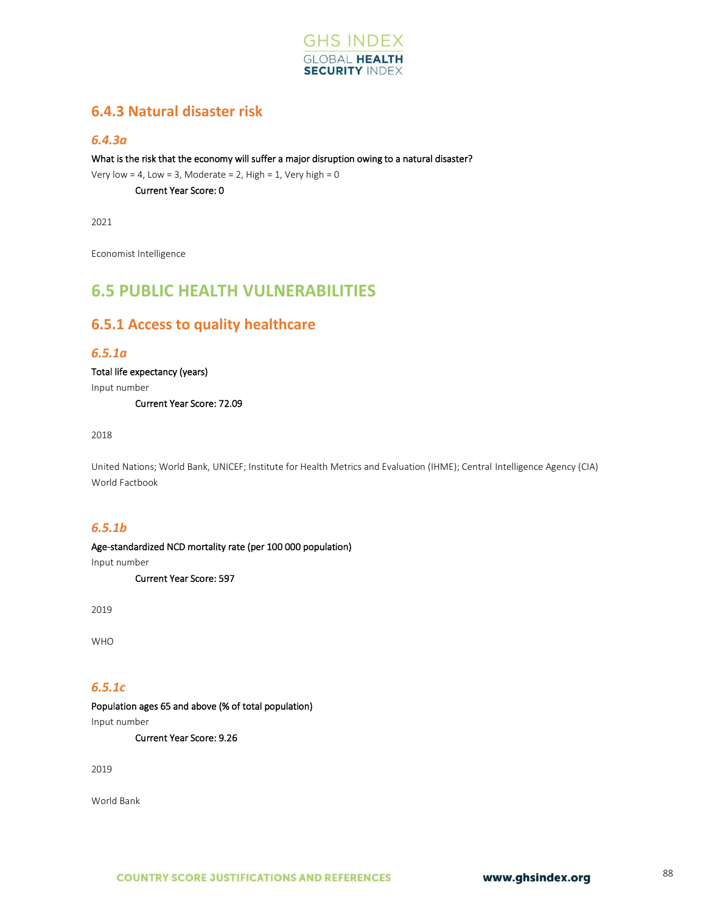

# **6.4.3 Natural disaster risk**

### *6.4.3a*

What is the risk that the economy will suffer a major disruption owing to a natural disaster?

Very low = 4, Low = 3, Moderate = 2, High = 1, Very high =  $0$ 

Current Year Score: 0

2021

Economist Intelligence

# **6.5 PUBLIC HEALTH VULNERABILITIES**

# **6.5.1 Access to quality healthcare**

### *6.5.1a*

Total life expectancy (years)

Input number

Current Year Score: 72.09

2018

United Nations; World Bank, UNICEF; Institute for Health Metrics and Evaluation (IHME); Central Intelligence Agency (CIA) World Factbook

#### *6.5.1b*

Age-standardized NCD mortality rate (per 100 000 population)

Input number

Current Year Score: 597

2019

WHO

### *6.5.1c*

Population ages 65 and above (% of total population)

Input number

Current Year Score: 9.26

2019

World Bank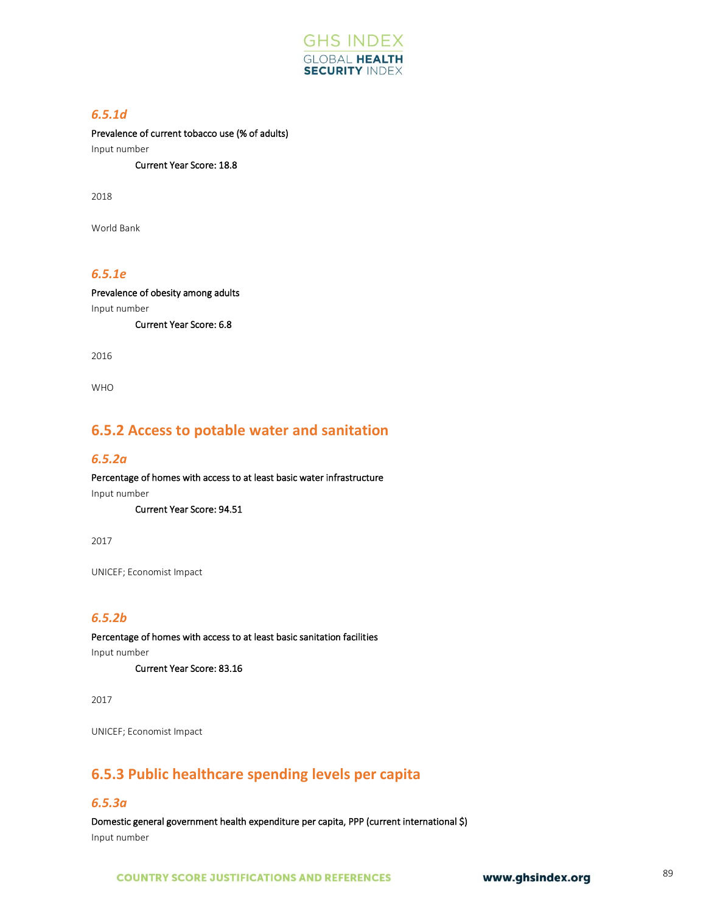

### *6.5.1d*

Prevalence of current tobacco use (% of adults)

Input number

Current Year Score: 18.8

2018

World Bank

### *6.5.1e*

Prevalence of obesity among adults Input number

Current Year Score: 6.8

2016

WHO

# **6.5.2 Access to potable water and sanitation**

#### *6.5.2a*

Percentage of homes with access to at least basic water infrastructure Input number

Current Year Score: 94.51

2017

UNICEF; Economist Impact

### *6.5.2b*

Percentage of homes with access to at least basic sanitation facilities

Input number

Current Year Score: 83.16

2017

UNICEF; Economist Impact

# **6.5.3 Public healthcare spending levels per capita**

#### *6.5.3a*

Domestic general government health expenditure per capita, PPP (current international \$) Input number